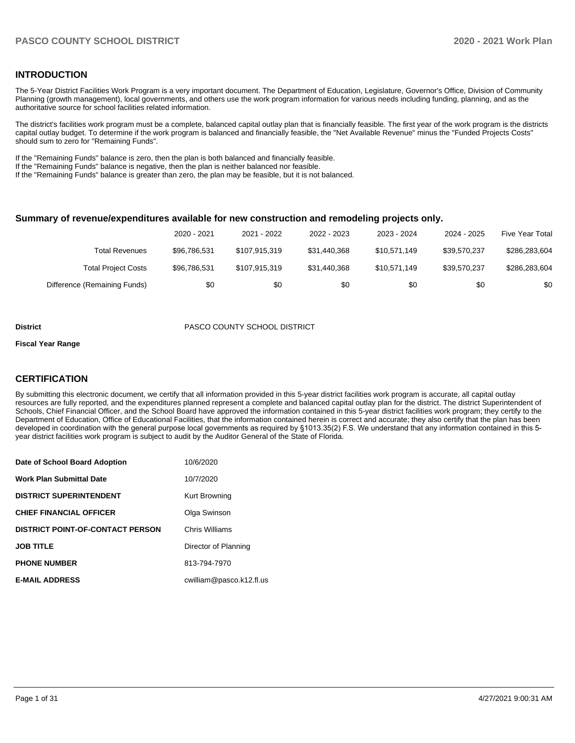## **INTRODUCTION**

The 5-Year District Facilities Work Program is a very important document. The Department of Education, Legislature, Governor's Office, Division of Community Planning (growth management), local governments, and others use the work program information for various needs including funding, planning, and as the authoritative source for school facilities related information.

The district's facilities work program must be a complete, balanced capital outlay plan that is financially feasible. The first year of the work program is the districts capital outlay budget. To determine if the work program is balanced and financially feasible, the "Net Available Revenue" minus the "Funded Projects Costs" should sum to zero for "Remaining Funds".

If the "Remaining Funds" balance is zero, then the plan is both balanced and financially feasible.

If the "Remaining Funds" balance is negative, then the plan is neither balanced nor feasible.

If the "Remaining Funds" balance is greater than zero, the plan may be feasible, but it is not balanced.

#### **Summary of revenue/expenditures available for new construction and remodeling projects only.**

|                              | 2020 - 2021  | 2021 - 2022   | 2022 - 2023  | 2023 - 2024  | 2024 - 2025  | <b>Five Year Total</b> |
|------------------------------|--------------|---------------|--------------|--------------|--------------|------------------------|
| Total Revenues               | \$96,786,531 | \$107.915.319 | \$31,440,368 | \$10.571.149 | \$39.570.237 | \$286,283,604          |
| <b>Total Project Costs</b>   | \$96,786,531 | \$107.915.319 | \$31,440,368 | \$10.571.149 | \$39.570.237 | \$286,283,604          |
| Difference (Remaining Funds) | \$0          | \$0           | \$0          | \$0          | \$0          | \$0                    |

#### **District** PASCO COUNTY SCHOOL DISTRICT

#### **Fiscal Year Range**

## **CERTIFICATION**

By submitting this electronic document, we certify that all information provided in this 5-year district facilities work program is accurate, all capital outlay resources are fully reported, and the expenditures planned represent a complete and balanced capital outlay plan for the district. The district Superintendent of Schools, Chief Financial Officer, and the School Board have approved the information contained in this 5-year district facilities work program; they certify to the Department of Education, Office of Educational Facilities, that the information contained herein is correct and accurate; they also certify that the plan has been developed in coordination with the general purpose local governments as required by §1013.35(2) F.S. We understand that any information contained in this 5 year district facilities work program is subject to audit by the Auditor General of the State of Florida.

| Date of School Board Adoption           | 10/6/2020                |
|-----------------------------------------|--------------------------|
| <b>Work Plan Submittal Date</b>         | 10/7/2020                |
| <b>DISTRICT SUPERINTENDENT</b>          | Kurt Browning            |
| <b>CHIEF FINANCIAL OFFICER</b>          | Olga Swinson             |
| <b>DISTRICT POINT-OF-CONTACT PERSON</b> | Chris Williams           |
| <b>JOB TITLE</b>                        | Director of Planning     |
| <b>PHONE NUMBER</b>                     | 813-794-7970             |
| <b>E-MAIL ADDRESS</b>                   | cwilliam@pasco.k12.fl.us |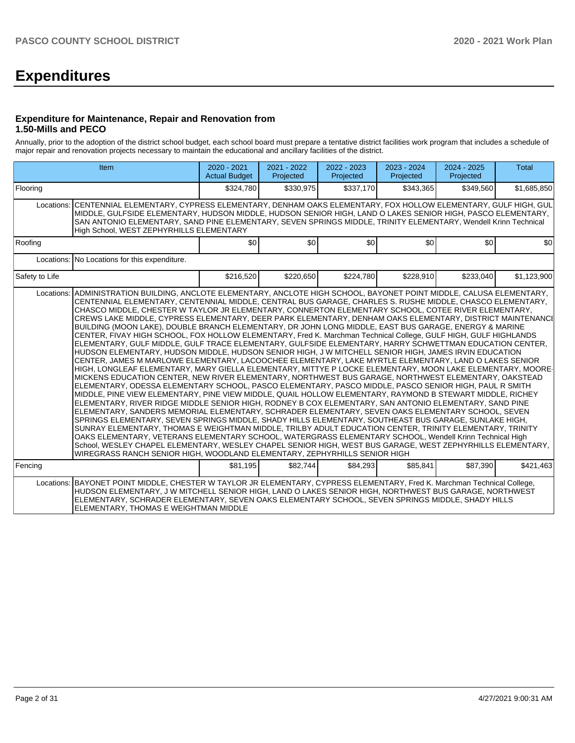# **Expenditures**

## **Expenditure for Maintenance, Repair and Renovation from 1.50-Mills and PECO**

Annually, prior to the adoption of the district school budget, each school board must prepare a tentative district facilities work program that includes a schedule of major repair and renovation projects necessary to maintain the educational and ancillary facilities of the district.

|                | <b>Item</b>                                                                                                                                                                                                                                                                                                                                                                                                                                                                                                                                                                                                                                                                                                                                                                                                                                                                                                                                                                                                                                                                                                                                                                                                                                                                                                                                                                                                                                                                                                                                                                                                                                                                                                                                                                                                                                                                                                                                                                                                                                                                                                                                                                                 | $2020 - 2021$<br><b>Actual Budget</b> | 2021 - 2022<br>Projected | 2022 - 2023<br>Projected | 2023 - 2024<br>Projected | 2024 - 2025<br>Projected | <b>Total</b> |
|----------------|---------------------------------------------------------------------------------------------------------------------------------------------------------------------------------------------------------------------------------------------------------------------------------------------------------------------------------------------------------------------------------------------------------------------------------------------------------------------------------------------------------------------------------------------------------------------------------------------------------------------------------------------------------------------------------------------------------------------------------------------------------------------------------------------------------------------------------------------------------------------------------------------------------------------------------------------------------------------------------------------------------------------------------------------------------------------------------------------------------------------------------------------------------------------------------------------------------------------------------------------------------------------------------------------------------------------------------------------------------------------------------------------------------------------------------------------------------------------------------------------------------------------------------------------------------------------------------------------------------------------------------------------------------------------------------------------------------------------------------------------------------------------------------------------------------------------------------------------------------------------------------------------------------------------------------------------------------------------------------------------------------------------------------------------------------------------------------------------------------------------------------------------------------------------------------------------|---------------------------------------|--------------------------|--------------------------|--------------------------|--------------------------|--------------|
| Flooring       |                                                                                                                                                                                                                                                                                                                                                                                                                                                                                                                                                                                                                                                                                                                                                                                                                                                                                                                                                                                                                                                                                                                                                                                                                                                                                                                                                                                                                                                                                                                                                                                                                                                                                                                                                                                                                                                                                                                                                                                                                                                                                                                                                                                             | \$324,780                             | \$330,975                | \$337,170                | \$343,365                | \$349,560                | \$1,685,850  |
| Locations:     | İCENTENNIAL ELEMENTARY. CYPRESS ELEMENTARY. DENHAM OAKS ELEMENTARY. FOX HOLLOW ELEMENTARY. GULF HIGH. GUL<br>MIDDLE, GULFSIDE ELEMENTARY, HUDSON MIDDLE, HUDSON SENIOR HIGH, LAND O LAKES SENIOR HIGH, PASCO ELEMENTARY,<br>SAN ANTONIO ELEMENTARY, SAND PINE ELEMENTARY, SEVEN SPRINGS MIDDLE, TRINITY ELEMENTARY, Wendell Krinn Technical<br>High School, WEST ZEPHYRHILLS ELEMENTARY                                                                                                                                                                                                                                                                                                                                                                                                                                                                                                                                                                                                                                                                                                                                                                                                                                                                                                                                                                                                                                                                                                                                                                                                                                                                                                                                                                                                                                                                                                                                                                                                                                                                                                                                                                                                     |                                       |                          |                          |                          |                          |              |
| Roofing        |                                                                                                                                                                                                                                                                                                                                                                                                                                                                                                                                                                                                                                                                                                                                                                                                                                                                                                                                                                                                                                                                                                                                                                                                                                                                                                                                                                                                                                                                                                                                                                                                                                                                                                                                                                                                                                                                                                                                                                                                                                                                                                                                                                                             | \$0                                   | \$0                      | \$0                      | \$0                      | \$0                      | \$0          |
|                | Locations: No Locations for this expenditure.                                                                                                                                                                                                                                                                                                                                                                                                                                                                                                                                                                                                                                                                                                                                                                                                                                                                                                                                                                                                                                                                                                                                                                                                                                                                                                                                                                                                                                                                                                                                                                                                                                                                                                                                                                                                                                                                                                                                                                                                                                                                                                                                               |                                       |                          |                          |                          |                          |              |
| Safety to Life |                                                                                                                                                                                                                                                                                                                                                                                                                                                                                                                                                                                                                                                                                                                                                                                                                                                                                                                                                                                                                                                                                                                                                                                                                                                                                                                                                                                                                                                                                                                                                                                                                                                                                                                                                                                                                                                                                                                                                                                                                                                                                                                                                                                             | \$216,520                             | \$220,650                | \$224,780                | \$228,910                | \$233,040                | \$1,123,900  |
| Locations:     | ADMINISTRATION BUILDING, ANCLOTE ELEMENTARY, ANCLOTE HIGH SCHOOL, BAYONET POINT MIDDLE, CALUSA ELEMENTARY,<br>CENTENNIAL ELEMENTARY, CENTENNIAL MIDDLE, CENTRAL BUS GARAGE, CHARLES S. RUSHE MIDDLE, CHASCO ELEMENTARY,<br>CHASCO MIDDLE, CHESTER W TAYLOR JR ELEMENTARY, CONNERTON ELEMENTARY SCHOOL, COTEE RIVER ELEMENTARY,<br>CREWS LAKE MIDDLE, CYPRESS ELEMENTARY, DEER PARK ELEMENTARY, DENHAM OAKS ELEMENTARY, DISTRICT MAINTENANCI<br>BUILDING (MOON LAKE), DOUBLE BRANCH ELEMENTARY, DR JOHN LONG MIDDLE, EAST BUS GARAGE, ENERGY & MARINE<br>CENTER, FIVAY HIGH SCHOOL, FOX HOLLOW ELEMENTARY, Fred K. Marchman Technical College, GULF HIGH, GULF HIGHLANDS<br>ELEMENTARY, GULF MIDDLE, GULF TRACE ELEMENTARY, GULFSIDE ELEMENTARY, HARRY SCHWETTMAN EDUCATION CENTER,<br>HUDSON ELEMENTARY, HUDSON MIDDLE, HUDSON SENIOR HIGH, J W MITCHELL SENIOR HIGH, JAMES IRVIN EDUCATION<br>CENTER, JAMES M MARLOWE ELEMENTARY, LACOOCHEE ELEMENTARY, LAKE MYRTLE ELEMENTARY, LAND O LAKES SENIOR<br>HIGH, LONGLEAF ELEMENTARY, MARY GIELLA ELEMENTARY, MITTYE P LOCKE ELEMENTARY, MOON LAKE ELEMENTARY, MOORE-<br>MICKENS EDUCATION CENTER, NEW RIVER ELEMENTARY, NORTHWEST BUS GARAGE, NORTHWEST ELEMENTARY, OAKSTEAD<br>ELEMENTARY, ODESSA ELEMENTARY SCHOOL, PASCO ELEMENTARY, PASCO MIDDLE, PASCO SENIOR HIGH, PAUL R SMITH<br>MIDDLE, PINE VIEW ELEMENTARY, PINE VIEW MIDDLE, QUAIL HOLLOW ELEMENTARY, RAYMOND B STEWART MIDDLE, RICHEY<br>ELEMENTARY, RIVER RIDGE MIDDLE SENIOR HIGH, RODNEY B COX ELEMENTARY, SAN ANTONIO ELEMENTARY, SAND PINE<br>IELEMENTARY. SANDERS MEMORIAL ELEMENTARY. SCHRADER ELEMENTARY. SEVEN OAKS ELEMENTARY SCHOOL. SEVEN<br>SPRINGS ELEMENTARY, SEVEN SPRINGS MIDDLE, SHADY HILLS ELEMENTARY, SOUTHEAST BUS GARAGE, SUNLAKE HIGH,<br>SUNRAY ELEMENTARY, THOMAS E WEIGHTMAN MIDDLE, TRILBY ADULT EDUCATION CENTER, TRINITY ELEMENTARY, TRINITY<br>OAKS ELEMENTARY, VETERANS ELEMENTARY SCHOOL, WATERGRASS ELEMENTARY SCHOOL, Wendell Krinn Technical High<br>School, WESLEY CHAPEL ELEMENTARY, WESLEY CHAPEL SENIOR HIGH, WEST BUS GARAGE, WEST ZEPHYRHILLS ELEMENTARY,<br>WIREGRASS RANCH SENIOR HIGH, WOODLAND ELEMENTARY, ZEPHYRHILLS SENIOR HIGH |                                       |                          |                          |                          |                          |              |
| Fencing        |                                                                                                                                                                                                                                                                                                                                                                                                                                                                                                                                                                                                                                                                                                                                                                                                                                                                                                                                                                                                                                                                                                                                                                                                                                                                                                                                                                                                                                                                                                                                                                                                                                                                                                                                                                                                                                                                                                                                                                                                                                                                                                                                                                                             | \$81.195                              | \$82,744                 | \$84.293                 | \$85,841                 | \$87,390                 | \$421,463    |
| Locations:     | BAYONET POINT MIDDLE, CHESTER W TAYLOR JR ELEMENTARY, CYPRESS ELEMENTARY, Fred K. Marchman Technical College,<br>HUDSON ELEMENTARY, J W MITCHELL SENIOR HIGH, LAND O LAKES SENIOR HIGH, NORTHWEST BUS GARAGE, NORTHWEST<br>ELEMENTARY, SCHRADER ELEMENTARY, SEVEN OAKS ELEMENTARY SCHOOL, SEVEN SPRINGS MIDDLE, SHADY HILLS<br>ELEMENTARY. THOMAS E WEIGHTMAN MIDDLE                                                                                                                                                                                                                                                                                                                                                                                                                                                                                                                                                                                                                                                                                                                                                                                                                                                                                                                                                                                                                                                                                                                                                                                                                                                                                                                                                                                                                                                                                                                                                                                                                                                                                                                                                                                                                        |                                       |                          |                          |                          |                          |              |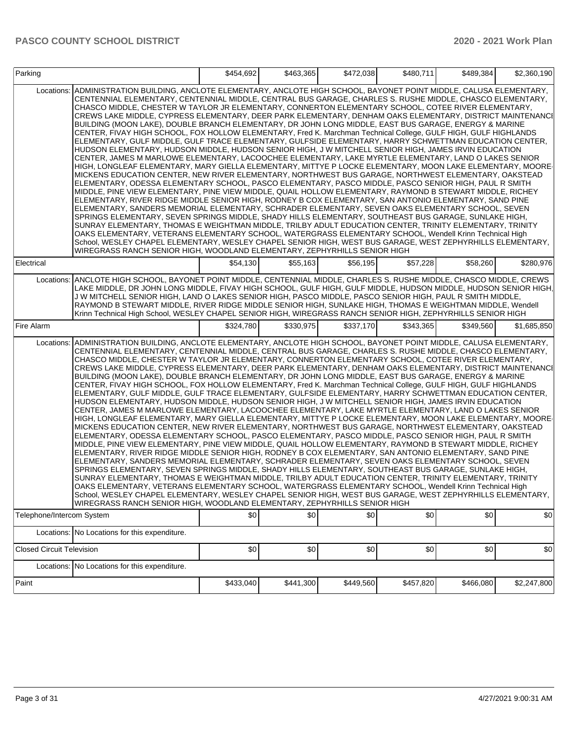| Parking                          |                                                                                                                                                                                                                                                                                                                                                                                                                                                                                                                                                                                                                                                                                                                                                                                                                                                                                                                                                                                                                                                                                                                                                                                                                                                                                                                                                                                                                                                                                                                                                                                                                                                                                                                                                                                                                                                                                                                                                                                                                                                                                                                                                                                            | \$454.692 | \$463.365 | \$472,038 | \$480.711 | \$489,384 | \$2,360,190 |
|----------------------------------|--------------------------------------------------------------------------------------------------------------------------------------------------------------------------------------------------------------------------------------------------------------------------------------------------------------------------------------------------------------------------------------------------------------------------------------------------------------------------------------------------------------------------------------------------------------------------------------------------------------------------------------------------------------------------------------------------------------------------------------------------------------------------------------------------------------------------------------------------------------------------------------------------------------------------------------------------------------------------------------------------------------------------------------------------------------------------------------------------------------------------------------------------------------------------------------------------------------------------------------------------------------------------------------------------------------------------------------------------------------------------------------------------------------------------------------------------------------------------------------------------------------------------------------------------------------------------------------------------------------------------------------------------------------------------------------------------------------------------------------------------------------------------------------------------------------------------------------------------------------------------------------------------------------------------------------------------------------------------------------------------------------------------------------------------------------------------------------------------------------------------------------------------------------------------------------------|-----------|-----------|-----------|-----------|-----------|-------------|
| Locations:                       | ADMINISTRATION BUILDING, ANCLOTE ELEMENTARY, ANCLOTE HIGH SCHOOL, BAYONET POINT MIDDLE, CALUSA ELEMENTARY,<br>CENTENNIAL ELEMENTARY, CENTENNIAL MIDDLE, CENTRAL BUS GARAGE, CHARLES S. RUSHE MIDDLE, CHASCO ELEMENTARY,<br>CHASCO MIDDLE, CHESTER W TAYLOR JR ELEMENTARY, CONNERTON ELEMENTARY SCHOOL, COTEE RIVER ELEMENTARY,<br>CREWS LAKE MIDDLE, CYPRESS ELEMENTARY, DEER PARK ELEMENTARY, DENHAM OAKS ELEMENTARY, DISTRICT MAINTENANCI<br>BUILDING (MOON LAKE), DOUBLE BRANCH ELEMENTARY, DR JOHN LONG MIDDLE, EAST BUS GARAGE, ENERGY & MARINE<br>CENTER, FIVAY HIGH SCHOOL, FOX HOLLOW ELEMENTARY, Fred K. Marchman Technical College, GULF HIGH, GULF HIGHLANDS<br>ELEMENTARY, GULF MIDDLE, GULF TRACE ELEMENTARY, GULFSIDE ELEMENTARY, HARRY SCHWETTMAN EDUCATION CENTER,<br>HUDSON ELEMENTARY, HUDSON MIDDLE, HUDSON SENIOR HIGH, J W MITCHELL SENIOR HIGH, JAMES IRVIN EDUCATION<br>CENTER, JAMES M MARLOWE ELEMENTARY, LACOOCHEE ELEMENTARY, LAKE MYRTLE ELEMENTARY, LAND O LAKES SENIOR<br>HIGH, LONGLEAF ELEMENTARY, MARY GIELLA ELEMENTARY, MITTYE P LOCKE ELEMENTARY, MOON LAKE ELEMENTARY, MOORE-<br>MICKENS EDUCATION CENTER, NEW RIVER ELEMENTARY, NORTHWEST BUS GARAGE, NORTHWEST ELEMENTARY, OAKSTEAD<br>ELEMENTARY, ODESSA ELEMENTARY SCHOOL, PASCO ELEMENTARY, PASCO MIDDLE, PASCO SENIOR HIGH, PAUL R SMITH<br>MIDDLE, PINE VIEW ELEMENTARY, PINE VIEW MIDDLE, QUAIL HOLLOW ELEMENTARY, RAYMOND B STEWART MIDDLE, RICHEY<br>ELEMENTARY, RIVER RIDGE MIDDLE SENIOR HIGH, RODNEY B COX ELEMENTARY, SAN ANTONIO ELEMENTARY, SAND PINE<br>ELEMENTARY, SANDERS MEMORIAL ELEMENTARY, SCHRADER ELEMENTARY, SEVEN OAKS ELEMENTARY SCHOOL, SEVEN<br>SPRINGS ELEMENTARY, SEVEN SPRINGS MIDDLE, SHADY HILLS ELEMENTARY, SOUTHEAST BUS GARAGE, SUNLAKE HIGH,<br>SUNRAY ELEMENTARY, THOMAS E WEIGHTMAN MIDDLE, TRILBY ADULT EDUCATION CENTER, TRINITY ELEMENTARY, TRINITY<br>OAKS ELEMENTARY, VETERANS ELEMENTARY SCHOOL, WATERGRASS ELEMENTARY SCHOOL, Wendell Krinn Technical High<br>School, WESLEY CHAPEL ELEMENTARY, WESLEY CHAPEL SENIOR HIGH, WEST BUS GARAGE, WEST ZEPHYRHILLS ELEMENTARY,<br>WIREGRASS RANCH SENIOR HIGH, WOODLAND ELEMENTARY, ZEPHYRHILLS SENIOR HIGH |           |           |           |           |           |             |
| Electrical                       |                                                                                                                                                                                                                                                                                                                                                                                                                                                                                                                                                                                                                                                                                                                                                                                                                                                                                                                                                                                                                                                                                                                                                                                                                                                                                                                                                                                                                                                                                                                                                                                                                                                                                                                                                                                                                                                                                                                                                                                                                                                                                                                                                                                            | \$54.130  | \$55,163  | \$56,195  | \$57,228  | \$58,260  | \$280,976   |
|                                  | Locations: ANCLOTE HIGH SCHOOL, BAYONET POINT MIDDLE, CENTENNIAL MIDDLE, CHARLES S. RUSHE MIDDLE, CHASCO MIDDLE, CREWS<br>LAKE MIDDLE, DR JOHN LONG MIDDLE, FIVAY HIGH SCHOOL, GULF HIGH, GULF MIDDLE, HUDSON MIDDLE, HUDSON SENIOR HIGH,<br>J W MITCHELL SENIOR HIGH, LAND O LAKES SENIOR HIGH, PASCO MIDDLE, PASCO SENIOR HIGH, PAUL R SMITH MIDDLE,<br>RAYMOND B STEWART MIDDLE, RIVER RIDGE MIDDLE SENIOR HIGH, SUNLAKE HIGH, THOMAS E WEIGHTMAN MIDDLE, Wendell<br>Krinn Technical High School, WESLEY CHAPEL SENIOR HIGH, WIREGRASS RANCH SENIOR HIGH, ZEPHYRHILLS SENIOR HIGH                                                                                                                                                                                                                                                                                                                                                                                                                                                                                                                                                                                                                                                                                                                                                                                                                                                                                                                                                                                                                                                                                                                                                                                                                                                                                                                                                                                                                                                                                                                                                                                                       |           |           |           |           |           |             |
| Fire Alarm                       |                                                                                                                                                                                                                                                                                                                                                                                                                                                                                                                                                                                                                                                                                                                                                                                                                                                                                                                                                                                                                                                                                                                                                                                                                                                                                                                                                                                                                                                                                                                                                                                                                                                                                                                                                                                                                                                                                                                                                                                                                                                                                                                                                                                            | \$324,780 | \$330.975 | \$337,170 | \$343,365 | \$349,560 | \$1,685,850 |
| Locations:                       | ADMINISTRATION BUILDING, ANCLOTE ELEMENTARY, ANCLOTE HIGH SCHOOL, BAYONET POINT MIDDLE, CALUSA ELEMENTARY,<br>CENTENNIAL ELEMENTARY, CENTENNIAL MIDDLE, CENTRAL BUS GARAGE, CHARLES S. RUSHE MIDDLE, CHASCO ELEMENTARY,<br>CHASCO MIDDLE, CHESTER W TAYLOR JR ELEMENTARY, CONNERTON ELEMENTARY SCHOOL, COTEE RIVER ELEMENTARY,<br>CREWS LAKE MIDDLE, CYPRESS ELEMENTARY, DEER PARK ELEMENTARY, DENHAM OAKS ELEMENTARY, DISTRICT MAINTENANCI<br>BUILDING (MOON LAKE), DOUBLE BRANCH ELEMENTARY, DR JOHN LONG MIDDLE, EAST BUS GARAGE, ENERGY & MARINE<br>CENTER, FIVAY HIGH SCHOOL, FOX HOLLOW ELEMENTARY, Fred K. Marchman Technical College, GULF HIGH, GULF HIGHLANDS<br>ELEMENTARY, GULF MIDDLE, GULF TRACE ELEMENTARY, GULFSIDE ELEMENTARY, HARRY SCHWETTMAN EDUCATION CENTER,<br>HUDSON ELEMENTARY, HUDSON MIDDLE, HUDSON SENIOR HIGH, J W MITCHELL SENIOR HIGH, JAMES IRVIN EDUCATION<br>CENTER, JAMES M MARLOWE ELEMENTARY, LACOOCHEE ELEMENTARY, LAKE MYRTLE ELEMENTARY, LAND O LAKES SENIOR<br>HIGH, LONGLEAF ELEMENTARY, MARY GIELLA ELEMENTARY, MITTYE P LOCKE ELEMENTARY, MOON LAKE ELEMENTARY, MOORE-<br>MICKENS EDUCATION CENTER, NEW RIVER ELEMENTARY, NORTHWEST BUS GARAGE, NORTHWEST ELEMENTARY, OAKSTEAD<br>ELEMENTARY, ODESSA ELEMENTARY SCHOOL, PASCO ELEMENTARY, PASCO MIDDLE, PASCO SENIOR HIGH, PAUL R SMITH<br>MIDDLE, PINE VIEW ELEMENTARY, PINE VIEW MIDDLE, QUAIL HOLLOW ELEMENTARY, RAYMOND B STEWART MIDDLE, RICHEY<br>ELEMENTARY, RIVER RIDGE MIDDLE SENIOR HIGH, RODNEY B COX ELEMENTARY, SAN ANTONIO ELEMENTARY, SAND PINE<br>ELEMENTARY, SANDERS MEMORIAL ELEMENTARY, SCHRADER ELEMENTARY, SEVEN OAKS ELEMENTARY SCHOOL, SEVEN<br>SPRINGS ELEMENTARY, SEVEN SPRINGS MIDDLE, SHADY HILLS ELEMENTARY, SOUTHEAST BUS GARAGE, SUNLAKE HIGH,<br>SUNRAY ELEMENTARY, THOMAS E WEIGHTMAN MIDDLE, TRILBY ADULT EDUCATION CENTER, TRINITY ELEMENTARY, TRINITY<br>OAKS ELEMENTARY, VETERANS ELEMENTARY SCHOOL, WATERGRASS ELEMENTARY SCHOOL, Wendell Krinn Technical High<br>School, WESLEY CHAPEL ELEMENTARY, WESLEY CHAPEL SENIOR HIGH, WEST BUS GARAGE, WEST ZEPHYRHILLS ELEMENTARY,<br>WIREGRASS RANCH SENIOR HIGH, WOODLAND ELEMENTARY, ZEPHYRHILLS SENIOR HIGH |           |           |           |           |           |             |
| Telephone/Intercom System        |                                                                                                                                                                                                                                                                                                                                                                                                                                                                                                                                                                                                                                                                                                                                                                                                                                                                                                                                                                                                                                                                                                                                                                                                                                                                                                                                                                                                                                                                                                                                                                                                                                                                                                                                                                                                                                                                                                                                                                                                                                                                                                                                                                                            | \$0       | \$0       | \$0       | \$0       | \$0       | \$0         |
|                                  | Locations: No Locations for this expenditure.                                                                                                                                                                                                                                                                                                                                                                                                                                                                                                                                                                                                                                                                                                                                                                                                                                                                                                                                                                                                                                                                                                                                                                                                                                                                                                                                                                                                                                                                                                                                                                                                                                                                                                                                                                                                                                                                                                                                                                                                                                                                                                                                              |           |           |           |           |           |             |
| <b>Closed Circuit Television</b> |                                                                                                                                                                                                                                                                                                                                                                                                                                                                                                                                                                                                                                                                                                                                                                                                                                                                                                                                                                                                                                                                                                                                                                                                                                                                                                                                                                                                                                                                                                                                                                                                                                                                                                                                                                                                                                                                                                                                                                                                                                                                                                                                                                                            | \$0       | \$0       | \$0       | \$0       | \$0       | \$0         |
|                                  | Locations: No Locations for this expenditure.                                                                                                                                                                                                                                                                                                                                                                                                                                                                                                                                                                                                                                                                                                                                                                                                                                                                                                                                                                                                                                                                                                                                                                                                                                                                                                                                                                                                                                                                                                                                                                                                                                                                                                                                                                                                                                                                                                                                                                                                                                                                                                                                              |           |           |           |           |           |             |
| Paint                            |                                                                                                                                                                                                                                                                                                                                                                                                                                                                                                                                                                                                                                                                                                                                                                                                                                                                                                                                                                                                                                                                                                                                                                                                                                                                                                                                                                                                                                                                                                                                                                                                                                                                                                                                                                                                                                                                                                                                                                                                                                                                                                                                                                                            | \$433,040 | \$441,300 | \$449,560 | \$457,820 | \$466,080 | \$2,247,800 |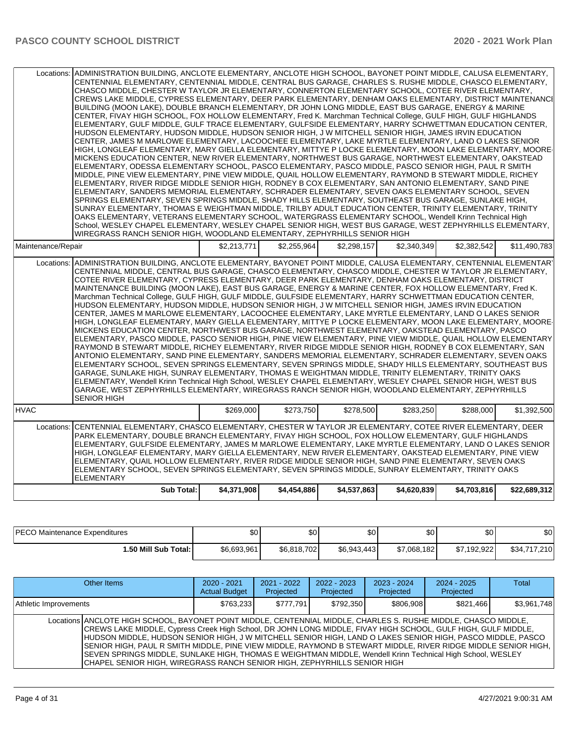| Locations: ADMINISTRATION BUILDING, ANCLOTE ELEMENTARY, ANCLOTE HIGH SCHOOL, BAYONET POINT MIDDLE, CALUSA ELEMENTARY,<br>CENTENNIAL ELEMENTARY, CENTENNIAL MIDDLE, CENTRAL BUS GARAGE, CHARLES S. RUSHE MIDDLE, CHASCO ELEMENTARY,<br>CHASCO MIDDLE, CHESTER W TAYLOR JR ELEMENTARY, CONNERTON ELEMENTARY SCHOOL, COTEE RIVER ELEMENTARY,<br>CREWS LAKE MIDDLE. CYPRESS ELEMENTARY. DEER PARK ELEMENTARY. DENHAM OAKS ELEMENTARY. DISTRICT MAINTENANCI<br>BUILDING (MOON LAKE), DOUBLE BRANCH ELEMENTARY, DR JOHN LONG MIDDLE, EAST BUS GARAGE, ENERGY & MARINE<br>CENTER, FIVAY HIGH SCHOOL, FOX HOLLOW ELEMENTARY, Fred K. Marchman Technical College, GULF HIGH, GULF HIGHLANDS<br>ELEMENTARY, GULF MIDDLE, GULF TRACE ELEMENTARY, GULFSIDE ELEMENTARY, HARRY SCHWETTMAN EDUCATION CENTER,<br>HUDSON ELEMENTARY, HUDSON MIDDLE, HUDSON SENIOR HIGH, J W MITCHELL SENIOR HIGH, JAMES IRVIN EDUCATION<br>CENTER, JAMES M MARLOWE ELEMENTARY, LACOOCHEE ELEMENTARY, LAKE MYRTLE ELEMENTARY, LAND O LAKES SENIOR<br>HIGH, LONGLEAF ELEMENTARY, MARY GIELLA ELEMENTARY, MITTYE P LOCKE ELEMENTARY, MOON LAKE ELEMENTARY, MOORE-<br>MICKENS EDUCATION CENTER, NEW RIVER ELEMENTARY, NORTHWEST BUS GARAGE, NORTHWEST ELEMENTARY, OAKSTEAD<br>ELEMENTARY, ODESSA ELEMENTARY SCHOOL, PASCO ELEMENTARY, PASCO MIDDLE, PASCO SENIOR HIGH, PAUL R SMITH<br>MIDDLE, PINE VIEW ELEMENTARY, PINE VIEW MIDDLE, QUAIL HOLLOW ELEMENTARY, RAYMOND B STEWART MIDDLE, RICHEY<br>ELEMENTARY, RIVER RIDGE MIDDLE SENIOR HIGH, RODNEY B COX ELEMENTARY, SAN ANTONIO ELEMENTARY, SAND PINE<br>ELEMENTARY, SANDERS MEMORIAL ELEMENTARY, SCHRADER ELEMENTARY, SEVEN OAKS ELEMENTARY SCHOOL, SEVEN<br>SPRINGS ELEMENTARY, SEVEN SPRINGS MIDDLE, SHADY HILLS ELEMENTARY, SOUTHEAST BUS GARAGE, SUNLAKE HIGH,<br>SUNRAY ELEMENTARY. THOMAS E WEIGHTMAN MIDDLE. TRILBY ADULT EDUCATION CENTER. TRINITY ELEMENTARY. TRINITY<br>OAKS ELEMENTARY, VETERANS ELEMENTARY SCHOOL, WATERGRASS ELEMENTARY SCHOOL, Wendell Krinn Technical High<br>School, WESLEY CHAPEL ELEMENTARY, WESLEY CHAPEL SENIOR HIGH, WEST BUS GARAGE, WEST ZEPHYRHILLS ELEMENTARY,<br>WIREGRASS RANCH SENIOR HIGH, WOODLAND ELEMENTARY, ZEPHYRHILLS SENIOR HIGH<br>\$2,255,964<br>\$2.298.157<br>\$2.213.771<br>\$11,490,783 |             |             |             |             |             |              |  |
|--------------------------------------------------------------------------------------------------------------------------------------------------------------------------------------------------------------------------------------------------------------------------------------------------------------------------------------------------------------------------------------------------------------------------------------------------------------------------------------------------------------------------------------------------------------------------------------------------------------------------------------------------------------------------------------------------------------------------------------------------------------------------------------------------------------------------------------------------------------------------------------------------------------------------------------------------------------------------------------------------------------------------------------------------------------------------------------------------------------------------------------------------------------------------------------------------------------------------------------------------------------------------------------------------------------------------------------------------------------------------------------------------------------------------------------------------------------------------------------------------------------------------------------------------------------------------------------------------------------------------------------------------------------------------------------------------------------------------------------------------------------------------------------------------------------------------------------------------------------------------------------------------------------------------------------------------------------------------------------------------------------------------------------------------------------------------------------------------------------------------------------------------------------------------------------------------------------------------------------------------------------------|-------------|-------------|-------------|-------------|-------------|--------------|--|
| Maintenance/Repair                                                                                                                                                                                                                                                                                                                                                                                                                                                                                                                                                                                                                                                                                                                                                                                                                                                                                                                                                                                                                                                                                                                                                                                                                                                                                                                                                                                                                                                                                                                                                                                                                                                                                                                                                                                                                                                                                                                                                                                                                                                                                                                                                                                                                                                 |             |             |             | \$2,340,349 | \$2,382,542 |              |  |
| ADMINISTRATION BUILDING, ANCLOTE ELEMENTARY, BAYONET POINT MIDDLE, CALUSA ELEMENTARY, CENTENNIAL ELEMENTARY<br>Locations:<br>CENTENNIAL MIDDLE, CENTRAL BUS GARAGE, CHASCO ELEMENTARY, CHASCO MIDDLE, CHESTER W TAYLOR JR ELEMENTARY,<br>COTEE RIVER ELEMENTARY, CYPRESS ELEMENTARY, DEER PARK ELEMENTARY, DENHAM OAKS ELEMENTARY, DISTRICT<br>MAINTENANCE BUILDING (MOON LAKE), EAST BUS GARAGE, ENERGY & MARINE CENTER, FOX HOLLOW ELEMENTARY, Fred K.<br>Marchman Technical College, GULF HIGH, GULF MIDDLE, GULFSIDE ELEMENTARY, HARRY SCHWETTMAN EDUCATION CENTER,<br>HUDSON ELEMENTARY, HUDSON MIDDLE, HUDSON SENIOR HIGH, J W MITCHELL SENIOR HIGH, JAMES IRVIN EDUCATION<br>CENTER, JAMES M MARLOWE ELEMENTARY, LACOOCHEE ELEMENTARY, LAKE MYRTLE ELEMENTARY, LAND O LAKES SENIOR<br>HIGH, LONGLEAF ELEMENTARY, MARY GIELLA ELEMENTARY, MITTYE P LOCKE ELEMENTARY, MOON LAKE ELEMENTARY, MOORE-<br>MICKENS EDUCATION CENTER. NORTHWEST BUS GARAGE. NORTHWEST ELEMENTARY. OAKSTEAD ELEMENTARY. PASCO<br>ELEMENTARY, PASCO MIDDLE, PASCO SENIOR HIGH, PINE VIEW ELEMENTARY, PINE VIEW MIDDLE, QUAIL HOLLOW ELEMENTARY<br>RAYMOND B STEWART MIDDLE, RICHEY ELEMENTARY, RIVER RIDGE MIDDLE SENIOR HIGH, RODNEY B COX ELEMENTARY, SAN<br>ANTONIO ELEMENTARY, SAND PINE ELEMENTARY, SANDERS MEMORIAL ELEMENTARY, SCHRADER ELEMENTARY, SEVEN OAKS<br>ELEMENTARY SCHOOL, SEVEN SPRINGS ELEMENTARY, SEVEN SPRINGS MIDDLE, SHADY HILLS ELEMENTARY, SOUTHEAST BUS<br>GARAGE, SUNLAKE HIGH, SUNRAY ELEMENTARY, THOMAS E WEIGHTMAN MIDDLE, TRINITY ELEMENTARY, TRINITY OAKS<br>ELEMENTARY, Wendell Krinn Technical High School, WESLEY CHAPEL ELEMENTARY, WESLEY CHAPEL SENIOR HIGH, WEST BUS<br>GARAGE, WEST ZEPHYRHILLS ELEMENTARY, WIREGRASS RANCH SENIOR HIGH, WOODLAND ELEMENTARY, ZEPHYRHILLS<br><b>SENIOR HIGH</b>                                                                                                                                                                                                                                                                                                                                                                                                                                               |             |             |             |             |             |              |  |
| <b>HVAC</b>                                                                                                                                                                                                                                                                                                                                                                                                                                                                                                                                                                                                                                                                                                                                                                                                                                                                                                                                                                                                                                                                                                                                                                                                                                                                                                                                                                                                                                                                                                                                                                                                                                                                                                                                                                                                                                                                                                                                                                                                                                                                                                                                                                                                                                                        | \$269.000   | \$273,750   | \$278,500   | \$283,250   | \$288,000   | \$1,392,500  |  |
| CENTENNIAL ELEMENTARY, CHASCO ELEMENTARY, CHESTER W TAYLOR JR ELEMENTARY, COTEE RIVER ELEMENTARY, DEER<br>Locations:<br>PARK ELEMENTARY, DOUBLE BRANCH ELEMENTARY, FIVAY HIGH SCHOOL, FOX HOLLOW ELEMENTARY, GULF HIGHLANDS<br>ELEMENTARY, GULFSIDE ELEMENTARY, JAMES M MARLOWE ELEMENTARY, LAKE MYRTLE ELEMENTARY, LAND O LAKES SENIOR<br>HIGH, LONGLEAF ELEMENTARY, MARY GIELLA ELEMENTARY, NEW RIVER ELEMENTARY, OAKSTEAD ELEMENTARY, PINE VIEW<br>ELEMENTARY, QUAIL HOLLOW ELEMENTARY, RIVER RIDGE MIDDLE SENIOR HIGH, SAND PINE ELEMENTARY, SEVEN OAKS<br>ELEMENTARY SCHOOL, SEVEN SPRINGS ELEMENTARY, SEVEN SPRINGS MIDDLE, SUNRAY ELEMENTARY, TRINITY OAKS<br><b>ELEMENTARY</b><br><b>Sub Total:</b>                                                                                                                                                                                                                                                                                                                                                                                                                                                                                                                                                                                                                                                                                                                                                                                                                                                                                                                                                                                                                                                                                                                                                                                                                                                                                                                                                                                                                                                                                                                                                        | \$4,371,908 | \$4,454,886 | \$4,537,863 | \$4,620,839 | \$4.703.816 | \$22,689,312 |  |
|                                                                                                                                                                                                                                                                                                                                                                                                                                                                                                                                                                                                                                                                                                                                                                                                                                                                                                                                                                                                                                                                                                                                                                                                                                                                                                                                                                                                                                                                                                                                                                                                                                                                                                                                                                                                                                                                                                                                                                                                                                                                                                                                                                                                                                                                    |             |             |             |             |             |              |  |

| <b>PECO Maintenance Expenditures</b> | ሶስ<br>ΦU    | \$0         | \$0         | ا 30        | ሶስ<br>υU    | \$0          |
|--------------------------------------|-------------|-------------|-------------|-------------|-------------|--------------|
| 1.50 Mill Sub Total: I               | \$6,693,961 | \$6,818,702 | \$6,943,443 | \$7,068,182 | \$7.192.922 | \$34,717,210 |

| Other Items                                                                                                                                                                                                                                                                                                                                                                                                                                                                                                                                                                                                                                                | $2020 - 2021$<br><b>Actual Budget</b> | $2021 - 2022$<br>Projected | $2022 - 2023$<br>Projected | $2023 - 2024$<br>Projected | $2024 - 2025$<br>Projected | <b>Total</b> |
|------------------------------------------------------------------------------------------------------------------------------------------------------------------------------------------------------------------------------------------------------------------------------------------------------------------------------------------------------------------------------------------------------------------------------------------------------------------------------------------------------------------------------------------------------------------------------------------------------------------------------------------------------------|---------------------------------------|----------------------------|----------------------------|----------------------------|----------------------------|--------------|
| Athletic Improvements                                                                                                                                                                                                                                                                                                                                                                                                                                                                                                                                                                                                                                      | \$763.233                             | \$777.791                  | \$792.350                  | \$806.908                  | \$821.466                  | \$3,961,748  |
| Locations ANCLOTE HIGH SCHOOL, BAYONET POINT MIDDLE, CENTENNIAL MIDDLE, CHARLES S. RUSHE MIDDLE, CHASCO MIDDLE,<br>CREWS LAKE MIDDLE, Cypress Creek High School, DR JOHN LONG MIDDLE, FIVAY HIGH SCHOOL, GULF HIGH, GULF MIDDLE,<br>HUDSON MIDDLE, HUDSON SENIOR HIGH, J W MITCHELL SENIOR HIGH, LAND O LAKES SENIOR HIGH, PASCO MIDDLE, PASCO<br> SENIOR HIGH, PAUL R SMITH MIDDLE, PINE VIEW MIDDLE, RAYMOND B STEWART MIDDLE, RIVER RIDGE MIDDLE SENIOR HIGH,<br>SEVEN SPRINGS MIDDLE, SUNLAKE HIGH, THOMAS E WEIGHTMAN MIDDLE, Wendell Krinn Technical High School, WESLEY<br>CHAPEL SENIOR HIGH, WIREGRASS RANCH SENIOR HIGH, ZEPHYRHILLS SENIOR HIGH |                                       |                            |                            |                            |                            |              |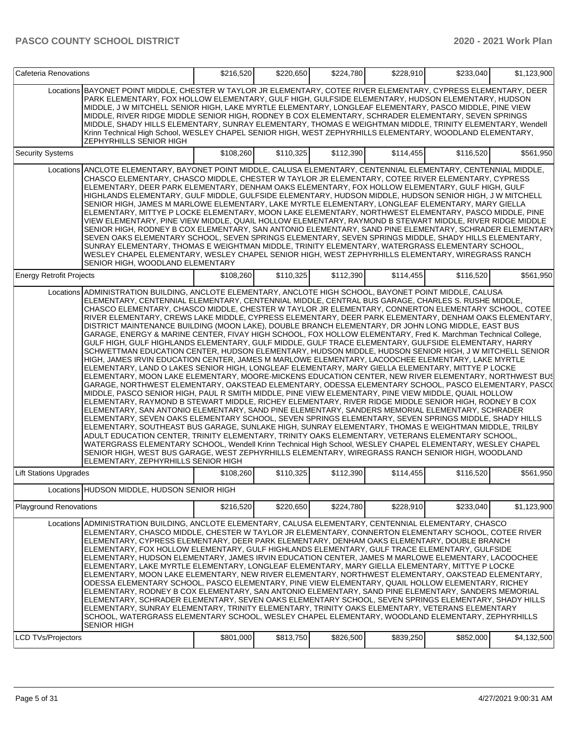| Cafeteria Renovations           |                                                                                                                                                                                                                                                                                                                                                                                                                                                                                                                                                                                                                                                                                                                                                                                                                                                                                                                                                                                                                                                                                                                                                                                                                                                                                                                                                                                                                                                                                                                                                                                                                                                                                                                                                                                                                                                                                                                                                                                                                                                                                                                                                                                                        | \$216,520 | \$220,650 | \$224,780 | \$228,910 | \$233,040 | \$1,123,900 |
|---------------------------------|--------------------------------------------------------------------------------------------------------------------------------------------------------------------------------------------------------------------------------------------------------------------------------------------------------------------------------------------------------------------------------------------------------------------------------------------------------------------------------------------------------------------------------------------------------------------------------------------------------------------------------------------------------------------------------------------------------------------------------------------------------------------------------------------------------------------------------------------------------------------------------------------------------------------------------------------------------------------------------------------------------------------------------------------------------------------------------------------------------------------------------------------------------------------------------------------------------------------------------------------------------------------------------------------------------------------------------------------------------------------------------------------------------------------------------------------------------------------------------------------------------------------------------------------------------------------------------------------------------------------------------------------------------------------------------------------------------------------------------------------------------------------------------------------------------------------------------------------------------------------------------------------------------------------------------------------------------------------------------------------------------------------------------------------------------------------------------------------------------------------------------------------------------------------------------------------------------|-----------|-----------|-----------|-----------|-----------|-------------|
|                                 | Locations BAYONET POINT MIDDLE, CHESTER W TAYLOR JR ELEMENTARY, COTEE RIVER ELEMENTARY, CYPRESS ELEMENTARY, DEER<br>PARK ELEMENTARY, FOX HOLLOW ELEMENTARY, GULF HIGH, GULFSIDE ELEMENTARY, HUDSON ELEMENTARY, HUDSON<br>MIDDLE, J W MITCHELL SENIOR HIGH, LAKE MYRTLE ELEMENTARY, LONGLEAF ELEMENTARY, PASCO MIDDLE, PINE VIEW<br>MIDDLE, RIVER RIDGE MIDDLE SENIOR HIGH, RODNEY B COX ELEMENTARY, SCHRADER ELEMENTARY, SEVEN SPRINGS<br>MIDDLE, SHADY HILLS ELEMENTARY, SUNRAY ELEMENTARY, THOMAS E WEIGHTMAN MIDDLE, TRINITY ELEMENTARY, Wendell<br>Krinn Technical High School, WESLEY CHAPEL SENIOR HIGH, WEST ZEPHYRHILLS ELEMENTARY, WOODLAND ELEMENTARY,<br><b>ZEPHYRHILLS SENIOR HIGH</b>                                                                                                                                                                                                                                                                                                                                                                                                                                                                                                                                                                                                                                                                                                                                                                                                                                                                                                                                                                                                                                                                                                                                                                                                                                                                                                                                                                                                                                                                                                     |           |           |           |           |           |             |
| <b>Security Systems</b>         |                                                                                                                                                                                                                                                                                                                                                                                                                                                                                                                                                                                                                                                                                                                                                                                                                                                                                                                                                                                                                                                                                                                                                                                                                                                                                                                                                                                                                                                                                                                                                                                                                                                                                                                                                                                                                                                                                                                                                                                                                                                                                                                                                                                                        | \$108,260 | \$110,325 | \$112,390 | \$114,455 | \$116,520 | \$561,950   |
|                                 | Locations ANCLOTE ELEMENTARY, BAYONET POINT MIDDLE, CALUSA ELEMENTARY, CENTENNIAL ELEMENTARY, CENTENNIAL MIDDLE,<br>CHASCO ELEMENTARY, CHASCO MIDDLE, CHESTER W TAYLOR JR ELEMENTARY, COTEE RIVER ELEMENTARY, CYPRESS<br>ELEMENTARY, DEER PARK ELEMENTARY, DENHAM OAKS ELEMENTARY, FOX HOLLOW ELEMENTARY, GULF HIGH, GULF<br>HIGHLANDS ELEMENTARY, GULF MIDDLE, GULFSIDE ELEMENTARY, HUDSON MIDDLE, HUDSON SENIOR HIGH, J W MITCHELL <br>SENIOR HIGH, JAMES M MARLOWE ELEMENTARY, LAKE MYRTLE ELEMENTARY, LONGLEAF ELEMENTARY, MARY GIELLA<br>ELEMENTARY, MITTYE P LOCKE ELEMENTARY, MOON LAKE ELEMENTARY, NORTHWEST ELEMENTARY, PASCO MIDDLE, PINE<br>VIEW ELEMENTARY, PINE VIEW MIDDLE, QUAIL HOLLOW ELEMENTARY, RAYMOND B STEWART MIDDLE, RIVER RIDGE MIDDLE<br>SENIOR HIGH, RODNEY B COX ELEMENTARY, SAN ANTONIO ELEMENTARY, SAND PINE ELEMENTARY, SCHRADER ELEMENTARY<br>SEVEN OAKS ELEMENTARY SCHOOL, SEVEN SPRINGS ELEMENTARY, SEVEN SPRINGS MIDDLE, SHADY HILLS ELEMENTARY,<br>SUNRAY ELEMENTARY, THOMAS E WEIGHTMAN MIDDLE, TRINITY ELEMENTARY, WATERGRASS ELEMENTARY SCHOOL,<br>WESLEY CHAPEL ELEMENTARY, WESLEY CHAPEL SENIOR HIGH, WEST ZEPHYRHILLS ELEMENTARY, WIREGRASS RANCH<br>SENIOR HIGH, WOODLAND ELEMENTARY                                                                                                                                                                                                                                                                                                                                                                                                                                                                                                                                                                                                                                                                                                                                                                                                                                                                                                                                                                        |           |           |           |           |           |             |
| <b>Energy Retrofit Projects</b> |                                                                                                                                                                                                                                                                                                                                                                                                                                                                                                                                                                                                                                                                                                                                                                                                                                                                                                                                                                                                                                                                                                                                                                                                                                                                                                                                                                                                                                                                                                                                                                                                                                                                                                                                                                                                                                                                                                                                                                                                                                                                                                                                                                                                        | \$108,260 | \$110,325 | \$112,390 | \$114,455 | \$116,520 | \$561,950   |
|                                 | Locations ADMINISTRATION BUILDING, ANCLOTE ELEMENTARY, ANCLOTE HIGH SCHOOL, BAYONET POINT MIDDLE, CALUSA<br>ELEMENTARY, CENTENNIAL ELEMENTARY, CENTENNIAL MIDDLE, CENTRAL BUS GARAGE, CHARLES S. RUSHE MIDDLE,<br>CHASCO ELEMENTARY, CHASCO MIDDLE, CHESTER W TAYLOR JR ELEMENTARY, CONNERTON ELEMENTARY SCHOOL, COTEE<br>RIVER ELEMENTARY, CREWS LAKE MIDDLE, CYPRESS ELEMENTARY, DEER PARK ELEMENTARY, DENHAM OAKS ELEMENTARY,<br>DISTRICT MAINTENANCE BUILDING (MOON LAKE), DOUBLE BRANCH ELEMENTARY, DR JOHN LONG MIDDLE, EAST BUS<br>GARAGE, ENERGY & MARINE CENTER, FIVAY HIGH SCHOOL, FOX HOLLOW ELEMENTARY, Fred K. Marchman Technical College,<br>GULF HIGH, GULF HIGHLANDS ELEMENTARY, GULF MIDDLE, GULF TRACE ELEMENTARY, GULFSIDE ELEMENTARY, HARRY<br>SCHWETTMAN EDUCATION CENTER, HUDSON ELEMENTARY, HUDSON MIDDLE, HUDSON SENIOR HIGH, J W MITCHELL SENIOR<br>HIGH, JAMES IRVIN EDUCATION CENTER, JAMES M MARLOWE ELEMENTARY, LACOOCHEE ELEMENTARY, LAKE MYRTLE<br>ELEMENTARY, LAND O LAKES SENIOR HIGH, LONGLEAF ELEMENTARY, MARY GIELLA ELEMENTARY, MITTYE P LOCKE<br>ELEMENTARY, MOON LAKE ELEMENTARY, MOORE-MICKENS EDUCATION CENTER, NEW RIVER ELEMENTARY, NORTHWEST BUS<br>GARAGE, NORTHWEST ELEMENTARY, OAKSTEAD ELEMENTARY, ODESSA ELEMENTARY SCHOOL, PASCO ELEMENTARY, PASC(<br>MIDDLE, PASCO SENIOR HIGH, PAUL R SMITH MIDDLE, PINE VIEW ELEMENTARY, PINE VIEW MIDDLE, QUAIL HOLLOW<br>ELEMENTARY, RAYMOND B STEWART MIDDLE, RICHEY ELEMENTARY, RIVER RIDGE MIDDLE SENIOR HIGH, RODNEY B COX<br>ELEMENTARY, SAN ANTONIO ELEMENTARY, SAND PINE ELEMENTARY, SANDERS MEMORIAL ELEMENTARY, SCHRADER<br>ELEMENTARY, SEVEN OAKS ELEMENTARY SCHOOL, SEVEN SPRINGS ELEMENTARY, SEVEN SPRINGS MIDDLE, SHADY HILLS<br>ELEMENTARY, SOUTHEAST BUS GARAGE, SUNLAKE HIGH, SUNRAY ELEMENTARY, THOMAS E WEIGHTMAN MIDDLE, TRILBY<br>ADULT EDUCATION CENTER, TRINITY ELEMENTARY, TRINITY OAKS ELEMENTARY, VETERANS ELEMENTARY SCHOOL,<br>WATERGRASS ELEMENTARY SCHOOL, Wendell Krinn Technical High School, WESLEY CHAPEL ELEMENTARY, WESLEY CHAPEL<br>SENIOR HIGH, WEST BUS GARAGE, WEST ZEPHYRHILLS ELEMENTARY, WIREGRASS RANCH SENIOR HIGH, WOODLAND<br>ELEMENTARY, ZEPHYRHILLS SENIOR HIGH |           |           |           |           |           |             |
| <b>Lift Stations Upgrades</b>   |                                                                                                                                                                                                                                                                                                                                                                                                                                                                                                                                                                                                                                                                                                                                                                                                                                                                                                                                                                                                                                                                                                                                                                                                                                                                                                                                                                                                                                                                                                                                                                                                                                                                                                                                                                                                                                                                                                                                                                                                                                                                                                                                                                                                        | \$108,260 | \$110,325 | \$112,390 | \$114,455 | \$116,520 | \$561,950   |
|                                 | Locations HUDSON MIDDLE, HUDSON SENIOR HIGH                                                                                                                                                                                                                                                                                                                                                                                                                                                                                                                                                                                                                                                                                                                                                                                                                                                                                                                                                                                                                                                                                                                                                                                                                                                                                                                                                                                                                                                                                                                                                                                                                                                                                                                                                                                                                                                                                                                                                                                                                                                                                                                                                            |           |           |           |           |           |             |
| <b>Playground Renovations</b>   |                                                                                                                                                                                                                                                                                                                                                                                                                                                                                                                                                                                                                                                                                                                                                                                                                                                                                                                                                                                                                                                                                                                                                                                                                                                                                                                                                                                                                                                                                                                                                                                                                                                                                                                                                                                                                                                                                                                                                                                                                                                                                                                                                                                                        | \$216,520 | \$220,650 | \$224,780 | \$228,910 | \$233,040 | \$1,123,900 |
| <b>LCD TVs/Projectors</b>       | Locations ADMINISTRATION BUILDING, ANCLOTE ELEMENTARY, CALUSA ELEMENTARY, CENTENNIAL ELEMENTARY, CHASCO<br>ELEMENTARY, CHASCO MIDDLE, CHESTER W TAYLOR JR ELEMENTARY, CONNERTON ELEMENTARY SCHOOL, COTEE RIVER<br>ELEMENTARY, CYPRESS ELEMENTARY, DEER PARK ELEMENTARY, DENHAM OAKS ELEMENTARY, DOUBLE BRANCH<br>ELEMENTARY, FOX HOLLOW ELEMENTARY, GULF HIGHLANDS ELEMENTARY, GULF TRACE ELEMENTARY, GULFSIDE<br>ELEMENTARY, HUDSON ELEMENTARY, JAMES IRVIN EDUCATION CENTER, JAMES M MARLOWE ELEMENTARY, LACOOCHEE<br>ELEMENTARY, LAKE MYRTLE ELEMENTARY, LONGLEAF ELEMENTARY, MARY GIELLA ELEMENTARY, MITTYE P LOCKE<br>ELEMENTARY, MOON LAKE ELEMENTARY, NEW RIVER ELEMENTARY, NORTHWEST ELEMENTARY, OAKSTEAD ELEMENTARY,<br>ODESSA ELEMENTARY SCHOOL, PASCO ELEMENTARY, PINE VIEW ELEMENTARY, QUAIL HOLLOW ELEMENTARY, RICHEY<br>ELEMENTARY, RODNEY B COX ELEMENTARY, SAN ANTONIO ELEMENTARY, SAND PINE ELEMENTARY, SANDERS MEMORIAL<br>ELEMENTARY, SCHRADER ELEMENTARY, SEVEN OAKS ELEMENTARY SCHOOL, SEVEN SPRINGS ELEMENTARY, SHADY HILLS <br>ELEMENTARY, SUNRAY ELEMENTARY, TRINITY ELEMENTARY, TRINITY OAKS ELEMENTARY, VETERANS ELEMENTARY <br>SCHOOL, WATERGRASS ELEMENTARY SCHOOL, WESLEY CHAPEL ELEMENTARY, WOODLAND ELEMENTARY, ZEPHYRHILLS<br><b>SENIOR HIGH</b>                                                                                                                                                                                                                                                                                                                                                                                                                                                                                                                                                                                                                                                                                                                                                                                                                                                                                                                       | \$801,000 | \$813,750 | \$826,500 | \$839,250 | \$852,000 | \$4,132,500 |
|                                 |                                                                                                                                                                                                                                                                                                                                                                                                                                                                                                                                                                                                                                                                                                                                                                                                                                                                                                                                                                                                                                                                                                                                                                                                                                                                                                                                                                                                                                                                                                                                                                                                                                                                                                                                                                                                                                                                                                                                                                                                                                                                                                                                                                                                        |           |           |           |           |           |             |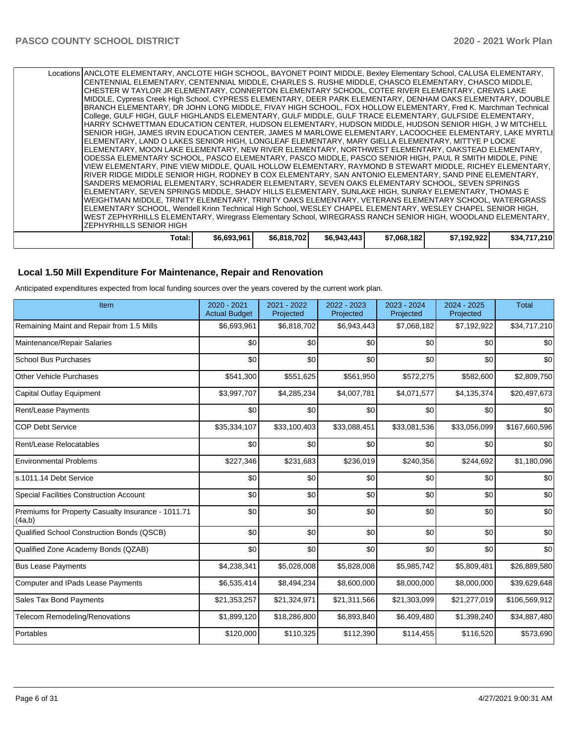| RIVER RIDGE MIDDLE SENIOR HIGH, RODNEY B COX ELEMENTARY, SAN ANTONIO ELEMENTARY, SAND PINE ELEMENTARY,<br>ISANDERS MEMORIAL ELEMENTARY, SCHRADER ELEMENTARY, SEVEN OAKS ELEMENTARY SCHOOL, SEVEN SPRINGS<br>ELEMENTARY, SEVEN SPRINGS MIDDLE, SHADY HILLS ELEMENTARY, SUNLAKE HIGH, SUNRAY ELEMENTARY, THOMAS E<br>WEIGHTMAN MIDDLE, TRINITY ELEMENTARY, TRINITY OAKS ELEMENTARY, VETERANS ELEMENTARY SCHOOL, WATERGRASS<br>ELEMENTARY SCHOOL, Wendell Krinn Technical High School, WESLEY CHAPEL ELEMENTARY, WESLEY CHAPEL SENIOR HIGH,<br><b>WEST ZEPHYRHILLS ELEMENTARY, Wiregrass Elementary School, WIREGRASS RANCH SENIOR HIGH, WOODLAND ELEMENTARY,</b>                                                                                                                          |
|-----------------------------------------------------------------------------------------------------------------------------------------------------------------------------------------------------------------------------------------------------------------------------------------------------------------------------------------------------------------------------------------------------------------------------------------------------------------------------------------------------------------------------------------------------------------------------------------------------------------------------------------------------------------------------------------------------------------------------------------------------------------------------------------|
| IZEPHYRHILLS SENIOR HIGH                                                                                                                                                                                                                                                                                                                                                                                                                                                                                                                                                                                                                                                                                                                                                                |
|                                                                                                                                                                                                                                                                                                                                                                                                                                                                                                                                                                                                                                                                                                                                                                                         |
| ISENIOR HIGH, JAMES IRVIN EDUCATION CENTER, JAMES M MARLOWE ELEMENTARY, LACOOCHEE ELEMENTARY, LAKE MYRTLI<br>ELEMENTARY, LAND O LAKES SENIOR HIGH, LONGLEAF ELEMENTARY, MARY GIELLA ELEMENTARY, MITTYE P LOCKE<br>ELEMENTARY, MOON LAKE ELEMENTARY, NEW RIVER ELEMENTARY, NORTHWEST ELEMENTARY, OAKSTEAD ELEMENTARY,<br>ODESSA ELEMENTARY SCHOOL, PASCO ELEMENTARY, PASCO MIDDLE, PASCO SENIOR HIGH, PAUL R SMITH MIDDLE, PINE<br>VIEW ELEMENTARY, PINE VIEW MIDDLE, QUAIL HOLLOW ELEMENTARY, RAYMOND B STEWART MIDDLE, RICHEY ELEMENTARY,                                                                                                                                                                                                                                              |
| Locations   ANCLOTE ELEMENTARY, ANCLOTE HIGH SCHOOL, BAYONET POINT MIDDLE, Bexley Elementary School, CALUSA ELEMENTARY,<br> CENTENNIAL ELEMENTARY, CENTENNIAL MIDDLE, CHARLES S. RUSHE MIDDLE, CHASCO ELEMENTARY, CHASCO MIDDLE,<br>ICHESTER W TAYLOR JR ELEMENTARY. CONNERTON ELEMENTARY SCHOOL. COTEE RIVER ELEMENTARY. CREWS LAKE<br>MIDDLE, Cypress Creek High School, CYPRESS ELEMENTARY, DEER PARK ELEMENTARY, DENHAM OAKS ELEMENTARY, DOUBLE<br>BRANCH ELEMENTARY, DR JOHN LONG MIDDLE, FIVAY HIGH SCHOOL, FOX HOLLOW ELEMENTARY, Fred K. Marchman Technical<br>College, GULF HIGH, GULF HIGHLANDS ELEMENTARY, GULF MIDDLE, GULF TRACE ELEMENTARY, GULFSIDE ELEMENTARY,<br>HARRY SCHWETTMAN EDUCATION CENTER, HUDSON ELEMENTARY, HUDSON MIDDLE, HUDSON SENIOR HIGH, J W MITCHELL |

#### **Local 1.50 Mill Expenditure For Maintenance, Repair and Renovation**

Anticipated expenditures expected from local funding sources over the years covered by the current work plan.

| Item                                                         | 2020 - 2021<br><b>Actual Budget</b> | 2021 - 2022<br>Projected | 2022 - 2023<br>Projected | 2023 - 2024<br>Projected | 2024 - 2025<br>Projected | <b>Total</b>  |
|--------------------------------------------------------------|-------------------------------------|--------------------------|--------------------------|--------------------------|--------------------------|---------------|
| Remaining Maint and Repair from 1.5 Mills                    | \$6,693,961                         | \$6,818,702              | \$6,943,443              | \$7,068,182              | \$7,192,922              | \$34,717,210  |
| Maintenance/Repair Salaries                                  | \$0                                 | \$0                      | \$0                      | \$0                      | \$0                      | \$0           |
| <b>School Bus Purchases</b>                                  | \$0                                 | \$0                      | \$0                      | \$0                      | \$0                      | \$0           |
| <b>Other Vehicle Purchases</b>                               | \$541,300                           | \$551,625                | \$561,950                | \$572,275                | \$582,600                | \$2,809,750   |
| <b>Capital Outlay Equipment</b>                              | \$3,997,707                         | \$4,285,234              | \$4,007,781              | \$4,071,577              | \$4,135,374              | \$20,497,673  |
| Rent/Lease Payments                                          | \$0                                 | \$0                      | \$0                      | \$0                      | \$0                      | \$0           |
| <b>COP Debt Service</b>                                      | \$35,334,107                        | \$33,100,403             | \$33,088,451             | \$33,081,536             | \$33,056,099             | \$167,660,596 |
| Rent/Lease Relocatables                                      | \$0                                 | \$0                      | \$0                      | \$0                      | \$0                      | \$0           |
| <b>Environmental Problems</b>                                | \$227,346                           | \$231,683                | \$236,019                | \$240,356                | \$244,692                | \$1,180,096   |
| s.1011.14 Debt Service                                       | \$0                                 | \$0                      | \$0                      | \$0                      | \$0                      | \$0           |
| <b>Special Facilities Construction Account</b>               | \$0                                 | \$0                      | \$0                      | \$0                      | \$0                      | \$0           |
| Premiums for Property Casualty Insurance - 1011.71<br>(4a,b) | \$0                                 | \$0                      | \$0                      | \$0                      | \$0                      | \$0           |
| Qualified School Construction Bonds (QSCB)                   | \$0                                 | \$0                      | \$0                      | \$0                      | \$0                      | \$0           |
| Qualified Zone Academy Bonds (QZAB)                          | \$0                                 | \$0                      | \$0                      | \$0                      | \$0                      | \$0           |
| <b>Bus Lease Payments</b>                                    | \$4,238,341                         | \$5,028,008              | \$5,828,008              | \$5,985,742              | \$5,809,481              | \$26,889,580  |
| Computer and IPads Lease Payments                            | \$6,535,414                         | \$8,494,234              | \$8,600,000              | \$8,000,000              | \$8,000,000              | \$39,629,648  |
| Sales Tax Bond Payments                                      | \$21,353,257                        | \$21,324,971             | \$21,311,566             | \$21,303,099             | \$21,277,019             | \$106,569,912 |
| Telecom Remodeling/Renovations                               | \$1,899,120                         | \$18,286,800             | \$6,893,840              | \$6,409,480              | \$1,398,240              | \$34,887,480  |
| Portables                                                    | \$120,000                           | \$110,325                | \$112,390                | \$114,455                | \$116,520                | \$573,690     |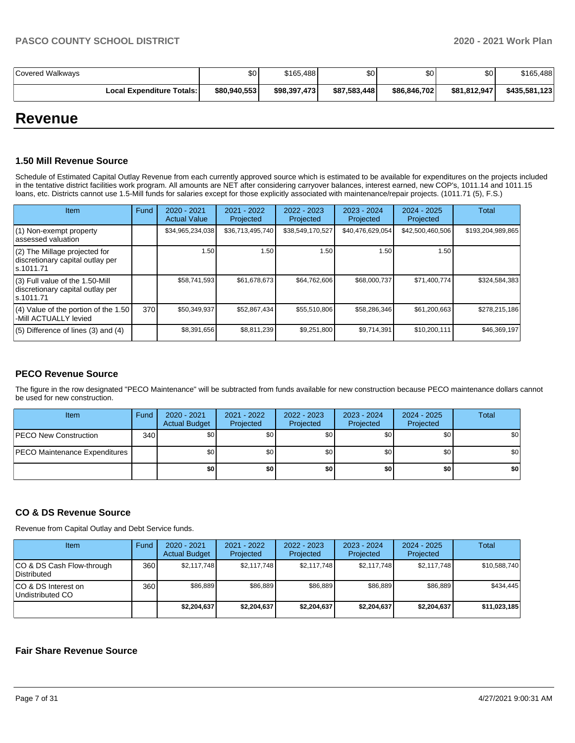| Covered Walkways                 | \$0 <sub>1</sub> | \$165,488    | \$0          | \$0 <sub>1</sub> | \$0          | \$165,488     |
|----------------------------------|------------------|--------------|--------------|------------------|--------------|---------------|
| <b>Local Expenditure Totals:</b> | \$80,940,553     | \$98,397,473 | \$87.583.448 | \$86.846.702     | \$81.812.947 | \$435,581,123 |

## **Revenue**

#### **1.50 Mill Revenue Source**

Schedule of Estimated Capital Outlay Revenue from each currently approved source which is estimated to be available for expenditures on the projects included in the tentative district facilities work program. All amounts are NET after considering carryover balances, interest earned, new COP's, 1011.14 and 1011.15 loans, etc. Districts cannot use 1.5-Mill funds for salaries except for those explicitly associated with maintenance/repair projects. (1011.71 (5), F.S.)

| Item                                                                                | Fund | $2020 - 2021$<br><b>Actual Value</b> | $2021 - 2022$<br>Projected | 2022 - 2023<br>Projected | $2023 - 2024$<br>Projected | $2024 - 2025$<br>Projected | <b>Total</b>      |
|-------------------------------------------------------------------------------------|------|--------------------------------------|----------------------------|--------------------------|----------------------------|----------------------------|-------------------|
| (1) Non-exempt property<br>lassessed valuation                                      |      | \$34,965,234,038                     | \$36,713,495,740           | \$38,549,170,527         | \$40,476,629,054           | \$42,500,460,506           | \$193,204,989,865 |
| $(2)$ The Millage projected for<br>discretionary capital outlay per<br>ls.1011.71   |      | 1.50                                 | 1.50                       | 1.50                     | 1.50                       | 1.50                       |                   |
| $(3)$ Full value of the 1.50-Mill<br>discretionary capital outlay per<br>ls.1011.71 |      | \$58,741,593                         | \$61,678,673               | \$64,762,606             | \$68,000,737               | \$71,400,774               | \$324,584,383     |
| (4) Value of the portion of the 1.50<br>-Mill ACTUALLY levied                       | 370  | \$50,349,937                         | \$52,867,434               | \$55,510,806             | \$58,286,346               | \$61,200,663               | \$278,215,186     |
| $(5)$ Difference of lines $(3)$ and $(4)$                                           |      | \$8,391,656                          | \$8,811,239                | \$9,251,800              | \$9,714,391                | \$10,200,111               | \$46,369,197      |

### **PECO Revenue Source**

The figure in the row designated "PECO Maintenance" will be subtracted from funds available for new construction because PECO maintenance dollars cannot be used for new construction.

| <b>Item</b>                          | Fund         | $2020 - 2021$<br><b>Actual Budget</b> | 2021 - 2022<br>Projected | 2022 - 2023<br>Projected | 2023 - 2024<br>Projected | 2024 - 2025<br>Projected | <b>Total</b>     |
|--------------------------------------|--------------|---------------------------------------|--------------------------|--------------------------|--------------------------|--------------------------|------------------|
| <b>PECO New Construction</b>         | 340 <b>I</b> | \$0                                   | \$0                      | \$0 <sub>1</sub>         | \$0                      | \$0                      | \$0              |
| <b>PECO Maintenance Expenditures</b> |              | \$0                                   | \$0                      | \$0                      | \$0                      | \$0                      | \$0 <sub>1</sub> |
|                                      |              | \$0                                   | \$0                      | \$0                      | \$0                      | \$0                      | \$0              |

### **CO & DS Revenue Source**

Revenue from Capital Outlay and Debt Service funds.

| Item                                      | Fund | $2020 - 2021$<br><b>Actual Budget</b> | 2021 - 2022<br>Projected | $2022 - 2023$<br>Projected | $2023 - 2024$<br>Projected | $2024 - 2025$<br>Projected | Total        |
|-------------------------------------------|------|---------------------------------------|--------------------------|----------------------------|----------------------------|----------------------------|--------------|
| ICO & DS Cash Flow-through<br>Distributed | 360  | \$2.117.748                           | \$2.117.748              | \$2.117.748                | \$2.117.748                | \$2.117.748                | \$10,588,740 |
| ICO & DS Interest on<br>Undistributed CO  | 360  | \$86.889                              | \$86.889                 | \$86,889                   | \$86,889                   | \$86,889                   | \$434.445    |
|                                           |      | \$2,204,637                           | \$2,204,637              | \$2,204,637                | \$2,204.637                | \$2,204.637                | \$11,023,185 |

## **Fair Share Revenue Source**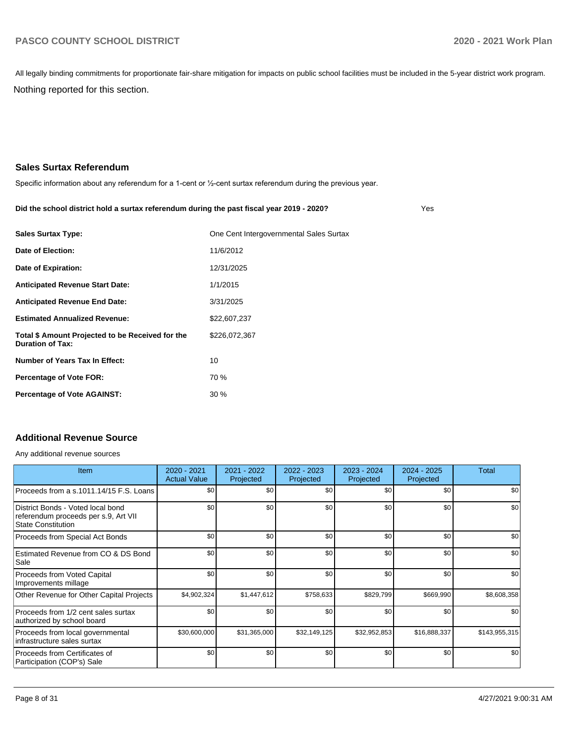Nothing reported for this section. All legally binding commitments for proportionate fair-share mitigation for impacts on public school facilities must be included in the 5-year district work program.

## **Sales Surtax Referendum**

Specific information about any referendum for a 1-cent or ½-cent surtax referendum during the previous year.

#### **Did the school district hold a surtax referendum during the past fiscal year 2019 - 2020?**

Yes

| <b>Sales Surtax Type:</b>                                                   | One Cent Intergovernmental Sales Surtax |
|-----------------------------------------------------------------------------|-----------------------------------------|
| Date of Election:                                                           | 11/6/2012                               |
| Date of Expiration:                                                         | 12/31/2025                              |
| <b>Anticipated Revenue Start Date:</b>                                      | 1/1/2015                                |
| <b>Anticipated Revenue End Date:</b>                                        | 3/31/2025                               |
| <b>Estimated Annualized Revenue:</b>                                        | \$22,607,237                            |
| Total \$ Amount Projected to be Received for the<br><b>Duration of Tax:</b> | \$226,072,367                           |
| Number of Years Tax In Effect:                                              | 10                                      |
| <b>Percentage of Vote FOR:</b>                                              | 70 %                                    |
| <b>Percentage of Vote AGAINST:</b>                                          | 30%                                     |

## **Additional Revenue Source**

Any additional revenue sources

| <b>Item</b>                                                                                            | 2020 - 2021<br><b>Actual Value</b> | 2021 - 2022<br>Projected | 2022 - 2023<br>Projected | 2023 - 2024<br>Projected | $2024 - 2025$<br>Projected | Total         |
|--------------------------------------------------------------------------------------------------------|------------------------------------|--------------------------|--------------------------|--------------------------|----------------------------|---------------|
| Proceeds from a s.1011.14/15 F.S. Loans                                                                | \$0                                | \$0                      | \$0                      | \$0                      | \$0                        | \$0           |
| District Bonds - Voted local bond<br>referendum proceeds per s.9, Art VII<br><b>State Constitution</b> | \$0                                | \$0                      | \$0                      | \$0                      | \$0                        | \$0           |
| Proceeds from Special Act Bonds                                                                        | \$0                                | \$0                      | \$0                      | \$0                      | \$0                        | \$0           |
| Estimated Revenue from CO & DS Bond<br>Sale                                                            | \$0                                | \$0                      | \$0                      | \$0                      | \$0                        | \$0           |
| Proceeds from Voted Capital<br>Improvements millage                                                    | \$0                                | \$0                      | \$0                      | \$0                      | \$0                        | \$0           |
| Other Revenue for Other Capital Projects                                                               | \$4,902,324                        | \$1,447,612              | \$758,633                | \$829,799                | \$669,990                  | \$8,608,358   |
| Proceeds from 1/2 cent sales surtax<br>authorized by school board                                      | \$0                                | \$0                      | \$0                      | \$0                      | \$0                        | \$0           |
| Proceeds from local governmental<br>infrastructure sales surtax                                        | \$30,600,000                       | \$31,365,000             | \$32,149,125             | \$32,952,853             | \$16,888,337               | \$143,955,315 |
| Proceeds from Certificates of<br>Participation (COP's) Sale                                            | \$0                                | \$0                      | \$0                      | \$0                      | \$0                        | \$0           |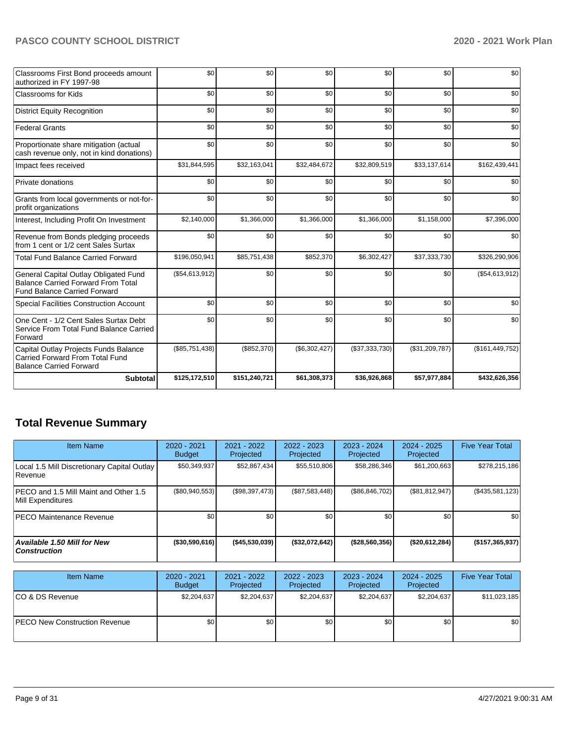| Classrooms First Bond proceeds amount<br>authorized in FY 1997-98                                                         | \$0            | \$0           | \$0           | \$0            | \$0            | \$0               |
|---------------------------------------------------------------------------------------------------------------------------|----------------|---------------|---------------|----------------|----------------|-------------------|
| <b>Classrooms for Kids</b>                                                                                                | \$0            | \$0           | \$0           | \$0            | \$0            | \$0               |
| <b>District Equity Recognition</b>                                                                                        | \$0            | \$0           | \$0           | \$0            | \$0            | \$0               |
| <b>Federal Grants</b>                                                                                                     | \$0            | \$0           | \$0           | \$0            | \$0            | \$0               |
| Proportionate share mitigation (actual<br>cash revenue only, not in kind donations)                                       | \$0            | \$0           | \$0           | \$0            | \$0            | \$0               |
| Impact fees received                                                                                                      | \$31,844,595   | \$32,163,041  | \$32,484,672  | \$32,809,519   | \$33,137,614   | \$162,439,441     |
| Private donations                                                                                                         | \$0            | \$0           | \$0           | \$0            | \$0            | \$0               |
| Grants from local governments or not-for-<br>profit organizations                                                         | \$0            | \$0           | \$0           | \$0            | \$0            | \$0               |
| Interest, Including Profit On Investment                                                                                  | \$2,140,000    | \$1,366,000   | \$1,366,000   | \$1,366,000    | \$1,158,000    | \$7,396,000       |
| Revenue from Bonds pledging proceeds<br>from 1 cent or 1/2 cent Sales Surtax                                              | \$0            | \$0           | \$0           | \$0            | \$0            | \$0               |
| <b>Total Fund Balance Carried Forward</b>                                                                                 | \$196,050,941  | \$85,751,438  | \$852,370     | \$6,302,427    | \$37,333,730   | \$326,290,906     |
| General Capital Outlay Obligated Fund<br><b>Balance Carried Forward From Total</b><br><b>Fund Balance Carried Forward</b> | (\$54,613,912) | \$0           | \$0           | \$0            | \$0            | (\$54,613,912)    |
| <b>Special Facilities Construction Account</b>                                                                            | \$0            | \$0           | \$0           | \$0            | \$0            | \$0               |
| One Cent - 1/2 Cent Sales Surtax Debt<br>Service From Total Fund Balance Carried<br>Forward                               | \$0            | \$0           | \$0           | \$0            | \$0            | \$0               |
| Capital Outlay Projects Funds Balance<br>Carried Forward From Total Fund<br><b>Balance Carried Forward</b>                | (\$85,751,438) | (\$852,370)   | (\$6,302,427) | (\$37,333,730) | (\$31,209,787) | (\$161, 449, 752) |
| <b>Subtotal</b>                                                                                                           | \$125,172,510  | \$151,240,721 | \$61,308,373  | \$36,926,868   | \$57,977,884   | \$432,626,356     |

## **Total Revenue Summary**

| <b>Item Name</b>                                                  | $2020 - 2021$<br><b>Budget</b> | $2021 - 2022$<br><b>Projected</b> | 2022 - 2023<br>Projected | $2023 - 2024$<br>Projected | $2024 - 2025$<br>Projected | <b>Five Year Total</b> |
|-------------------------------------------------------------------|--------------------------------|-----------------------------------|--------------------------|----------------------------|----------------------------|------------------------|
| Local 1.5 Mill Discretionary Capital Outlay<br>l Revenue          | \$50,349,937                   | \$52,867,434                      | \$55,510,806             | \$58,286,346               | \$61,200,663               | \$278,215,186          |
| <b>PECO</b> and 1.5 Mill Maint and Other 1.5<br>Mill Expenditures | $($ \$80,940,553)              | (S98, 397, 473)                   | (\$87,583,448)           | (\$86, 846, 702)           | (S81, 812, 947)            | $($ \$435,581,123)     |
| <b>PECO Maintenance Revenue</b>                                   | \$0                            | \$0                               | \$0                      | \$0                        | \$0                        | \$0                    |
| Available 1.50 Mill for New<br><b>Construction</b>                | $($ \$30,590,616)              | $($ \$45,530,039)                 | (\$32,072,642)           | (\$28,560,356)             | (\$20,612,284)             | ( \$157, 365, 937)     |

| <b>Item Name</b>                      | 2020 - 2021<br><b>Budget</b> | 2021 - 2022<br>Projected | 2022 - 2023<br>Projected | 2023 - 2024<br>Projected | 2024 - 2025<br>Projected | <b>Five Year Total</b> |
|---------------------------------------|------------------------------|--------------------------|--------------------------|--------------------------|--------------------------|------------------------|
| ICO & DS Revenue                      | \$2,204,637                  | \$2,204,637              | \$2.204.637              | \$2,204.637              | \$2,204,637              | \$11,023,185           |
| <b>IPECO New Construction Revenue</b> | \$0                          | \$0                      | \$0                      | \$0                      | \$0 <sub>1</sub>         | \$0                    |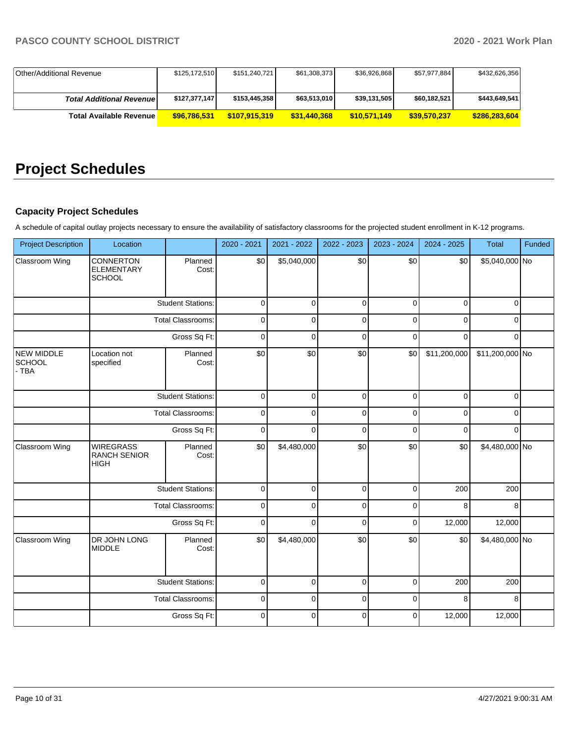| Other/Additional Revenue         | \$125,172,510 | \$151,240,721 | \$61,308,373 | \$36,926,868 | \$57,977,884 | \$432,626,356 |
|----------------------------------|---------------|---------------|--------------|--------------|--------------|---------------|
|                                  |               |               |              |              |              |               |
| <b>Total Additional Revenuel</b> | \$127,377,147 | \$153,445,358 | \$63,513,010 | \$39,131,505 | \$60,182,521 | \$443,649,541 |
| Total Available Revenue          | \$96,786,531  | \$107.915.319 | \$31,440,368 | \$10,571,149 | \$39,570,237 | \$286,283,604 |

# **Project Schedules**

## **Capacity Project Schedules**

A schedule of capital outlay projects necessary to ensure the availability of satisfactory classrooms for the projected student enrollment in K-12 programs.

| <b>Project Description</b>    | Location                                               |                          | 2020 - 2021 | 2021 - 2022 | 2022 - 2023 | 2023 - 2024 | 2024 - 2025  | Total           | Funded |
|-------------------------------|--------------------------------------------------------|--------------------------|-------------|-------------|-------------|-------------|--------------|-----------------|--------|
| Classroom Wing                | <b>CONNERTON</b><br><b>ELEMENTARY</b><br><b>SCHOOL</b> | Planned<br>Cost:         | \$0         | \$5,040,000 | \$0         | \$0         | \$0          | \$5,040,000 No  |        |
|                               |                                                        | <b>Student Stations:</b> | $\mathbf 0$ | $\mathbf 0$ | $\mathbf 0$ | $\mathbf 0$ | $\mathbf 0$  | $\mathbf 0$     |        |
|                               |                                                        | <b>Total Classrooms:</b> | $\mathbf 0$ | 0           | 0           | $\mathbf 0$ | $\mathbf 0$  | $\mathbf 0$     |        |
|                               |                                                        | Gross Sq Ft:             | $\mathbf 0$ | 0           | 0           | $\mathbf 0$ | $\mathbf 0$  | $\mathbf 0$     |        |
| NEW MIDDLE<br>SCHOOL<br>- TBA | Location not<br>specified                              | Planned<br>Cost:         | \$0         | \$0         | \$0         | \$0         | \$11,200,000 | \$11,200,000 No |        |
|                               | <b>Student Stations:</b>                               |                          | $\mathbf 0$ | $\Omega$    | $\mathbf 0$ | $\Omega$    | $\mathbf 0$  | $\Omega$        |        |
|                               | <b>Total Classrooms:</b>                               |                          | $\mathbf 0$ | $\Omega$    | $\mathbf 0$ | $\mathbf 0$ | $\mathbf 0$  | $\overline{0}$  |        |
|                               | Gross Sq Ft:                                           |                          | $\mathbf 0$ | $\Omega$    | $\mathbf 0$ | $\Omega$    | $\Omega$     | $\Omega$        |        |
| Classroom Wing                | <b>WIREGRASS</b><br><b>RANCH SENIOR</b><br><b>HIGH</b> | Planned<br>Cost:         | \$0         | \$4,480,000 | \$0         | \$0         | \$0          | \$4,480,000 No  |        |
|                               |                                                        | <b>Student Stations:</b> | $\mathbf 0$ | $\mathbf 0$ | $\mathbf 0$ | $\mathbf 0$ | 200          | 200             |        |
|                               |                                                        | Total Classrooms:        | $\mathbf 0$ | 0           | $\mathbf 0$ | $\mathbf 0$ | 8            | 8               |        |
|                               |                                                        | Gross Sq Ft:             | $\mathbf 0$ | 0           | $\mathbf 0$ | $\mathbf 0$ | 12,000       | 12,000          |        |
| Classroom Wing                | DR JOHN LONG<br><b>MIDDLE</b>                          | Planned<br>Cost:         | \$0         | \$4,480,000 | \$0         | \$0         | \$0          | \$4,480,000 No  |        |
|                               |                                                        | <b>Student Stations:</b> | $\mathbf 0$ | $\mathbf 0$ | $\mathbf 0$ | $\mathbf 0$ | 200          | 200             |        |
|                               |                                                        | <b>Total Classrooms:</b> | $\mathbf 0$ | 0           | $\mathbf 0$ | $\mathbf 0$ | 8            | 8               |        |
|                               |                                                        | Gross Sq Ft:             | $\mathbf 0$ | 0           | $\mathbf 0$ | $\mathbf 0$ | 12,000       | 12,000          |        |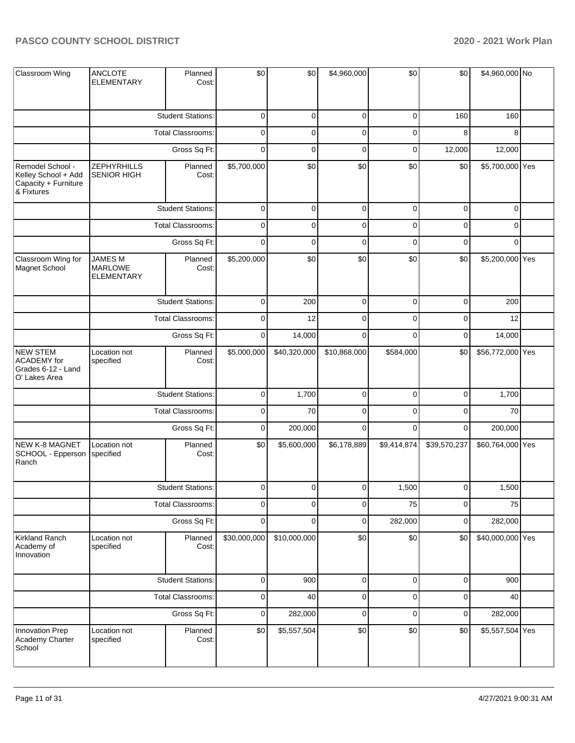| Classroom Wing                                                                | <b>ANCLOTE</b><br><b>ELEMENTARY</b>            | Planned<br>Cost:         | \$0          | \$0          | \$4,960,000  | \$0            | \$0          | \$4,960,000 No   |  |
|-------------------------------------------------------------------------------|------------------------------------------------|--------------------------|--------------|--------------|--------------|----------------|--------------|------------------|--|
|                                                                               |                                                | <b>Student Stations:</b> | 0            | 0            | $\pmb{0}$    | 0              | 160          | 160              |  |
|                                                                               |                                                | Total Classrooms:        | 0            | 0            | $\mathbf 0$  | 0              | 8            | 8                |  |
|                                                                               |                                                | Gross Sq Ft:             | $\mathbf 0$  | 0            | $\mathbf 0$  | 0              | 12,000       | 12,000           |  |
| Remodel School -<br>Kelley School + Add<br>Capacity + Furniture<br>& Fixtures | <b>ZEPHYRHILLS</b><br><b>SENIOR HIGH</b>       | Planned<br>Cost:         | \$5,700,000  | \$0          | \$0          | \$0            | \$0          | \$5,700,000 Yes  |  |
|                                                                               |                                                | <b>Student Stations:</b> | $\mathbf 0$  | $\mathbf 0$  | $\pmb{0}$    | $\overline{0}$ | $\pmb{0}$    | $\overline{0}$   |  |
|                                                                               |                                                | Total Classrooms:        | 0            | 0            | $\pmb{0}$    | $\pmb{0}$      | $\pmb{0}$    | 0                |  |
|                                                                               |                                                | Gross Sq Ft:             |              | $\mathbf 0$  | $\pmb{0}$    | $\mathbf 0$    | $\pmb{0}$    | $\Omega$         |  |
| Classroom Wing for<br>Magnet School                                           | <b>JAMES M</b><br><b>MARLOWE</b><br>ELEMENTARY | Planned<br>Cost:         | \$5,200,000  | \$0          | \$0          | \$0            | \$0          | \$5,200,000 Yes  |  |
|                                                                               |                                                | <b>Student Stations:</b> | 0            | 200          | $\mathbf 0$  | 0              | $\mathbf 0$  | 200              |  |
|                                                                               | Total Classrooms:                              |                          | 0            | 12           | $\pmb{0}$    | 0              | $\mathbf 0$  | 12               |  |
|                                                                               | Gross Sq Ft:                                   |                          | $\mathbf 0$  | 14,000       | $\mathbf 0$  | $\mathbf 0$    | $\pmb{0}$    | 14,000           |  |
| <b>NEW STEM</b><br><b>ACADEMY</b> for<br>Grades 6-12 - Land<br>O' Lakes Area  | Location not<br>specified                      | Planned<br>Cost:         | \$5,000,000  | \$40,320,000 | \$10,868,000 | \$584,000      | \$0          | \$56,772,000 Yes |  |
|                                                                               |                                                | <b>Student Stations:</b> | $\pmb{0}$    | 1,700        | $\pmb{0}$    | $\pmb{0}$      | $\mathbf 0$  | 1,700            |  |
|                                                                               |                                                | Total Classrooms:        | 0            | 70           | $\pmb{0}$    | 0              | $\pmb{0}$    | 70               |  |
|                                                                               |                                                | Gross Sq Ft:             |              | 200,000      | $\mathbf 0$  | $\mathbf 0$    | $\mathbf 0$  | 200,000          |  |
| NEW K-8 MAGNET<br>SCHOOL - Epperson<br>Ranch                                  | Location not<br>specified                      | Planned<br>Cost:         | \$0          | \$5,600,000  | \$6,178,889  | \$9,414,874    | \$39,570,237 | \$60,764,000 Yes |  |
|                                                                               |                                                | <b>Student Stations:</b> | $\Omega$     | $\Omega$     | $\Omega$     | 1,500          | $\Omega$     | 1,500            |  |
|                                                                               |                                                | Total Classrooms:        | 0            | 0            | $\pmb{0}$    | 75             | $\pmb{0}$    | 75               |  |
|                                                                               |                                                | Gross Sq Ft:             | $\mathbf 0$  | 0            | $\mathbf 0$  | 282,000        | $\pmb{0}$    | 282,000          |  |
| Kirkland Ranch<br>Academy of<br>Innovation                                    | Location not<br>specified                      | Planned<br>Cost:         | \$30,000,000 | \$10,000,000 | \$0          | \$0            | \$0          | \$40,000,000 Yes |  |
|                                                                               |                                                | <b>Student Stations:</b> | $\pmb{0}$    | 900          | $\pmb{0}$    | $\mathbf 0$    | $\pmb{0}$    | 900              |  |
|                                                                               |                                                | <b>Total Classrooms:</b> | 0            | 40           | $\pmb{0}$    | 0              | $\pmb{0}$    | 40               |  |
|                                                                               |                                                | Gross Sq Ft:             | $\pmb{0}$    | 282,000      | $\pmb{0}$    | $\pmb{0}$      | $\mathbf 0$  | 282,000          |  |
| Innovation Prep<br>Academy Charter<br>School                                  | Location not<br>specified                      | Planned<br>Cost:         | \$0          | \$5,557,504  | \$0          | \$0            | \$0          | \$5,557,504 Yes  |  |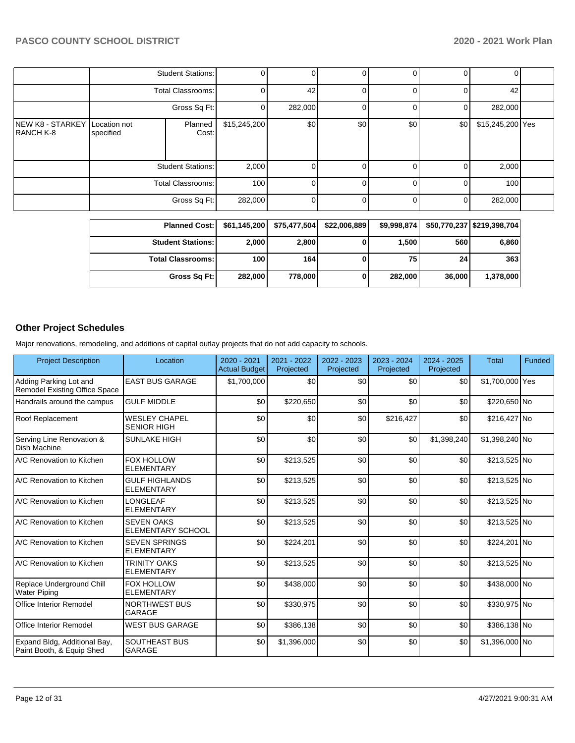|                               | <b>Student Stations:</b>  |                          |              |         |     | 0   | 0              |                  |  |
|-------------------------------|---------------------------|--------------------------|--------------|---------|-----|-----|----------------|------------------|--|
|                               | <b>Total Classrooms:</b>  |                          |              | 42      |     |     | 0              | 42               |  |
|                               | Gross Sq Ft:              |                          |              | 282,000 |     |     | $\overline{0}$ | 282,000          |  |
| NEW K8 - STARKEY<br>RANCH K-8 | Location not<br>specified | Planned<br>Cost:         | \$15,245,200 | \$0     | \$0 | \$0 | \$0            | \$15,245,200 Yes |  |
|                               |                           | <b>Student Stations:</b> | 2,000        |         |     |     | 0              | 2,000            |  |
|                               | <b>Total Classrooms:</b>  |                          | 100          |         |     |     | $\Omega$       | 100              |  |
|                               |                           | Gross Sq Ft:             | 282,000      |         |     |     | 0              | 282,000          |  |

| <b>Planned Cost:</b>       | \$61,145,200 | \$75,477,504 | \$22,006,889 | \$9,998,874 |                 | \$50,770,237   \$219,398,704 |
|----------------------------|--------------|--------------|--------------|-------------|-----------------|------------------------------|
| <b>Student Stations:</b>   | 2,000        | 2,800        |              | 1,500       | 560             | 6,860                        |
| <b>Total Classrooms: I</b> | 100          | 164          |              | 75          | 24 <sub>1</sub> | 363                          |
| Gross Sq Ft:               | 282,000      | 778,000      |              | 282,000     | 36,000          | 1,378,000                    |

## **Other Project Schedules**

Major renovations, remodeling, and additions of capital outlay projects that do not add capacity to schools.

| <b>Project Description</b>                                | Location                                      | 2020 - 2021<br><b>Actual Budget</b> | 2021 - 2022<br>Projected | 2022 - 2023<br>Projected | 2023 - 2024<br>Projected | 2024 - 2025<br>Projected | <b>Total</b>    | Funded |
|-----------------------------------------------------------|-----------------------------------------------|-------------------------------------|--------------------------|--------------------------|--------------------------|--------------------------|-----------------|--------|
| Adding Parking Lot and<br>Remodel Existing Office Space   | <b>EAST BUS GARAGE</b>                        | \$1,700,000                         | \$0                      | \$0                      | \$0                      | \$0                      | \$1,700,000 Yes |        |
| Handrails around the campus                               | <b>GULF MIDDLE</b>                            | \$0                                 | \$220,650                | \$0                      | \$0                      | \$0                      | \$220,650 No    |        |
| Roof Replacement                                          | <b>WESLEY CHAPEL</b><br><b>SENIOR HIGH</b>    | \$0                                 | \$0                      | \$0                      | \$216,427                | \$0                      | \$216,427 No    |        |
| Serving Line Renovation &<br><b>Dish Machine</b>          | <b>SUNLAKE HIGH</b>                           | \$0                                 | \$0                      | \$0                      | \$0                      | \$1,398,240              | \$1,398,240 No  |        |
| A/C Renovation to Kitchen                                 | <b>FOX HOLLOW</b><br><b>ELEMENTARY</b>        | \$0                                 | \$213,525                | \$0                      | \$0                      | \$0                      | \$213,525 No    |        |
| A/C Renovation to Kitchen                                 | <b>GULF HIGHLANDS</b><br><b>ELEMENTARY</b>    | \$0                                 | \$213,525                | \$0                      | \$0                      | \$0                      | \$213,525 No    |        |
| A/C Renovation to Kitchen                                 | LONGLEAF<br><b>ELEMENTARY</b>                 | \$0                                 | \$213,525                | \$0                      | \$0                      | \$0                      | \$213,525 No    |        |
| A/C Renovation to Kitchen                                 | <b>SEVEN OAKS</b><br><b>ELEMENTARY SCHOOL</b> | \$0                                 | \$213,525                | \$0                      | \$0                      | \$0                      | \$213,525 No    |        |
| A/C Renovation to Kitchen                                 | <b>SEVEN SPRINGS</b><br><b>ELEMENTARY</b>     | \$0                                 | \$224,201                | \$0                      | \$0                      | \$0                      | \$224,201 No    |        |
| A/C Renovation to Kitchen                                 | <b>TRINITY OAKS</b><br><b>ELEMENTARY</b>      | \$0                                 | \$213,525                | \$0                      | \$0                      | \$0                      | \$213,525 No    |        |
| Replace Underground Chill<br><b>Water Piping</b>          | <b>FOX HOLLOW</b><br><b>ELEMENTARY</b>        | \$0                                 | \$438,000                | \$0                      | \$0                      | \$0                      | \$438,000 No    |        |
| Office Interior Remodel                                   | <b>NORTHWEST BUS</b><br><b>GARAGE</b>         | \$0                                 | \$330,975                | \$0                      | \$0                      | \$0                      | \$330,975 No    |        |
| <b>Office Interior Remodel</b>                            | <b>WEST BUS GARAGE</b>                        | \$0                                 | \$386,138                | \$0                      | \$0                      | \$0                      | \$386,138 No    |        |
| Expand Bldg, Additional Bay,<br>Paint Booth, & Equip Shed | <b>SOUTHEAST BUS</b><br>GARAGE                | \$0                                 | \$1,396,000              | \$0                      | \$0                      | \$0                      | \$1,396,000 No  |        |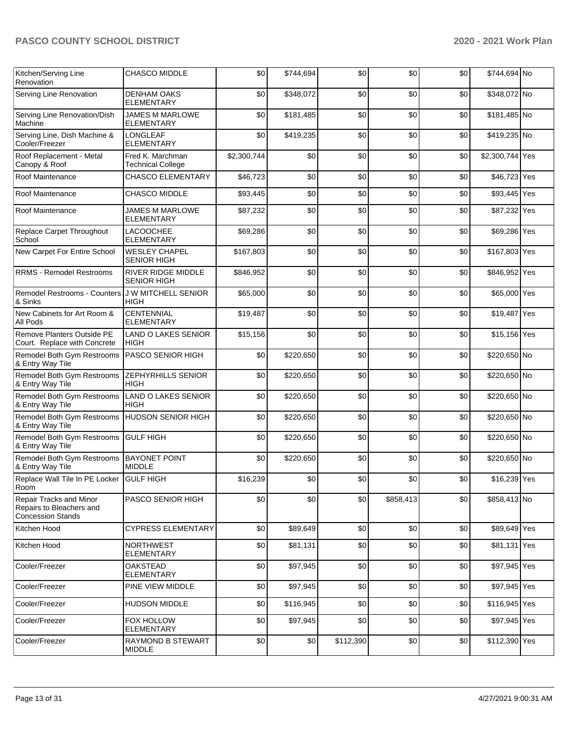| Kitchen/Serving Line<br>Renovation                                                     | <b>CHASCO MIDDLE</b>                            | \$0         | \$744,694 | \$0       | \$0       | \$0 | \$744,694 No    |  |
|----------------------------------------------------------------------------------------|-------------------------------------------------|-------------|-----------|-----------|-----------|-----|-----------------|--|
| Serving Line Renovation                                                                | <b>DENHAM OAKS</b><br><b>ELEMENTARY</b>         | \$0         | \$348,072 | \$0       | \$0       | \$0 | \$348,072 No    |  |
| Serving Line Renovation/Dish<br>Machine                                                | <b>JAMES M MARLOWE</b><br><b>ELEMENTARY</b>     | \$0         | \$181,485 | \$0       | \$0       | \$0 | \$181,485 No    |  |
| Serving Line, Dish Machine &<br>Cooler/Freezer                                         | <b>LONGLEAF</b><br><b>ELEMENTARY</b>            | \$0         | \$419,235 | \$0       | \$0       | \$0 | \$419,235 No    |  |
| Roof Replacement - Metal<br>Canopy & Roof                                              | Fred K. Marchman<br><b>Technical College</b>    | \$2,300,744 | \$0       | \$0       | \$0       | \$0 | \$2,300,744 Yes |  |
| Roof Maintenance                                                                       | <b>CHASCO ELEMENTARY</b>                        | \$46,723    | \$0       | \$0       | \$0       | \$0 | \$46,723 Yes    |  |
| Roof Maintenance                                                                       | CHASCO MIDDLE                                   | \$93,445    | \$0       | \$0       | \$0       | \$0 | \$93,445 Yes    |  |
| Roof Maintenance                                                                       | <b>JAMES M MARLOWE</b><br><b>ELEMENTARY</b>     | \$87,232    | \$0       | \$0       | \$0       | \$0 | \$87,232 Yes    |  |
| Replace Carpet Throughout<br>School                                                    | <b>LACOOCHEE</b><br><b>ELEMENTARY</b>           | \$69,286    | \$0       | \$0       | \$0       | \$0 | \$69,286 Yes    |  |
| New Carpet For Entire School                                                           | <b>WESLEY CHAPEL</b><br><b>SENIOR HIGH</b>      | \$167,803   | \$0       | \$0       | \$0       | \$0 | \$167,803 Yes   |  |
| <b>RRMS - Remodel Restrooms</b>                                                        | <b>RIVER RIDGE MIDDLE</b><br><b>SENIOR HIGH</b> | \$846,952   | \$0       | \$0       | \$0       | \$0 | \$846,952 Yes   |  |
| Remodel Restrooms - Counters<br>& Sinks                                                | <b>JW MITCHELL SENIOR</b><br><b>HIGH</b>        | \$65,000    | \$0       | \$0       | \$0       | \$0 | \$65,000 Yes    |  |
| New Cabinets for Art Room &<br>All Pods                                                | <b>CENTENNIAL</b><br><b>ELEMENTARY</b>          | \$19,487    | \$0       | \$0       | \$0       | \$0 | \$19,487 Yes    |  |
| Remove Planters Outside PE<br>Court. Replace with Concrete                             | <b>LAND O LAKES SENIOR</b><br><b>HIGH</b>       | \$15,156    | \$0       | \$0       | \$0       | \$0 | \$15,156 Yes    |  |
| Remodel Both Gym Restrooms<br>& Entry Way Tile                                         | PASCO SENIOR HIGH                               | \$0         | \$220,650 | \$0       | \$0       | \$0 | \$220,650 No    |  |
| Remodel Both Gym Restrooms<br>& Entry Way Tile                                         | <b>ZEPHYRHILLS SENIOR</b><br><b>HIGH</b>        | \$0         | \$220,650 | \$0       | \$0       | \$0 | \$220,650 No    |  |
| Remodel Both Gym Restrooms<br>& Entry Way Tile                                         | <b>LAND O LAKES SENIOR</b><br><b>HIGH</b>       | \$0         | \$220,650 | \$0       | \$0       | \$0 | \$220,650 No    |  |
| Remodel Both Gym Restrooms<br>& Entry Way Tile                                         | <b>HUDSON SENIOR HIGH</b>                       | \$0         | \$220,650 | \$0       | \$0       | \$0 | \$220,650 No    |  |
| Remodel Both Gym Restrooms<br>& Entry Way Tile                                         | <b>GULF HIGH</b>                                | \$0         | \$220,650 | \$0       | \$0       | \$0 | \$220,650 No    |  |
| Remodel Both Gym Restrooms<br>& Entry Way Tile                                         | <b>BAYONET POINT</b><br><b>MIDDLE</b>           | \$0         | \$220,650 | \$0       | \$0       | \$0 | \$220,650 No    |  |
| Replace Wall Tile In PE Locker<br>Room                                                 | <b>GULF HIGH</b>                                | \$16,239    | \$0       | \$0       | \$0       | \$0 | \$16,239 Yes    |  |
| <b>Repair Tracks and Minor</b><br>Repairs to Bleachers and<br><b>Concession Stands</b> | <b>PASCO SENIOR HIGH</b>                        | \$0         | \$0       | \$0       | \$858,413 | \$0 | \$858,413 No    |  |
| Kitchen Hood                                                                           | <b>CYPRESS ELEMENTARY</b>                       | \$0         | \$89,649  | \$0       | \$0       | \$0 | \$89,649 Yes    |  |
| Kitchen Hood                                                                           | <b>NORTHWEST</b><br><b>ELEMENTARY</b>           | \$0         | \$81,131  | \$0       | \$0       | \$0 | \$81,131 Yes    |  |
| Cooler/Freezer                                                                         | <b>OAKSTEAD</b><br><b>ELEMENTARY</b>            | \$0         | \$97,945  | \$0       | \$0       | \$0 | \$97,945 Yes    |  |
| Cooler/Freezer                                                                         | PINE VIEW MIDDLE                                | \$0         | \$97,945  | \$0       | \$0       | \$0 | \$97,945 Yes    |  |
| Cooler/Freezer                                                                         | <b>HUDSON MIDDLE</b>                            | \$0         | \$116.945 | \$0       | \$0       | \$0 | \$116,945 Yes   |  |
| Cooler/Freezer                                                                         | FOX HOLLOW<br><b>ELEMENTARY</b>                 | \$0         | \$97,945  | \$0       | \$0       | \$0 | \$97,945 Yes    |  |
| Cooler/Freezer                                                                         | RAYMOND B STEWART<br><b>MIDDLE</b>              | \$0         | \$0       | \$112,390 | \$0       | \$0 | \$112,390 Yes   |  |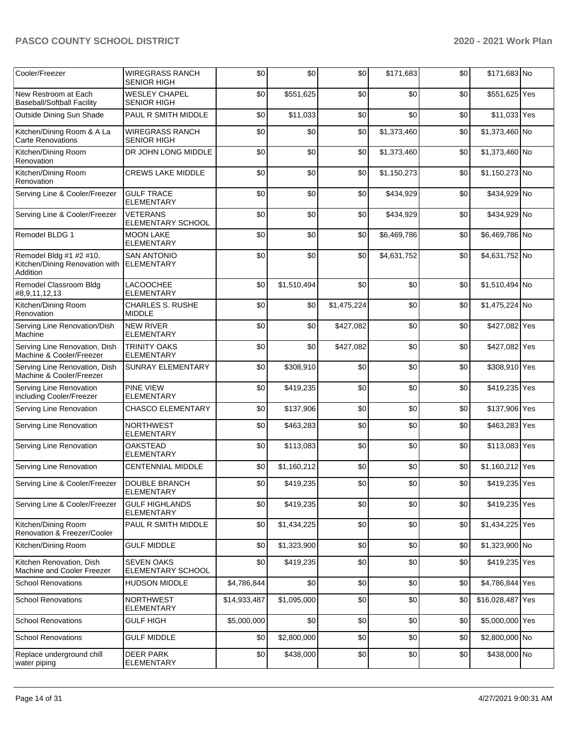| Cooler/Freezer                                                        | <b>WIREGRASS RANCH</b><br><b>SENIOR HIGH</b>  | \$0          | \$0         | \$0         | \$171,683   | \$0 | \$171,683 No     |  |
|-----------------------------------------------------------------------|-----------------------------------------------|--------------|-------------|-------------|-------------|-----|------------------|--|
| New Restroom at Each<br><b>Baseball/Softball Facility</b>             | <b>WESLEY CHAPEL</b><br><b>SENIOR HIGH</b>    | \$0          | \$551,625   | \$0         | \$0         | \$0 | \$551,625 Yes    |  |
| Outside Dining Sun Shade                                              | PAUL R SMITH MIDDLE                           | \$0          | \$11,033    | \$0         | \$0         | \$0 | \$11,033 Yes     |  |
| Kitchen/Dining Room & A La<br><b>Carte Renovations</b>                | <b>WIREGRASS RANCH</b><br><b>SENIOR HIGH</b>  | \$0          | \$0         | \$0         | \$1,373,460 | \$0 | \$1,373,460 No   |  |
| Kitchen/Dining Room<br>Renovation                                     | DR JOHN LONG MIDDLE                           | \$0          | \$0         | \$0         | \$1,373,460 | \$0 | \$1,373,460 No   |  |
| Kitchen/Dining Room<br>Renovation                                     | <b>CREWS LAKE MIDDLE</b>                      | \$0          | \$0         | \$0         | \$1,150,273 | \$0 | \$1,150,273 No   |  |
| Serving Line & Cooler/Freezer                                         | <b>GULF TRACE</b><br><b>ELEMENTARY</b>        | \$0          | \$0         | \$0         | \$434,929   | \$0 | \$434,929 No     |  |
| Serving Line & Cooler/Freezer                                         | <b>VETERANS</b><br>ELEMENTARY SCHOOL          | \$0          | \$0         | \$0         | \$434,929   | \$0 | \$434,929 No     |  |
| Remodel BLDG 1                                                        | <b>MOON LAKE</b><br><b>ELEMENTARY</b>         | \$0          | \$0         | \$0         | \$6,469,786 | \$0 | \$6,469,786 No   |  |
| Remodel Bldg #1 #2 #10,<br>Kitchen/Dining Renovation with<br>Addition | <b>SAN ANTONIO</b><br><b>ELEMENTARY</b>       | \$0          | \$0         | \$0         | \$4,631,752 | \$0 | \$4,631,752 No   |  |
| Remodel Classroom Bldg<br>#8,9,11,12,13                               | <b>LACOOCHEE</b><br><b>ELEMENTARY</b>         | \$0          | \$1,510,494 | \$0         | \$0         | \$0 | \$1,510,494 No   |  |
| Kitchen/Dining Room<br>Renovation                                     | <b>CHARLES S. RUSHE</b><br><b>MIDDLE</b>      | \$0          | \$0         | \$1,475,224 | \$0         | \$0 | \$1,475,224 No   |  |
| Serving Line Renovation/Dish<br>Machine                               | <b>NEW RIVER</b><br><b>ELEMENTARY</b>         | \$0          | \$0         | \$427,082   | \$0         | \$0 | \$427,082 Yes    |  |
| Serving Line Renovation, Dish<br>Machine & Cooler/Freezer             | <b>TRINITY OAKS</b><br><b>ELEMENTARY</b>      | \$0          | \$0         | \$427,082   | \$0         | \$0 | \$427,082 Yes    |  |
| Serving Line Renovation, Dish<br>Machine & Cooler/Freezer             | <b>SUNRAY ELEMENTARY</b>                      | \$0          | \$308,910   | \$0         | \$0         | \$0 | \$308,910 Yes    |  |
| Serving Line Renovation<br>including Cooler/Freezer                   | <b>PINE VIEW</b><br><b>ELEMENTARY</b>         | \$0          | \$419,235   | \$0         | \$0         | \$0 | \$419,235 Yes    |  |
| Serving Line Renovation                                               | <b>CHASCO ELEMENTARY</b>                      | \$0          | \$137,906   | \$0         | \$0         | \$0 | \$137,906 Yes    |  |
| Serving Line Renovation                                               | <b>NORTHWEST</b><br><b>ELEMENTARY</b>         | \$0          | \$463,283   | \$0         | \$0         | \$0 | \$463,283 Yes    |  |
| Serving Line Renovation                                               | <b>OAKSTEAD</b><br><b>ELEMENTARY</b>          | \$0          | \$113,083   | \$0         | \$0         | \$0 | \$113,083 Yes    |  |
| Serving Line Renovation                                               | CENTENNIAL MIDDLE                             | \$0          | \$1,160,212 | \$0         | \$0         | \$0 | \$1,160,212 Yes  |  |
| Serving Line & Cooler/Freezer                                         | <b>DOUBLE BRANCH</b><br><b>ELEMENTARY</b>     | \$0          | \$419,235   | \$0         | \$0         | \$0 | \$419,235 Yes    |  |
| Serving Line & Cooler/Freezer                                         | <b>GULF HIGHLANDS</b><br><b>ELEMENTARY</b>    | \$0          | \$419,235   | \$0         | \$0         | \$0 | \$419,235 Yes    |  |
| Kitchen/Dining Room<br>Renovation & Freezer/Cooler                    | PAUL R SMITH MIDDLE                           | \$0          | \$1,434,225 | \$0         | \$0         | \$0 | \$1,434,225 Yes  |  |
| Kitchen/Dining Room                                                   | <b>GULF MIDDLE</b>                            | \$0          | \$1,323,900 | \$0         | \$0         | \$0 | \$1,323,900 No   |  |
| Kitchen Renovation, Dish<br>Machine and Cooler Freezer                | <b>SEVEN OAKS</b><br><b>ELEMENTARY SCHOOL</b> | \$0          | \$419,235   | \$0         | \$0         | \$0 | \$419,235 Yes    |  |
| <b>School Renovations</b>                                             | <b>HUDSON MIDDLE</b>                          | \$4,786,844  | \$0         | \$0         | \$0         | \$0 | \$4,786,844 Yes  |  |
| <b>School Renovations</b>                                             | <b>NORTHWEST</b><br>ELEMENTARY                | \$14,933,487 | \$1,095,000 | \$0         | \$0         | \$0 | \$16,028,487 Yes |  |
| <b>School Renovations</b>                                             | <b>GULF HIGH</b>                              | \$5,000,000  | \$0         | \$0         | \$0         | \$0 | \$5,000,000 Yes  |  |
| <b>School Renovations</b>                                             | <b>GULF MIDDLE</b>                            | \$0          | \$2,800,000 | \$0         | \$0         | \$0 | \$2,800,000 No   |  |
| Replace underground chill<br>water piping                             | <b>DEER PARK</b><br><b>ELEMENTARY</b>         | \$0          | \$438,000   | \$0         | \$0         | \$0 | \$438,000 No     |  |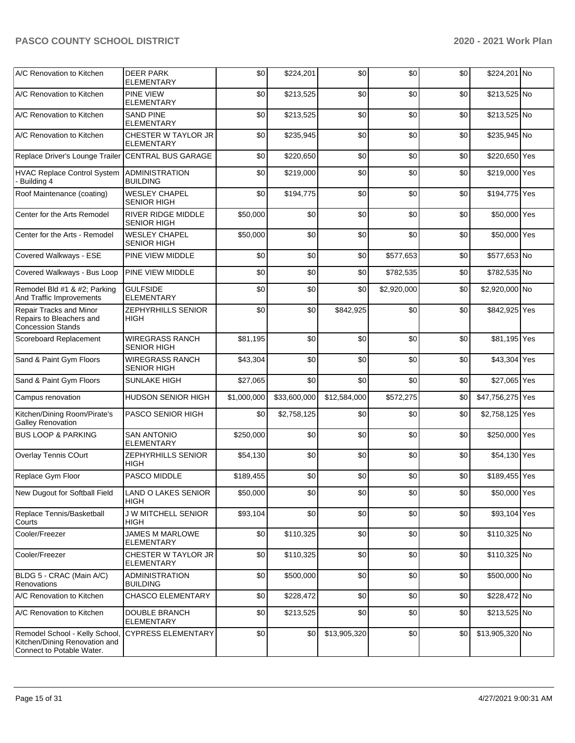| A/C Renovation to Kitchen                                                                    | <b>DEER PARK</b><br><b>ELEMENTARY</b>           | \$0         | \$224,201    | \$0          | \$0         | \$0 | \$224,201 No     |  |
|----------------------------------------------------------------------------------------------|-------------------------------------------------|-------------|--------------|--------------|-------------|-----|------------------|--|
| A/C Renovation to Kitchen                                                                    | <b>PINE VIEW</b><br><b>ELEMENTARY</b>           | \$0         | \$213,525    | \$0          | \$0         | \$0 | \$213,525 No     |  |
| A/C Renovation to Kitchen                                                                    | <b>SAND PINE</b><br><b>ELEMENTARY</b>           | \$0         | \$213,525    | \$0          | \$0         | \$0 | \$213,525 No     |  |
| A/C Renovation to Kitchen                                                                    | CHESTER W TAYLOR JR<br>ELEMENTARY               | \$0         | \$235,945    | \$0          | \$0         | \$0 | \$235,945 No     |  |
| Replace Driver's Lounge Trailer CENTRAL BUS GARAGE                                           |                                                 | \$0         | \$220,650    | \$0          | \$0         | \$0 | \$220,650 Yes    |  |
| <b>HVAC Replace Control System</b><br>- Building 4                                           | ADMINISTRATION<br><b>BUILDING</b>               | \$0         | \$219,000    | \$0          | \$0         | \$0 | \$219,000 Yes    |  |
| Roof Maintenance (coating)                                                                   | <b>WESLEY CHAPEL</b><br><b>SENIOR HIGH</b>      | \$0         | \$194,775    | \$0          | \$0         | \$0 | \$194,775 Yes    |  |
| Center for the Arts Remodel                                                                  | <b>RIVER RIDGE MIDDLE</b><br><b>SENIOR HIGH</b> | \$50,000    | \$0          | \$0          | \$0         | \$0 | \$50,000 Yes     |  |
| Center for the Arts - Remodel                                                                | <b>WESLEY CHAPEL</b><br><b>SENIOR HIGH</b>      | \$50,000    | \$0          | \$0          | \$0         | \$0 | \$50,000 Yes     |  |
| Covered Walkways - ESE                                                                       | PINE VIEW MIDDLE                                | \$0         | \$0          | \$0          | \$577,653   | \$0 | \$577,653 No     |  |
| Covered Walkways - Bus Loop                                                                  | PINE VIEW MIDDLE                                | \$0         | \$0          | \$0          | \$782,535   | \$0 | \$782,535 No     |  |
| Remodel Bld #1 & #2; Parking<br>And Traffic Improvements                                     | <b>GULFSIDE</b><br><b>ELEMENTARY</b>            | \$0         | \$0          | \$0          | \$2,920,000 | \$0 | \$2,920,000 No   |  |
| Repair Tracks and Minor<br>Repairs to Bleachers and<br><b>Concession Stands</b>              | <b>ZEPHYRHILLS SENIOR</b><br>HIGH               | \$0         | \$0          | \$842,925    | \$0         | \$0 | \$842,925 Yes    |  |
| Scoreboard Replacement                                                                       | <b>WIREGRASS RANCH</b><br><b>SENIOR HIGH</b>    | \$81,195    | \$0          | \$0          | \$0         | \$0 | \$81,195 Yes     |  |
| Sand & Paint Gym Floors                                                                      | <b>WIREGRASS RANCH</b><br><b>SENIOR HIGH</b>    | \$43,304    | \$0          | \$0          | \$0         | \$0 | \$43,304 Yes     |  |
| Sand & Paint Gym Floors                                                                      | <b>SUNLAKE HIGH</b>                             | \$27,065    | \$0          | \$0          | \$0         | \$0 | \$27,065 Yes     |  |
| Campus renovation                                                                            | HUDSON SENIOR HIGH                              | \$1,000,000 | \$33,600,000 | \$12,584,000 | \$572,275   | \$0 | \$47,756,275 Yes |  |
| Kitchen/Dining Room/Pirate's<br><b>Galley Renovation</b>                                     | PASCO SENIOR HIGH                               | \$0         | \$2,758,125  | \$0          | \$0         | \$0 | \$2,758,125 Yes  |  |
| <b>BUS LOOP &amp; PARKING</b>                                                                | <b>SAN ANTONIO</b><br><b>ELEMENTARY</b>         | \$250,000   | \$0          | \$0          | \$0         | \$0 | \$250,000 Yes    |  |
| <b>Overlay Tennis COurt</b>                                                                  | <b>ZEPHYRHILLS SENIOR</b><br>HIGH               | \$54,130    | \$0          | \$0          | \$0         | \$0 | \$54,130 Yes     |  |
| Replace Gym Floor                                                                            | PASCO MIDDLE                                    | \$189,455   | \$0          | \$0          | \$0         | \$0 | \$189,455 Yes    |  |
| New Dugout for Softball Field                                                                | <b>LAND O LAKES SENIOR</b><br>HIGH              | \$50,000    | \$0          | \$0          | \$0         | \$0 | \$50,000 Yes     |  |
| Replace Tennis/Basketball<br>Courts                                                          | <b>J W MITCHELL SENIOR</b><br><b>HIGH</b>       | \$93,104    | \$0          | \$0          | \$0         | \$0 | \$93,104 Yes     |  |
| Cooler/Freezer                                                                               | <b>JAMES M MARLOWE</b><br>ELEMENTARY            | \$0         | \$110,325    | \$0          | \$0         | \$0 | \$110,325 No     |  |
| Cooler/Freezer                                                                               | CHESTER W TAYLOR JR<br>ELEMENTARY               | \$0         | \$110,325    | \$0          | \$0         | \$0 | \$110,325 No     |  |
| BLDG 5 - CRAC (Main A/C)<br>Renovations                                                      | <b>ADMINISTRATION</b><br><b>BUILDING</b>        | \$0         | \$500,000    | \$0          | \$0         | \$0 | \$500,000 No     |  |
| A/C Renovation to Kitchen                                                                    | CHASCO ELEMENTARY                               | \$0         | \$228,472    | \$0          | \$0         | \$0 | \$228,472 No     |  |
| A/C Renovation to Kitchen                                                                    | DOUBLE BRANCH<br><b>ELEMENTARY</b>              | \$0         | \$213,525    | \$0          | \$0         | \$0 | \$213,525 No     |  |
| Remodel School - Kelly School,<br>Kitchen/Dining Renovation and<br>Connect to Potable Water. | <b>CYPRESS ELEMENTARY</b>                       | \$0         | \$0          | \$13,905,320 | \$0         | \$0 | \$13,905,320 No  |  |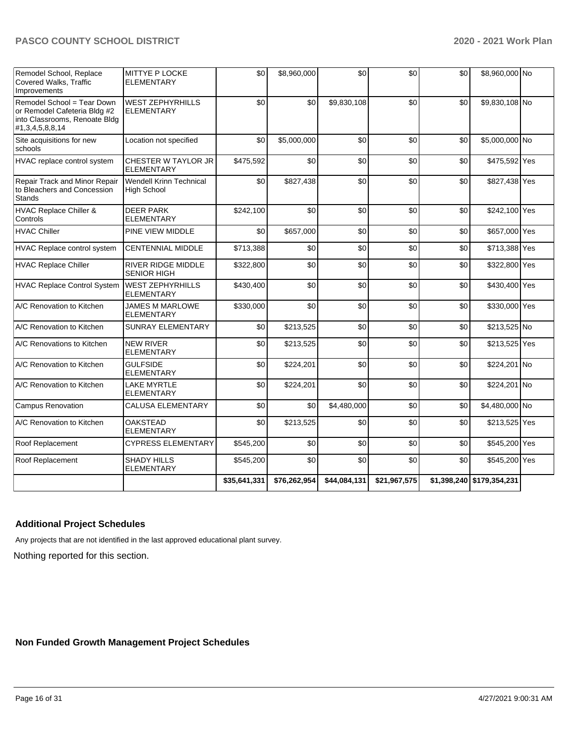| Remodel School, Replace<br>Covered Walks, Traffic<br>Improvements                                              | MITTYE P LOCKE<br>ELEMENTARY                         | \$0          | \$8,960,000  | \$0          | \$0          | \$0 | \$8,960,000 No            |  |
|----------------------------------------------------------------------------------------------------------------|------------------------------------------------------|--------------|--------------|--------------|--------------|-----|---------------------------|--|
| Remodel School = Tear Down<br>or Remodel Cafeteria Bldg #2<br>into Classrooms, Renoate Bldg<br>#1,3,4,5,8,8,14 | <b>WEST ZEPHYRHILLS</b><br><b>ELEMENTARY</b>         | \$0          | \$0          | \$9,830,108  | \$0          | \$0 | \$9,830,108 No            |  |
| Site acquisitions for new<br>schools                                                                           | Location not specified                               | \$0          | \$5,000,000  | \$0          | \$0          | \$0 | \$5,000,000 No            |  |
| HVAC replace control system                                                                                    | CHESTER W TAYLOR JR<br>ELEMENTARY                    | \$475,592    | \$0          | \$0          | \$0          | \$0 | \$475,592 Yes             |  |
| Repair Track and Minor Repair<br>to Bleachers and Concession<br><b>Stands</b>                                  | <b>Wendell Krinn Technical</b><br><b>High School</b> | \$0          | \$827,438    | \$0          | \$0          | \$0 | \$827,438 Yes             |  |
| HVAC Replace Chiller &<br>Controls                                                                             | <b>DEER PARK</b><br><b>ELEMENTARY</b>                | \$242,100    | \$0          | \$0          | \$0          | \$0 | \$242,100 Yes             |  |
| <b>HVAC Chiller</b>                                                                                            | PINE VIEW MIDDLE                                     | \$0          | \$657,000    | \$0          | \$0          | \$0 | \$657,000 Yes             |  |
| HVAC Replace control system                                                                                    | <b>CENTENNIAL MIDDLE</b>                             | \$713,388    | \$0          | \$0          | \$0          | \$0 | \$713,388 Yes             |  |
| <b>HVAC Replace Chiller</b>                                                                                    | <b>RIVER RIDGE MIDDLE</b><br><b>SENIOR HIGH</b>      | \$322,800    | \$0          | \$0          | \$0          | \$0 | \$322,800 Yes             |  |
| <b>HVAC Replace Control System</b>                                                                             | <b>WEST ZEPHYRHILLS</b><br><b>ELEMENTARY</b>         | \$430,400    | \$0          | \$0          | \$0          | \$0 | \$430,400 Yes             |  |
| A/C Renovation to Kitchen                                                                                      | JAMES M MARLOWE<br><b>ELEMENTARY</b>                 | \$330,000    | \$0          | \$0          | \$0          | \$0 | \$330,000 Yes             |  |
| A/C Renovation to Kitchen                                                                                      | <b>SUNRAY ELEMENTARY</b>                             | \$0          | \$213,525    | \$0          | \$0          | \$0 | \$213,525 No              |  |
| A/C Renovations to Kitchen                                                                                     | <b>NEW RIVER</b><br><b>ELEMENTARY</b>                | \$0          | \$213,525    | \$0          | \$0          | \$0 | \$213,525 Yes             |  |
| A/C Renovation to Kitchen                                                                                      | <b>GULFSIDE</b><br><b>ELEMENTARY</b>                 | \$0          | \$224,201    | \$0          | \$0          | \$0 | \$224,201 No              |  |
| A/C Renovation to Kitchen                                                                                      | <b>LAKE MYRTLE</b><br>ELEMENTARY                     | \$0          | \$224,201    | \$0          | \$0          | \$0 | \$224,201 No              |  |
| Campus Renovation                                                                                              | <b>CALUSA ELEMENTARY</b>                             | \$0          | \$0          | \$4,480,000  | \$0          | \$0 | \$4,480,000 No            |  |
| A/C Renovation to Kitchen                                                                                      | <b>OAKSTEAD</b><br><b>ELEMENTARY</b>                 | \$0          | \$213,525    | \$0          | \$0          | \$0 | \$213,525 Yes             |  |
| Roof Replacement                                                                                               | <b>CYPRESS ELEMENTARY</b>                            | \$545,200    | \$0          | \$0          | \$0          | \$0 | \$545,200 Yes             |  |
| Roof Replacement                                                                                               | <b>SHADY HILLS</b><br><b>ELEMENTARY</b>              | \$545,200    | \$0          | \$0          | \$0          | \$0 | \$545,200 Yes             |  |
|                                                                                                                |                                                      | \$35,641,331 | \$76,262,954 | \$44,084,131 | \$21,967,575 |     | \$1,398,240 \$179,354,231 |  |

## **Additional Project Schedules**

Any projects that are not identified in the last approved educational plant survey.

Nothing reported for this section.

**Non Funded Growth Management Project Schedules**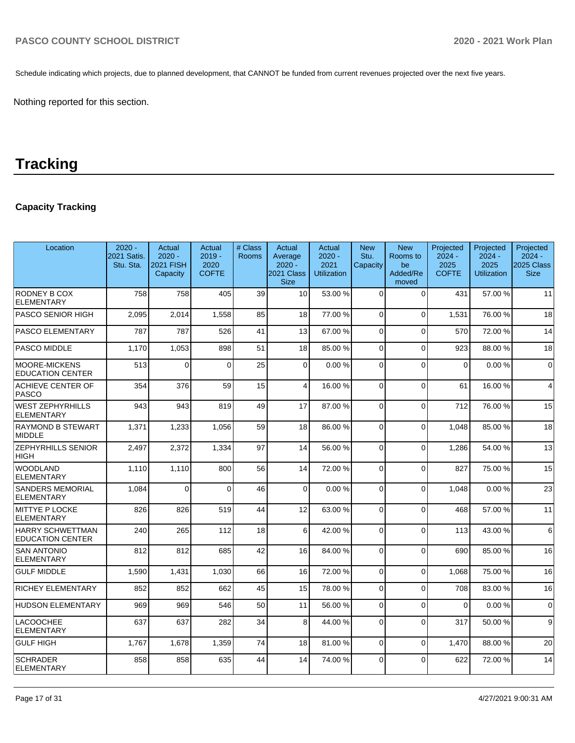Schedule indicating which projects, due to planned development, that CANNOT be funded from current revenues projected over the next five years.

Nothing reported for this section.

## **Tracking**

## **Capacity Tracking**

| Location                                           | $2020 -$<br>2021 Satis.<br>Stu. Sta. | Actual<br>$2020 -$<br>2021 FISH<br>Capacity | Actual<br>$2019 -$<br>2020<br><b>COFTE</b> | # Class<br><b>Rooms</b> | Actual<br>Average<br>$2020 -$<br>2021 Class<br><b>Size</b> | Actual<br>$2020 -$<br>2021<br><b>Utilization</b> | <b>New</b><br>Stu.<br>Capacity | <b>New</b><br>Rooms to<br>be<br>Added/Re<br>moved | Projected<br>$2024 -$<br>2025<br><b>COFTE</b> | Projected<br>$2024 -$<br>2025<br><b>Utilization</b> | Projected<br>$2024 -$<br>2025 Class<br><b>Size</b> |
|----------------------------------------------------|--------------------------------------|---------------------------------------------|--------------------------------------------|-------------------------|------------------------------------------------------------|--------------------------------------------------|--------------------------------|---------------------------------------------------|-----------------------------------------------|-----------------------------------------------------|----------------------------------------------------|
| RODNEY B COX<br><b>ELEMENTARY</b>                  | 758                                  | 758                                         | 405                                        | 39                      | 10                                                         | 53.00 %                                          | $\Omega$                       | $\Omega$                                          | 431                                           | 57.00 %                                             | 11                                                 |
| PASCO SENIOR HIGH                                  | 2,095                                | 2,014                                       | 1.558                                      | 85                      | 18                                                         | 77.00 %                                          | $\Omega$                       | $\Omega$                                          | 1.531                                         | 76.00 %                                             | 18                                                 |
| PASCO ELEMENTARY                                   | 787                                  | 787                                         | 526                                        | 41                      | 13                                                         | 67.00 %                                          | $\Omega$                       | $\Omega$                                          | 570                                           | 72.00 %                                             | 14                                                 |
| <b>PASCO MIDDLE</b>                                | 1,170                                | 1,053                                       | 898                                        | 51                      | 18                                                         | 85.00 %                                          | $\Omega$                       | $\Omega$                                          | 923                                           | 88.00 %                                             | 18                                                 |
| <b>MOORE-MICKENS</b><br><b>EDUCATION CENTER</b>    | 513                                  | $\Omega$                                    | $\Omega$                                   | 25                      | $\overline{0}$                                             | 0.00%                                            | $\Omega$                       | $\Omega$                                          | $\Omega$                                      | 0.00%                                               | $\Omega$                                           |
| <b>ACHIEVE CENTER OF</b><br><b>PASCO</b>           | 354                                  | 376                                         | 59                                         | 15                      | $\overline{4}$                                             | 16.00 %                                          | $\Omega$                       | $\Omega$                                          | 61                                            | 16.00 %                                             | $\overline{4}$                                     |
| <b>WEST ZEPHYRHILLS</b><br><b>ELEMENTARY</b>       | 943                                  | 943                                         | 819                                        | 49                      | 17                                                         | 87.00 %                                          | $\Omega$                       | $\Omega$                                          | 712                                           | 76.00 %                                             | 15                                                 |
| <b>RAYMOND B STEWART</b><br><b>MIDDLE</b>          | 1,371                                | 1,233                                       | 1,056                                      | 59                      | 18                                                         | 86.00 %                                          | $\Omega$                       | $\Omega$                                          | 1.048                                         | 85.00 %                                             | 18                                                 |
| <b>ZEPHYRHILLS SENIOR</b><br><b>HIGH</b>           | 2,497                                | 2,372                                       | 1.334                                      | 97                      | 14                                                         | 56.00 %                                          | $\Omega$                       | $\Omega$                                          | 1.286                                         | 54.00 %                                             | 13                                                 |
| <b>WOODLAND</b><br><b>ELEMENTARY</b>               | 1.110                                | 1,110                                       | 800                                        | 56                      | 14                                                         | 72.00 %                                          | $\Omega$                       | $\Omega$                                          | 827                                           | 75.00 %                                             | 15                                                 |
| <b>SANDERS MEMORIAL</b><br><b>ELEMENTARY</b>       | 1.084                                | $\Omega$                                    | $\Omega$                                   | 46                      | $\Omega$                                                   | 0.00%                                            | $\Omega$                       | $\Omega$                                          | 1.048                                         | 0.00%                                               | 23                                                 |
| <b>MITTYE P LOCKE</b><br><b>ELEMENTARY</b>         | 826                                  | 826                                         | 519                                        | 44                      | 12                                                         | 63.00 %                                          | $\Omega$                       | $\Omega$                                          | 468                                           | 57.00 %                                             | 11                                                 |
| <b>HARRY SCHWETTMAN</b><br><b>EDUCATION CENTER</b> | 240                                  | 265                                         | 112                                        | 18                      | 6                                                          | 42.00 %                                          | $\Omega$                       | $\Omega$                                          | 113                                           | 43.00 %                                             | 6                                                  |
| <b>SAN ANTONIO</b><br><b>ELEMENTARY</b>            | 812                                  | 812                                         | 685                                        | 42                      | 16                                                         | 84.00%                                           | $\Omega$                       | $\Omega$                                          | 690                                           | 85.00 %                                             | 16                                                 |
| <b>GULF MIDDLE</b>                                 | 1,590                                | 1,431                                       | 1.030                                      | 66                      | 16                                                         | 72.00 %                                          | $\Omega$                       | $\Omega$                                          | 1.068                                         | 75.00 %                                             | 16                                                 |
| <b>RICHEY ELEMENTARY</b>                           | 852                                  | 852                                         | 662                                        | 45                      | 15                                                         | 78.00 %                                          | $\overline{0}$                 | $\Omega$                                          | 708                                           | 83.00 %                                             | 16                                                 |
| <b>HUDSON ELEMENTARY</b>                           | 969                                  | 969                                         | 546                                        | 50                      | 11                                                         | 56.00 %                                          | $\Omega$                       | $\Omega$                                          | $\Omega$                                      | 0.00%                                               | $\mathbf 0$                                        |
| <b>LACOOCHEE</b><br><b>ELEMENTARY</b>              | 637                                  | 637                                         | 282                                        | 34                      | 8                                                          | 44.00 %                                          | $\Omega$                       | $\Omega$                                          | 317                                           | 50.00 %                                             | 9                                                  |
| <b>GULF HIGH</b>                                   | 1,767                                | 1,678                                       | 1,359                                      | 74                      | 18                                                         | 81.00 %                                          | $\Omega$                       | $\Omega$                                          | 1.470                                         | 88.00 %                                             | 20                                                 |
| <b>SCHRADER</b><br><b>ELEMENTARY</b>               | 858                                  | 858                                         | 635                                        | 44                      | 14                                                         | 74.00 %                                          | $\overline{0}$                 | $\Omega$                                          | 622                                           | 72.00 %                                             | 14                                                 |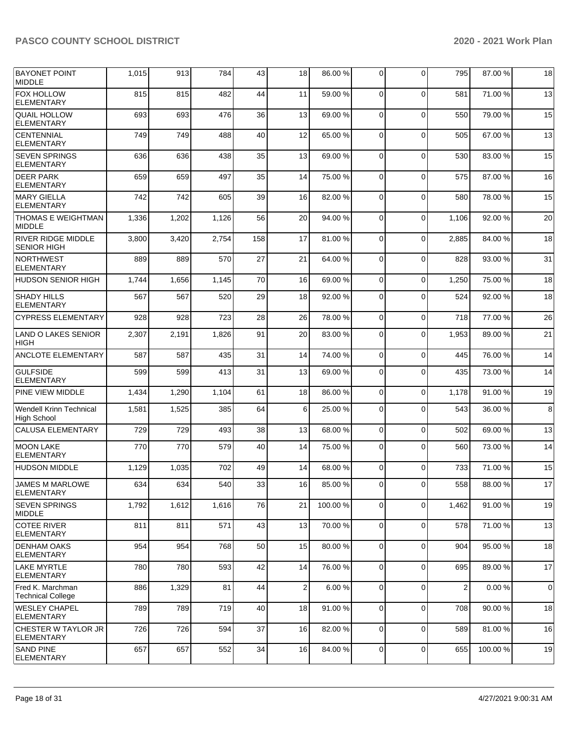| BAYONET POINT<br><b>MIDDLE</b>                  | 1,015 | 913   | 784   | 43  | 18             | 86.00 % | 0              | $\Omega$    | 795            | 87.00 % | 18          |
|-------------------------------------------------|-------|-------|-------|-----|----------------|---------|----------------|-------------|----------------|---------|-------------|
| <b>FOX HOLLOW</b><br>ELEMENTARY                 | 815   | 815   | 482   | 44  | 11             | 59.00 % | $\Omega$       | $\Omega$    | 581            | 71.00 % | 13          |
| <b>QUAIL HOLLOW</b><br><b>ELEMENTARY</b>        | 693   | 693   | 476   | 36  | 13             | 69.00 % | $\Omega$       | $\Omega$    | 550            | 79.00 % | 15          |
| <b>CENTENNIAL</b><br><b>ELEMENTARY</b>          | 749   | 749   | 488   | 40  | 12             | 65.00 % | 0              | $\mathbf 0$ | 505            | 67.00 % | 13          |
| <b>SEVEN SPRINGS</b><br><b>ELEMENTARY</b>       | 636   | 636   | 438   | 35  | 13             | 69.00 % | $\Omega$       | $\mathbf 0$ | 530            | 83.00 % | 15          |
| <b>DEER PARK</b><br><b>ELEMENTARY</b>           | 659   | 659   | 497   | 35  | 14             | 75.00 % | $\Omega$       | $\Omega$    | 575            | 87.00 % | 16          |
| MARY GIELLA<br><b>ELEMENTARY</b>                | 742   | 742   | 605   | 39  | 16             | 82.00 % | 0              | $\mathbf 0$ | 580            | 78.00 % | 15          |
| <b>THOMAS E WEIGHTMAN</b><br><b>MIDDLE</b>      | 1,336 | 1,202 | 1,126 | 56  | 20             | 94.00 % | $\Omega$       | $\mathbf 0$ | 1,106          | 92.00 % | 20          |
| <b>RIVER RIDGE MIDDLE</b><br><b>SENIOR HIGH</b> | 3,800 | 3,420 | 2,754 | 158 | 17             | 81.00 % | $\Omega$       | $\Omega$    | 2,885          | 84.00 % | 18          |
| NORTHWEST<br><b>ELEMENTARY</b>                  | 889   | 889   | 570   | 27  | 21             | 64.00 % | 0              | $\mathbf 0$ | 828            | 93.00 % | 31          |
| <b>HUDSON SENIOR HIGH</b>                       | 1,744 | 1,656 | 1,145 | 70  | 16             | 69.00 % | 0              | $\mathbf 0$ | 1,250          | 75.00 % | 18          |
| <b>SHADY HILLS</b><br><b>ELEMENTARY</b>         | 567   | 567   | 520   | 29  | 18             | 92.00%  | $\Omega$       | $\Omega$    | 524            | 92.00 % | 18          |
| <b>CYPRESS ELEMENTARY</b>                       | 928   | 928   | 723   | 28  | 26             | 78.00 % | $\Omega$       | $\Omega$    | 718            | 77.00 % | 26          |
| LAND O LAKES SENIOR<br><b>HIGH</b>              | 2,307 | 2,191 | 1,826 | 91  | 20             | 83.00 % | $\mathbf 0$    | $\Omega$    | 1,953          | 89.00 % | 21          |
| ANCLOTE ELEMENTARY                              | 587   | 587   | 435   | 31  | 14             | 74.00 % | 0              | $\mathbf 0$ | 445            | 76.00 % | 14          |
| <b>GULFSIDE</b><br><b>ELEMENTARY</b>            | 599   | 599   | 413   | 31  | 13             | 69.00 % | 0              | $\mathbf 0$ | 435            | 73.00 % | 14          |
| <b>PINE VIEW MIDDLE</b>                         | 1,434 | 1,290 | 1,104 | 61  | 18             | 86.00 % | $\mathbf 0$    | $\mathbf 0$ | 1,178          | 91.00 % | 19          |
| <b>Wendell Krinn Technical</b><br>High School   | 1,581 | 1,525 | 385   | 64  | 6              | 25.00 % | $\Omega$       | $\Omega$    | 543            | 36.00 % | 8           |
| CALUSA ELEMENTARY                               | 729   | 729   | 493   | 38  | 13             | 68.00 % | $\Omega$       | $\Omega$    | 502            | 69.00 % | 13          |
| MOON LAKE<br><b>ELEMENTARY</b>                  | 770   | 770   | 579   | 40  | 14             | 75.00 % | $\mathbf 0$    | $\Omega$    | 560            | 73.00 % | 14          |
| <b>HUDSON MIDDLE</b>                            | 1,129 | 1,035 | 702   | 49  | 14             | 68.00 % | 0              | $\Omega$    | 733            | 71.00 % | 15          |
| <b>JAMES M MARLOWE</b><br> ELEMENTARY           | 634 l | 634   | 540   | 33  | 16             | 85.00 % | $\overline{0}$ | $\Omega$    | 558            | 88.00 % | 17          |
| <b>SEVEN SPRINGS</b><br>MIDDLE                  | 1,792 | 1,612 | 1,616 | 76  | 21             | 100.00% | $\mathbf 0$    | $\mathbf 0$ | 1,462          | 91.00 % | 19          |
| <b>COTEE RIVER</b><br><b>ELEMENTARY</b>         | 811   | 811   | 571   | 43  | 13             | 70.00%  | $\mathbf 0$    | $\mathbf 0$ | 578            | 71.00 % | 13          |
| <b>DENHAM OAKS</b><br>ELEMENTARY                | 954   | 954   | 768   | 50  | 15             | 80.00 % | 0              | $\mathbf 0$ | 904            | 95.00 % | 18          |
| <b>LAKE MYRTLE</b><br><b>ELEMENTARY</b>         | 780   | 780   | 593   | 42  | 14             | 76.00%  | $\Omega$       | $\mathbf 0$ | 695            | 89.00 % | 17          |
| Fred K. Marchman<br><b>Technical College</b>    | 886   | 1,329 | 81    | 44  | $\overline{2}$ | 6.00%   | $\mathbf 0$    | $\Omega$    | $\overline{2}$ | 0.00%   | $\mathbf 0$ |
| <b>WESLEY CHAPEL</b><br>ELEMENTARY              | 789   | 789   | 719   | 40  | 18             | 91.00 % | 0              | $\mathbf 0$ | 708            | 90.00 % | 18          |
| CHESTER W TAYLOR JR<br><b>ELEMENTARY</b>        | 726   | 726   | 594   | 37  | 16             | 82.00 % | 0              | $\mathbf 0$ | 589            | 81.00 % | 16          |
| <b>SAND PINE</b><br><b>ELEMENTARY</b>           | 657   | 657   | 552   | 34  | 16             | 84.00 % | $\mathbf 0$    | $\mathbf 0$ | 655            | 100.00% | 19          |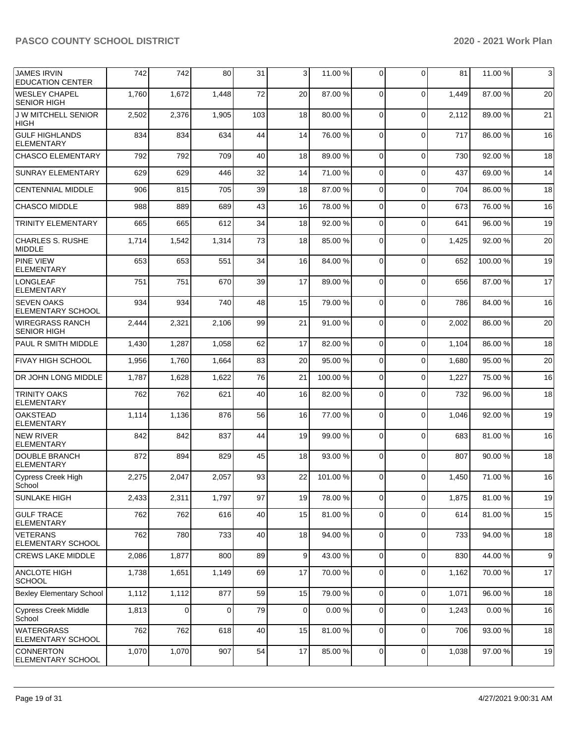| <b>JAMES IRVIN</b><br><b>EDUCATION CENTER</b> | 742   | 742   | 80       | 31  | 3  | 11.00 %  | 0              | $\Omega$    | 81    | 11.00 % | 3                |
|-----------------------------------------------|-------|-------|----------|-----|----|----------|----------------|-------------|-------|---------|------------------|
| <b>WESLEY CHAPEL</b><br><b>SENIOR HIGH</b>    | 1,760 | 1,672 | 1,448    | 72  | 20 | 87.00 %  | 0              | $\Omega$    | 1,449 | 87.00 % | 20               |
| <b>JW MITCHELL SENIOR</b><br><b>HIGH</b>      | 2,502 | 2,376 | 1,905    | 103 | 18 | 80.00 %  | $\mathbf 0$    | $\Omega$    | 2,112 | 89.00 % | 21               |
| <b>GULF HIGHLANDS</b><br><b>ELEMENTARY</b>    | 834   | 834   | 634      | 44  | 14 | 76.00 %  | 0              | $\Omega$    | 717   | 86.00 % | 16               |
| <b>CHASCO ELEMENTARY</b>                      | 792   | 792   | 709      | 40  | 18 | 89.00 %  | $\mathbf 0$    | $\Omega$    | 730   | 92.00 % | 18               |
| <b>SUNRAY ELEMENTARY</b>                      | 629   | 629   | 446      | 32  | 14 | 71.00 %  | 0              | $\Omega$    | 437   | 69.00 % | 14               |
| <b>CENTENNIAL MIDDLE</b>                      | 906   | 815   | 705      | 39  | 18 | 87.00 %  | $\mathbf 0$    | $\Omega$    | 704   | 86.00 % | 18               |
| <b>CHASCO MIDDLE</b>                          | 988   | 889   | 689      | 43  | 16 | 78.00 %  | 0              | $\Omega$    | 673   | 76.00 % | 16               |
| <b>TRINITY ELEMENTARY</b>                     | 665   | 665   | 612      | 34  | 18 | 92.00 %  | $\mathbf 0$    | $\Omega$    | 641   | 96.00 % | 19               |
| <b>CHARLES S. RUSHE</b><br><b>MIDDLE</b>      | 1,714 | 1,542 | 1,314    | 73  | 18 | 85.00 %  | 0              | $\Omega$    | 1,425 | 92.00 % | 20               |
| <b>PINE VIEW</b><br><b>ELEMENTARY</b>         | 653   | 653   | 551      | 34  | 16 | 84.00 %  | $\mathbf 0$    | $\Omega$    | 652   | 100.00% | 19               |
| <b>LONGLEAF</b><br><b>ELEMENTARY</b>          | 751   | 751   | 670      | 39  | 17 | 89.00 %  | 0              | $\Omega$    | 656   | 87.00 % | 17               |
| <b>SEVEN OAKS</b><br><b>ELEMENTARY SCHOOL</b> | 934   | 934   | 740      | 48  | 15 | 79.00 %  | $\Omega$       | $\Omega$    | 786   | 84.00 % | 16               |
| <b>WIREGRASS RANCH</b><br><b>SENIOR HIGH</b>  | 2,444 | 2,321 | 2,106    | 99  | 21 | 91.00 %  | $\Omega$       | $\Omega$    | 2,002 | 86.00 % | 20               |
| PAUL R SMITH MIDDLE                           | 1,430 | 1,287 | 1,058    | 62  | 17 | 82.00 %  | 0              | $\Omega$    | 1,104 | 86.00 % | 18               |
| <b>FIVAY HIGH SCHOOL</b>                      | 1,956 | 1,760 | 1,664    | 83  | 20 | 95.00 %  | 0              | $\Omega$    | 1,680 | 95.00 % | 20               |
| DR JOHN LONG MIDDLE                           | 1,787 | 1,628 | 1,622    | 76  | 21 | 100.00 % | 0              | $\Omega$    | 1,227 | 75.00 % | 16               |
| <b>TRINITY OAKS</b><br><b>ELEMENTARY</b>      | 762   | 762   | 621      | 40  | 16 | 82.00 %  | 0              | $\Omega$    | 732   | 96.00 % | 18               |
| <b>OAKSTEAD</b><br><b>ELEMENTARY</b>          | 1,114 | 1,136 | 876      | 56  | 16 | 77.00 %  | $\Omega$       | $\Omega$    | 1,046 | 92.00 % | 19               |
| <b>NEW RIVER</b><br><b>ELEMENTARY</b>         | 842   | 842   | 837      | 44  | 19 | 99.00 %  | $\mathbf 0$    | $\Omega$    | 683   | 81.00 % | 16               |
| <b>DOUBLE BRANCH</b><br><b>ELEMENTARY</b>     | 872   | 894   | 829      | 45  | 18 | 93.00 %  | 0              | $\Omega$    | 807   | 90.00 % | 18               |
| <b>Cypress Creek High</b><br>School           | 2,275 | 2,047 | 2,057    | 93  | 22 | 101.00 % | 0              | $\Omega$    | 1,450 | 71.00 % | 16               |
| <b>SUNLAKE HIGH</b>                           | 2,433 | 2,311 | 1,797    | 97  | 19 | 78.00 %  | $\mathbf 0$    | $\mathbf 0$ | 1,875 | 81.00%  | 19               |
| <b>GULF TRACE</b><br><b>ELEMENTARY</b>        | 762   | 762   | 616      | 40  | 15 | 81.00%   | $\mathbf 0$    | $\mathbf 0$ | 614   | 81.00%  | 15               |
| <b>VETERANS</b><br>ELEMENTARY SCHOOL          | 762   | 780   | 733      | 40  | 18 | 94.00 %  | 0              | $\mathbf 0$ | 733   | 94.00 % | 18               |
| <b>CREWS LAKE MIDDLE</b>                      | 2,086 | 1,877 | 800      | 89  | 9  | 43.00 %  | 0              | $\mathbf 0$ | 830   | 44.00%  | $\boldsymbol{9}$ |
| <b>ANCLOTE HIGH</b><br><b>SCHOOL</b>          | 1,738 | 1,651 | 1,149    | 69  | 17 | 70.00%   | 0              | $\mathbf 0$ | 1,162 | 70.00 % | 17               |
| <b>Bexley Elementary School</b>               | 1,112 | 1,112 | 877      | 59  | 15 | 79.00 %  | $\overline{0}$ | $\mathbf 0$ | 1,071 | 96.00 % | 18               |
| Cypress Creek Middle<br>School                | 1,813 | 0     | $\Omega$ | 79  | 0  | 0.00%    | $\mathbf 0$    | $\mathbf 0$ | 1,243 | 0.00%   | 16               |
| <b>WATERGRASS</b><br>ELEMENTARY SCHOOL        | 762   | 762   | 618      | 40  | 15 | 81.00%   | 0              | $\mathbf 0$ | 706   | 93.00 % | 18               |
| <b>CONNERTON</b><br><b>ELEMENTARY SCHOOL</b>  | 1,070 | 1,070 | 907      | 54  | 17 | 85.00 %  | 0              | 0           | 1,038 | 97.00 % | 19               |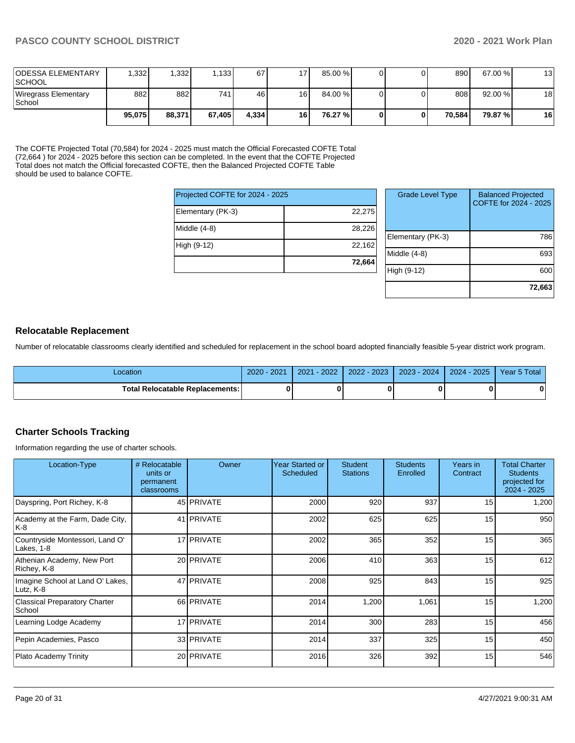| <b>ODESSA ELEMENTARY</b><br><b>SCHOOL</b> | .332 <sub>1</sub> | 1,332  | .133   | 67     | 17 | 85.00 % |  | 890    | 67.00 % | 13 |
|-------------------------------------------|-------------------|--------|--------|--------|----|---------|--|--------|---------|----|
| Wiregrass Elementary<br>School            | 882               | 882    | 741    | 46     | 16 | 84.00 % |  | 808    | 92.00 % | 18 |
|                                           | 95.075            | 88,371 | 67.405 | 4.3341 | 16 | 76.27 % |  | 70.584 | 79.87 % | 16 |

The COFTE Projected Total (70,584) for 2024 - 2025 must match the Official Forecasted COFTE Total (72,664 ) for 2024 - 2025 before this section can be completed. In the event that the COFTE Projected Total does not match the Official forecasted COFTE, then the Balanced Projected COFTE Table should be used to balance COFTE.

| Projected COFTE for 2024 - 2025 |        |
|---------------------------------|--------|
| Elementary (PK-3)               | 22,275 |
| Middle (4-8)                    | 28,226 |
| High (9-12)                     | 22,162 |
|                                 | 72,664 |

| <b>Grade Level Type</b> | <b>Balanced Projected</b><br>COFTE for 2024 - 2025 |
|-------------------------|----------------------------------------------------|
| Elementary (PK-3)       | 786                                                |
| Middle $(4-8)$          | 693                                                |
| High (9-12)             | 600                                                |
|                         | 72,663                                             |

## **Relocatable Replacement**

Number of relocatable classrooms clearly identified and scheduled for replacement in the school board adopted financially feasible 5-year district work program.

| _ocation                          | $-2021$<br>$2020 -$ | $-2022$<br>2021 | $2 - 2023$<br>2022 | 2023 - 2024 | $2024 - 2025$ | Year 5 Total |
|-----------------------------------|---------------------|-----------------|--------------------|-------------|---------------|--------------|
| Total Relocatable Replacements: I |                     |                 |                    | n           |               | 0            |

### **Charter Schools Tracking**

Information regarding the use of charter schools.

| Location-Type                                  | # Relocatable<br>units or<br>permanent<br>classrooms | Owner             | <b>Year Started or</b><br>Scheduled | <b>Student</b><br><b>Stations</b> | <b>Students</b><br>Enrolled | Years in<br>Contract | <b>Total Charter</b><br><b>Students</b><br>projected for<br>$2024 - 2025$ |
|------------------------------------------------|------------------------------------------------------|-------------------|-------------------------------------|-----------------------------------|-----------------------------|----------------------|---------------------------------------------------------------------------|
| Dayspring, Port Richey, K-8                    |                                                      | 45 <b>PRIVATE</b> | 2000                                | 920                               | 937                         | 15 <sub>l</sub>      | 1,200                                                                     |
| Academy at the Farm, Dade City,<br>K-8         |                                                      | 41 PRIVATE        | 2002                                | 625                               | 625                         | 15                   | 950                                                                       |
| Countryside Montessori, Land O'<br>Lakes, 1-8  |                                                      | 17 PRIVATE        | 2002                                | 365                               | 352                         | 15                   | 365                                                                       |
| Athenian Academy, New Port<br>Richey, K-8      |                                                      | 20 PRIVATE        | 2006                                | 410                               | 363                         | 15                   | 612                                                                       |
| Imagine School at Land O' Lakes,<br>Lutz, K-8  |                                                      | 47 PRIVATE        | 2008                                | 925                               | 843                         | 15                   | 925                                                                       |
| <b>Classical Preparatory Charter</b><br>School |                                                      | 66 PRIVATE        | 2014                                | 1,200                             | 1,061                       | 15                   | 1,200                                                                     |
| Learning Lodge Academy                         |                                                      | 17 PRIVATE        | 2014                                | 300                               | 283                         | 15                   | 456                                                                       |
| Pepin Academies, Pasco                         |                                                      | 33 PRIVATE        | 2014                                | 337                               | 325                         | 15                   | 450                                                                       |
| <b>Plato Academy Trinity</b>                   |                                                      | 20 PRIVATE        | 2016                                | 326                               | 392                         | 15                   | 546                                                                       |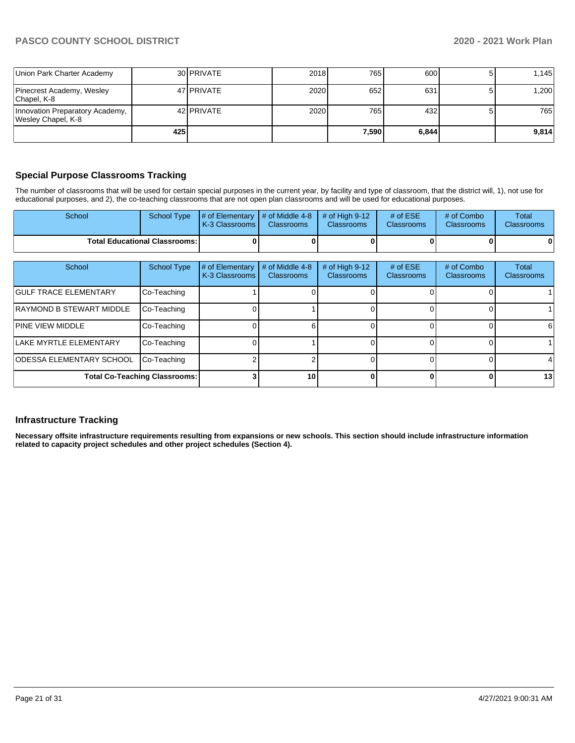| Union Park Charter Academy                            |     | 30 PRIVATE          | 2018 | 765     | 600   | 1.145 |
|-------------------------------------------------------|-----|---------------------|------|---------|-------|-------|
| Pinecrest Academy, Wesley<br>Chapel, K-8              |     | 47 PRIVATE          | 2020 | 652     | 631   | 1,200 |
| Innovation Preparatory Academy,<br>Wesley Chapel, K-8 |     | 42 <b>I</b> PRIVATE | 2020 | 765     | 432   | 765   |
|                                                       | 425 |                     |      | 7.590 l | 6,844 | 9.814 |

## **Special Purpose Classrooms Tracking**

The number of classrooms that will be used for certain special purposes in the current year, by facility and type of classroom, that the district will, 1), not use for educational purposes, and 2), the co-teaching classrooms that are not open plan classrooms and will be used for educational purposes.

| School | School Type                            | $\parallel \#$ of Elementary $\parallel \#$ of Middle 4-8 $\parallel \#$ of High 9-12<br>K-3 Classrooms | <b>Classrooms</b> | <b>Classrooms</b> | # of $ESE$<br><b>Classrooms</b> | # of Combo<br><b>Classrooms</b> | Total<br><b>Classrooms</b> |
|--------|----------------------------------------|---------------------------------------------------------------------------------------------------------|-------------------|-------------------|---------------------------------|---------------------------------|----------------------------|
|        | <b>Total Educational Classrooms: I</b> |                                                                                                         |                   |                   |                                 |                                 | 01                         |

| School                          | <b>School Type</b>                   | # of Elementary<br>K-3 Classrooms | # of Middle 4-8<br>Classrooms | # of High $9-12$<br>Classrooms | # of $ESE$<br><b>Classrooms</b> | # of Combo<br><b>Classrooms</b> | Total<br><b>Classrooms</b> |
|---------------------------------|--------------------------------------|-----------------------------------|-------------------------------|--------------------------------|---------------------------------|---------------------------------|----------------------------|
| <b>GULF TRACE ELEMENTARY</b>    | Co-Teaching                          |                                   |                               |                                |                                 |                                 |                            |
| RAYMOND B STEWART MIDDLE        | Co-Teaching                          |                                   |                               |                                |                                 |                                 |                            |
| <b>PINE VIEW MIDDLE</b>         | Co-Teaching                          |                                   |                               |                                |                                 |                                 | 61                         |
| LAKE MYRTLE ELEMENTARY          | Co-Teaching                          |                                   |                               |                                |                                 |                                 |                            |
| <b>ODESSA ELEMENTARY SCHOOL</b> | Co-Teaching                          |                                   |                               |                                |                                 |                                 |                            |
|                                 | <b>Total Co-Teaching Classrooms:</b> |                                   | 10                            |                                |                                 | n                               | 13                         |

## **Infrastructure Tracking**

**Necessary offsite infrastructure requirements resulting from expansions or new schools. This section should include infrastructure information related to capacity project schedules and other project schedules (Section 4).**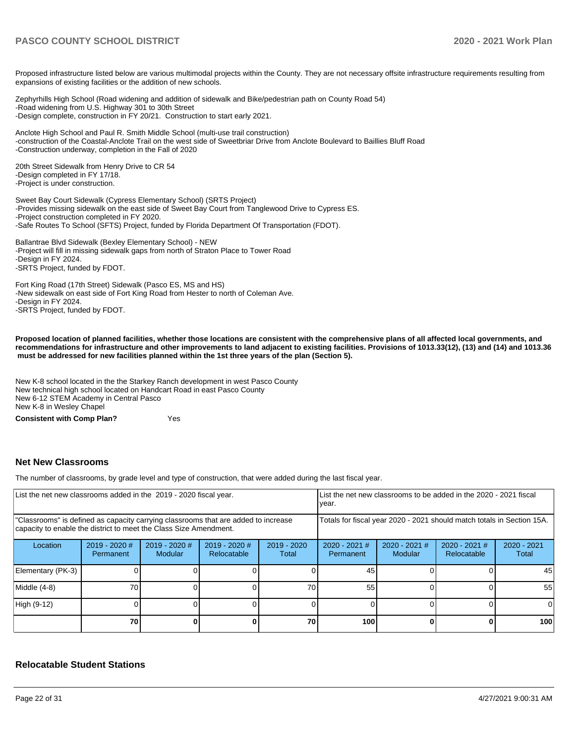Proposed infrastructure listed below are various multimodal projects within the County. They are not necessary offsite infrastructure requirements resulting from expansions of existing facilities or the addition of new schools.

Zephyrhills High School (Road widening and addition of sidewalk and Bike/pedestrian path on County Road 54) -Road widening from U.S. Highway 301 to 30th Street -Design complete, construction in FY 20/21. Construction to start early 2021.

Anclote High School and Paul R. Smith Middle School (multi-use trail construction) -construction of the Coastal-Anclote Trail on the west side of Sweetbriar Drive from Anclote Boulevard to Baillies Bluff Road -Construction underway, completion in the Fall of 2020

20th Street Sidewalk from Henry Drive to CR 54 -Design completed in FY 17/18. -Project is under construction.

Sweet Bay Court Sidewalk (Cypress Elementary School) (SRTS Project) -Provides missing sidewalk on the east side of Sweet Bay Court from Tanglewood Drive to Cypress ES. -Project construction completed in FY 2020. -Safe Routes To School (SFTS) Project, funded by Florida Department Of Transportation (FDOT).

Ballantrae Blvd Sidewalk (Bexley Elementary School) - NEW -Project will fill in missing sidewalk gaps from north of Straton Place to Tower Road -Design in FY 2024. -SRTS Project, funded by FDOT.

Fort King Road (17th Street) Sidewalk (Pasco ES, MS and HS) -New sidewalk on east side of Fort King Road from Hester to north of Coleman Ave. -Design in FY 2024. -SRTS Project, funded by FDOT.

**Proposed location of planned facilities, whether those locations are consistent with the comprehensive plans of all affected local governments, and recommendations for infrastructure and other improvements to land adjacent to existing facilities. Provisions of 1013.33(12), (13) and (14) and 1013.36 must be addressed for new facilities planned within the 1st three years of the plan (Section 5).** 

New K-8 school located in the the Starkey Ranch development in west Pasco County New technical high school located on Handcart Road in east Pasco County New 6-12 STEM Academy in Central Pasco New K-8 in Wesley Chapel

**Consistent with Comp Plan?** Yes

## **Net New Classrooms**

The number of classrooms, by grade level and type of construction, that were added during the last fiscal year.

| List the net new classrooms added in the 2019 - 2020 fiscal year.                                                                                       |                            |                                   |                              |                        | year.                                                                  |                          | List the net new classrooms to be added in the 2020 - 2021 fiscal |                        |
|---------------------------------------------------------------------------------------------------------------------------------------------------------|----------------------------|-----------------------------------|------------------------------|------------------------|------------------------------------------------------------------------|--------------------------|-------------------------------------------------------------------|------------------------|
| "Classrooms" is defined as capacity carrying classrooms that are added to increase<br>capacity to enable the district to meet the Class Size Amendment. |                            |                                   |                              |                        | Totals for fiscal year 2020 - 2021 should match totals in Section 15A. |                          |                                                                   |                        |
| Location                                                                                                                                                | 2019 - 2020 #<br>Permanent | $2019 - 2020$ #<br><b>Modular</b> | 2019 - 2020 #<br>Relocatable | $2019 - 2020$<br>Total | 2020 - 2021 #<br>Permanent                                             | 2020 - 2021 #<br>Modular | $2020 - 2021$ #<br>Relocatable                                    | $2020 - 2021$<br>Total |
| Elementary (PK-3)                                                                                                                                       |                            |                                   |                              |                        | 45                                                                     |                          |                                                                   | 45                     |
| Middle (4-8)                                                                                                                                            | 70                         |                                   |                              | 70                     | 55                                                                     |                          |                                                                   | 55                     |
| High (9-12)                                                                                                                                             |                            |                                   |                              |                        |                                                                        |                          |                                                                   |                        |
|                                                                                                                                                         | 70                         |                                   |                              | 70                     | 100                                                                    |                          |                                                                   | 100                    |

### **Relocatable Student Stations**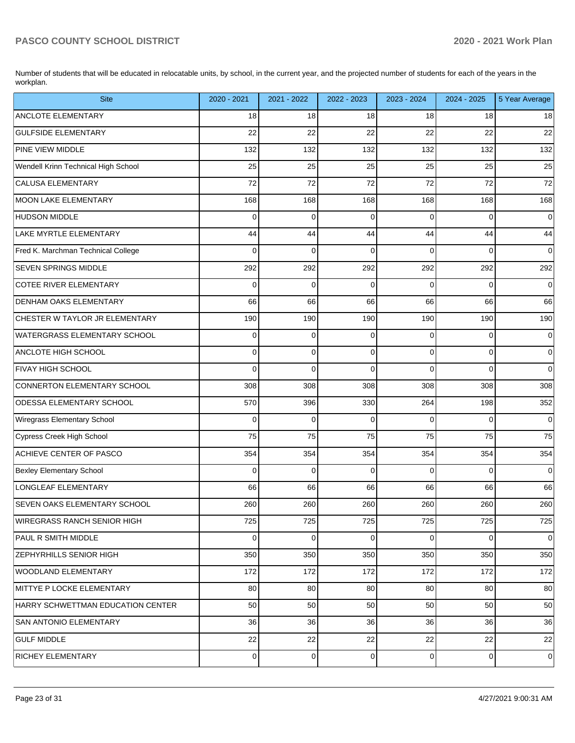Number of students that will be educated in relocatable units, by school, in the current year, and the projected number of students for each of the years in the workplan.

| <b>Site</b>                         | 2020 - 2021    | 2021 - 2022 | 2022 - 2023 | 2023 - 2024    | 2024 - 2025    | 5 Year Average      |
|-------------------------------------|----------------|-------------|-------------|----------------|----------------|---------------------|
| <b>ANCLOTE ELEMENTARY</b>           | 18             | 18          | 18          | 18             | 18             | 18                  |
| <b>GULFSIDE ELEMENTARY</b>          | 22             | 22          | 22          | 22             | 22             | 22                  |
| <b>PINE VIEW MIDDLE</b>             | 132            | 132         | 132         | 132            | 132            | 132                 |
| Wendell Krinn Technical High School | 25             | 25          | 25          | 25             | 25             | 25                  |
| CALUSA ELEMENTARY                   | 72             | 72          | 72          | 72             | 72             | 72                  |
| MOON LAKE ELEMENTARY                | 168            | 168         | 168         | 168            | 168            | 168                 |
| HUDSON MIDDLE                       | 0              | 0           | 0           | 0              | $\mathbf 0$    | $\mathsf{O}\xspace$ |
| LAKE MYRTLE ELEMENTARY              | 44             | 44          | 44          | 44             | 44             | 44                  |
| Fred K. Marchman Technical College  | 0              | $\mathbf 0$ | $\Omega$    | $\Omega$       | 0              | $\overline{0}$      |
| <b>SEVEN SPRINGS MIDDLE</b>         | 292            | 292         | 292         | 292            | 292            | 292                 |
| COTEE RIVER ELEMENTARY              | 0              | 0           | 0           | $\Omega$       | 0              | $\overline{0}$      |
| <b>DENHAM OAKS ELEMENTARY</b>       | 66             | 66          | 66          | 66             | 66             | 66                  |
| CHESTER W TAYLOR JR ELEMENTARY      | 190            | 190         | 190         | 190            | 190            | 190                 |
| WATERGRASS ELEMENTARY SCHOOL        | 0              | 0           | 0           | $\Omega$       | $\mathbf 0$    | $\mathbf 0$         |
| ANCLOTE HIGH SCHOOL                 | 0              | $\mathbf 0$ | 0           | 0              | $\mathbf 0$    | $\overline{0}$      |
| <b>FIVAY HIGH SCHOOL</b>            | 0              | $\mathbf 0$ | $\Omega$    | $\Omega$       | $\Omega$       | $\overline{0}$      |
| CONNERTON ELEMENTARY SCHOOL         | 308            | 308         | 308         | 308            | 308            | 308                 |
| <b>ODESSA ELEMENTARY SCHOOL</b>     | 570            | 396         | 330         | 264            | 198            | 352                 |
| Wiregrass Elementary School         | 0              | 0           | 0           | $\Omega$       | $\mathbf 0$    | $\mathbf 0$         |
| Cypress Creek High School           | 75             | 75          | 75          | 75             | 75             | 75                  |
| ACHIEVE CENTER OF PASCO             | 354            | 354         | 354         | 354            | 354            | 354                 |
| <b>Bexley Elementary School</b>     | 0              | 0           | 0           | $\Omega$       | $\Omega$       | $\mathbf 0$         |
| LONGLEAF ELEMENTARY                 | 66             | 66          | 66          | 66             | 66             | 66                  |
| <b>SEVEN OAKS ELEMENTARY SCHOOL</b> | 260            | 260         | 260         | 260            | 260            | 260                 |
| <b>WIREGRASS RANCH SENIOR HIGH</b>  | 725            | 725         | 725         | 725            | 725            | 725                 |
| <b>PAUL R SMITH MIDDLE</b>          | $\overline{0}$ | 0           | 0           | $\overline{0}$ | 0              | $\mathbf 0$         |
| <b>ZEPHYRHILLS SENIOR HIGH</b>      | 350            | 350         | 350         | 350            | 350            | 350                 |
| WOODLAND ELEMENTARY                 | 172            | 172         | 172         | 172            | 172            | 172                 |
| MITTYE P LOCKE ELEMENTARY           | 80             | 80          | 80          | 80             | 80             | 80                  |
| HARRY SCHWETTMAN EDUCATION CENTER   | 50             | 50          | 50          | 50             | 50             | 50                  |
| <b>SAN ANTONIO ELEMENTARY</b>       | 36             | 36          | 36          | 36             | 36             | 36                  |
| <b>GULF MIDDLE</b>                  | 22             | 22          | 22          | 22             | 22             | 22                  |
| RICHEY ELEMENTARY                   | $\pmb{0}$      | $\mathbf 0$ | 0           | $\mathbf 0$    | $\overline{0}$ | $\mathbf 0$         |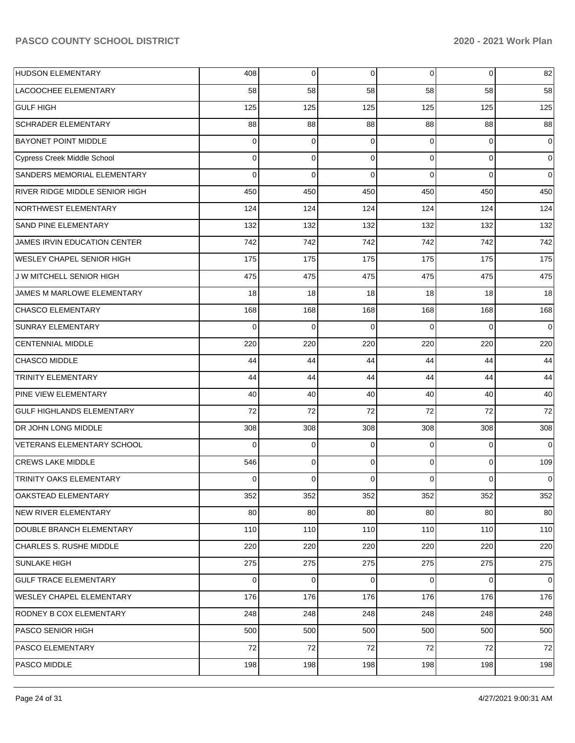| <b>HUDSON ELEMENTARY</b>              | 408         | $\overline{0}$ | 0        | $\overline{0}$ | 0           | 82          |
|---------------------------------------|-------------|----------------|----------|----------------|-------------|-------------|
| <b>LACOOCHEE ELEMENTARY</b>           | 58          | 58             | 58       | 58             | 58          | 58          |
| <b>GULF HIGH</b>                      | 125         | 125            | 125      | 125            | 125         | 125         |
| <b>SCHRADER ELEMENTARY</b>            | 88          | 88             | 88       | 88             | 88          | 88          |
| <b>BAYONET POINT MIDDLE</b>           | 0           | $\mathbf 0$    | $\Omega$ | 0              | $\Omega$    | $\mathbf 0$ |
| <b>Cypress Creek Middle School</b>    | 0           | $\mathbf 0$    | $\Omega$ | $\Omega$       | $\mathbf 0$ | $\mathbf 0$ |
| SANDERS MEMORIAL ELEMENTARY           | $\Omega$    | $\Omega$       | $\Omega$ | 0              | $\Omega$    | $\mathbf 0$ |
| <b>RIVER RIDGE MIDDLE SENIOR HIGH</b> | 450         | 450            | 450      | 450            | 450         | 450         |
| NORTHWEST ELEMENTARY                  | 124         | 124            | 124      | 124            | 124         | 124         |
| <b>SAND PINE ELEMENTARY</b>           | 132         | 132            | 132      | 132            | 132         | 132         |
| <b>JAMES IRVIN EDUCATION CENTER</b>   | 742         | 742            | 742      | 742            | 742         | 742         |
| <b>WESLEY CHAPEL SENIOR HIGH</b>      | 175         | 175            | 175      | 175            | 175         | 175         |
| J W MITCHELL SENIOR HIGH              | 475         | 475            | 475      | 475            | 475         | 475         |
| JAMES M MARLOWE ELEMENTARY            | 18          | 18             | 18       | 18             | 18          | 18          |
| <b>CHASCO ELEMENTARY</b>              | 168         | 168            | 168      | 168            | 168         | 168         |
| <b>SUNRAY ELEMENTARY</b>              | $\Omega$    | $\Omega$       | $\Omega$ | $\Omega$       | $\Omega$    | $\mathbf 0$ |
| <b>CENTENNIAL MIDDLE</b>              | 220         | 220            | 220      | 220            | 220         | 220         |
| <b>CHASCO MIDDLE</b>                  | 44          | 44             | 44       | 44             | 44          | 44          |
| <b>TRINITY ELEMENTARY</b>             | 44          | 44             | 44       | 44             | 44          | 44          |
| <b>PINE VIEW ELEMENTARY</b>           | 40          | 40             | 40       | 40             | 40          | 40          |
| <b>GULF HIGHLANDS ELEMENTARY</b>      | 72          | 72             | 72       | 72             | 72          | 72          |
| DR JOHN LONG MIDDLE                   | 308         | 308            | 308      | 308            | 308         | 308         |
| VETERANS ELEMENTARY SCHOOL            | $\Omega$    | $\mathbf 0$    | $\Omega$ | 0              | $\Omega$    | $\Omega$    |
| <b>CREWS LAKE MIDDLE</b>              | 546         | $\mathbf 0$    | $\Omega$ | $\Omega$       | $\mathbf 0$ | 109         |
| <b>TRINITY OAKS ELEMENTARY</b>        | 0           | $\mathbf 0$    | $\Omega$ | 0              | $\mathbf 0$ | $\mathbf 0$ |
| OAKSTEAD ELEMENTARY                   | 352         | 352            | 352      | 352            | 352         | 352         |
| <b>NEW RIVER ELEMENTARY</b>           | 80          | 80             | 80       | 80             | 80          | 80          |
| DOUBLE BRANCH ELEMENTARY              | 110         | 110            | 110      | 110            | 110         | 110         |
| CHARLES S. RUSHE MIDDLE               | 220         | 220            | 220      | 220            | 220         | 220         |
| <b>SUNLAKE HIGH</b>                   | 275         | 275            | 275      | 275            | 275         | 275         |
| <b>GULF TRACE ELEMENTARY</b>          | $\mathbf 0$ | $\mathbf 0$    | $\Omega$ | $\Omega$       | 0           | $\Omega$    |
| <b>WESLEY CHAPEL ELEMENTARY</b>       | 176         | 176            | 176      | 176            | 176         | 176         |
| <b>RODNEY B COX ELEMENTARY</b>        | 248         | 248            | 248      | 248            | 248         | 248         |
| PASCO SENIOR HIGH                     | 500         | 500            | 500      | 500            | 500         | 500         |
| <b>PASCO ELEMENTARY</b>               | 72          | 72             | 72       | 72             | 72          | 72          |
| PASCO MIDDLE                          | 198         | 198            | 198      | 198            | 198         | 198         |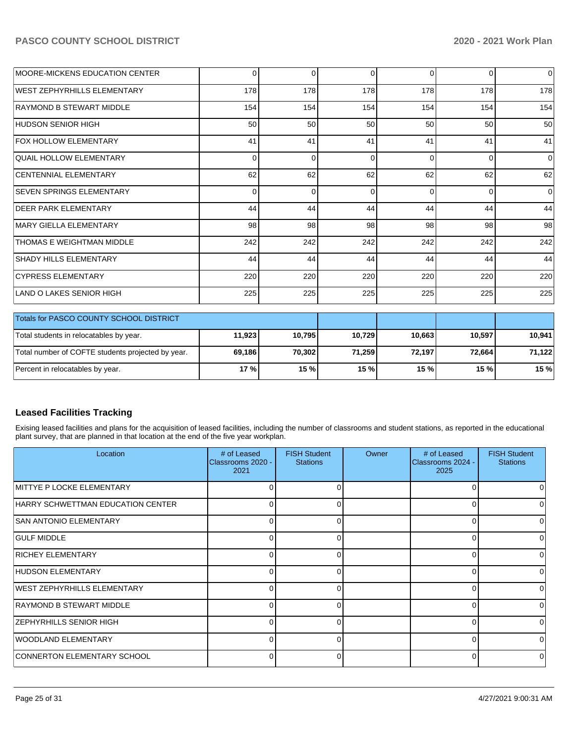| <b>MOORE-MICKENS EDUCATION CENTER</b>             | $\Omega$ | $\Omega$ | 0        | $\Omega$ | $\Omega$ | $\overline{0}$ |
|---------------------------------------------------|----------|----------|----------|----------|----------|----------------|
| WEST ZEPHYRHILLS ELEMENTARY                       | 178      | 178      | 178      | 178      | 178      | 178            |
| <b>RAYMOND B STEWART MIDDLE</b>                   | 154      | 154      | 154      | 154      | 154      | 154            |
| HUDSON SENIOR HIGH                                | 50       | 50       | 50       | 50       | 50       | 50             |
| FOX HOLLOW ELEMENTARY                             | 41       | 41       | 41       | 41       | 41       | 41             |
| <b>QUAIL HOLLOW ELEMENTARY</b>                    | 0        | $\Omega$ | $\Omega$ | $\Omega$ | $\Omega$ | $\overline{0}$ |
| CENTENNIAL ELEMENTARY                             | 62       | 62       | 62       | 62       | 62       | 62             |
| <b>SEVEN SPRINGS ELEMENTARY</b>                   | $\Omega$ | $\Omega$ | $\Omega$ | $\Omega$ | $\Omega$ | $\Omega$       |
| <b>DEER PARK ELEMENTARY</b>                       | 44       | 44       | 44       | 44       | 44       | 44             |
| MARY GIELLA ELEMENTARY                            | 98       | 98       | 98       | 98       | 98       | 98             |
| <b>THOMAS E WEIGHTMAN MIDDLE</b>                  | 242      | 242      | 242      | 242      | 242      | 242            |
| <b>SHADY HILLS ELEMENTARY</b>                     | 44       | 44       | 44       | 44       | 44       | 44             |
| <b>CYPRESS ELEMENTARY</b>                         | 220      | 220      | 220      | 220      | 220      | 220            |
| LAND O LAKES SENIOR HIGH                          | 225      | 225      | 225      | 225      | 225      | 225            |
| Totals for PASCO COUNTY SCHOOL DISTRICT           |          |          |          |          |          |                |
| Total students in relocatables by year.           | 11,923   | 10,795   | 10,729   | 10,663   | 10,597   | 10,941         |
| Total number of COFTE students projected by year. | 69,186   | 70,302   | 71,259   | 72,197   | 72,664   | 71,122         |
| Percent in relocatables by year.                  | 17 %     | 15 %     | 15 %     | 15 %     | 15 %     | 15 %           |

## **Leased Facilities Tracking**

Exising leased facilities and plans for the acquisition of leased facilities, including the number of classrooms and student stations, as reported in the educational plant survey, that are planned in that location at the end of the five year workplan.

| Location                          | # of Leased<br>Classrooms 2020 -<br>2021 | <b>FISH Student</b><br><b>Stations</b> | Owner | # of Leased<br>Classrooms 2024 -<br>2025 | <b>FISH Student</b><br><b>Stations</b> |
|-----------------------------------|------------------------------------------|----------------------------------------|-------|------------------------------------------|----------------------------------------|
| MITTYE P LOCKE ELEMENTARY         | 0                                        |                                        |       |                                          |                                        |
| HARRY SCHWETTMAN EDUCATION CENTER | 0                                        |                                        |       |                                          | $\Omega$                               |
| <b>SAN ANTONIO ELEMENTARY</b>     | 0                                        |                                        |       | 0                                        | 0                                      |
| <b>GULF MIDDLE</b>                | 0                                        |                                        |       | 0                                        | U                                      |
| <b>RICHEY ELEMENTARY</b>          | 0                                        |                                        |       | $\Omega$                                 | <sup>0</sup>                           |
| HUDSON ELEMENTARY                 | 0                                        | ∩                                      |       | <sup>0</sup>                             | $\Omega$                               |
| WEST ZEPHYRHILLS ELEMENTARY       | 0                                        |                                        |       | O                                        | $\Omega$                               |
| RAYMOND B STEWART MIDDLE          | 0                                        |                                        |       | 0                                        | $\Omega$                               |
| <b>ZEPHYRHILLS SENIOR HIGH</b>    | 0                                        | 0                                      |       | 0                                        | $\Omega$                               |
| WOODLAND ELEMENTARY               | 0                                        |                                        |       | $\Omega$                                 | $\Omega$                               |
| CONNERTON ELEMENTARY SCHOOL       | O                                        |                                        |       | $\Omega$                                 | $\Omega$                               |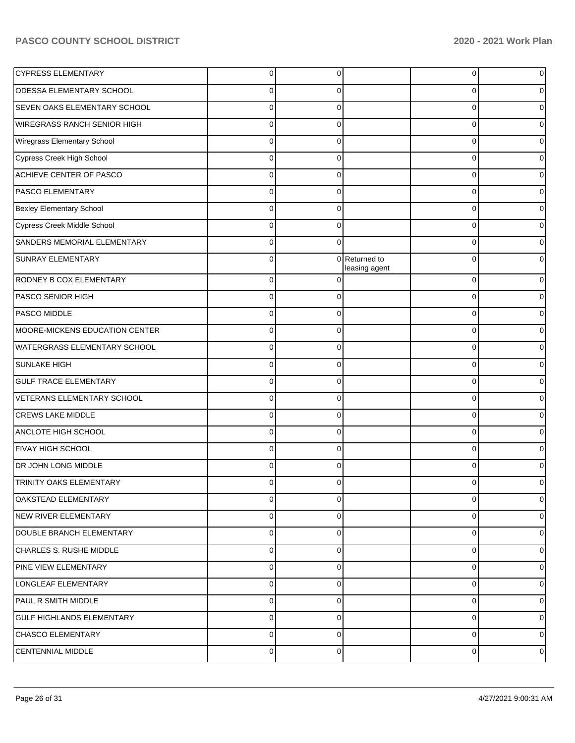| <b>CYPRESS ELEMENTARY</b>           | $\Omega$    | $\Omega$ |                              | $\overline{0}$ | 0 |
|-------------------------------------|-------------|----------|------------------------------|----------------|---|
| <b>ODESSA ELEMENTARY SCHOOL</b>     | 0           | 0        |                              | 0              |   |
| <b>SEVEN OAKS ELEMENTARY SCHOOL</b> | $\Omega$    | 0        |                              | 0              |   |
| WIREGRASS RANCH SENIOR HIGH         | 0           | 0        |                              | 0              |   |
| Wiregrass Elementary School         | 0           | 0        |                              | 0              |   |
| Cypress Creek High School           | 0           | 0        |                              | 0              |   |
| ACHIEVE CENTER OF PASCO             | $\Omega$    | 0        |                              | 0              |   |
| <b>PASCO ELEMENTARY</b>             | 0           | 0        |                              | 0              |   |
| <b>Bexley Elementary School</b>     | $\Omega$    | 0        |                              | 0              |   |
| Cypress Creek Middle School         | 0           | 0        |                              | 0              |   |
| SANDERS MEMORIAL ELEMENTARY         | $\Omega$    | 0        |                              | 0              |   |
| <b>SUNRAY ELEMENTARY</b>            | 0           | 0        | Returned to<br>leasing agent | 0              |   |
| <b>RODNEY B COX ELEMENTARY</b>      | $\Omega$    |          |                              | 0              |   |
| <b>PASCO SENIOR HIGH</b>            | $\Omega$    | O        |                              | $\mathbf 0$    |   |
| <b>PASCO MIDDLE</b>                 | $\Omega$    | 0        |                              | $\mathbf 0$    |   |
| MOORE-MICKENS EDUCATION CENTER      | $\Omega$    | 0        |                              | $\mathbf 0$    |   |
| WATERGRASS ELEMENTARY SCHOOL        | $\Omega$    | $\Omega$ |                              | $\mathbf 0$    |   |
| <b>SUNLAKE HIGH</b>                 | $\Omega$    | 0        |                              | $\mathbf 0$    |   |
| <b>GULF TRACE ELEMENTARY</b>        | $\Omega$    | 0        |                              | $\mathbf 0$    |   |
| VETERANS ELEMENTARY SCHOOL          | $\Omega$    | 0        |                              | $\mathbf 0$    |   |
| <b>CREWS LAKE MIDDLE</b>            | $\Omega$    | 0        |                              | $\mathbf 0$    |   |
| ANCLOTE HIGH SCHOOL                 | $\Omega$    | 0        |                              | $\mathbf 0$    |   |
| <b>FIVAY HIGH SCHOOL</b>            | $\Omega$    | $\Omega$ |                              | $\mathbf 0$    |   |
| <b>DR JOHN LONG MIDDLE</b>          | $\Omega$    | O        |                              | 0              |   |
| <b>TRINITY OAKS ELEMENTARY</b>      | 0           | 0        |                              | 0              | 0 |
| OAKSTEAD ELEMENTARY                 | 0           | 0        |                              | 0              | 0 |
| NEW RIVER ELEMENTARY                | $\mathbf 0$ | $\Omega$ |                              | 0              | 0 |
| DOUBLE BRANCH ELEMENTARY            | 0           | $\Omega$ |                              | 0              | 0 |
| CHARLES S. RUSHE MIDDLE             | $\mathbf 0$ | $\Omega$ |                              | $\mathbf 0$    | 0 |
| <b>PINE VIEW ELEMENTARY</b>         | 0           | $\Omega$ |                              | 0              | 0 |
| LONGLEAF ELEMENTARY                 | 0           | $\Omega$ |                              | 0              | 0 |
| <b>PAUL R SMITH MIDDLE</b>          | 0           | $\Omega$ |                              | 0              | 0 |
| <b>GULF HIGHLANDS ELEMENTARY</b>    | $\mathbf 0$ | $\Omega$ |                              | $\mathbf 0$    | 0 |
| CHASCO ELEMENTARY                   | 0           | $\Omega$ |                              | 0              | 0 |
| <b>CENTENNIAL MIDDLE</b>            | 0           | 0        |                              | $\mathbf 0$    | 0 |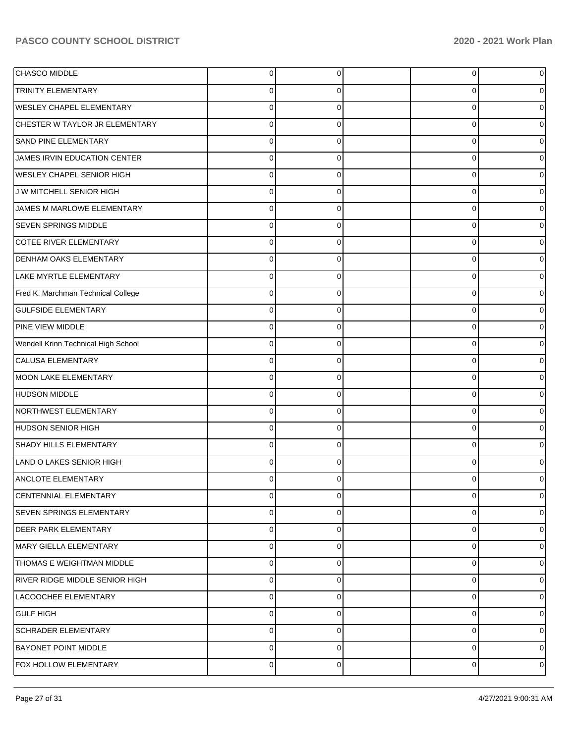| CHASCO MIDDLE                       | 0           | 0        | 0 | $\overline{0}$ |
|-------------------------------------|-------------|----------|---|----------------|
| <b>TRINITY ELEMENTARY</b>           | 0           | 0        | 0 | 0              |
| <b>WESLEY CHAPEL ELEMENTARY</b>     | 0           | C        | O | 0              |
| CHESTER W TAYLOR JR ELEMENTARY      | 0           | 0        | 0 | $\overline{0}$ |
| SAND PINE ELEMENTARY                | $\Omega$    | 0        | U | $\overline{0}$ |
| JAMES IRVIN EDUCATION CENTER        | 0           | 0        | 0 | 0              |
| <b>WESLEY CHAPEL SENIOR HIGH</b>    | $\Omega$    | 0        | 0 | 0              |
| J W MITCHELL SENIOR HIGH            | 0           | 0        | U | 0              |
| JAMES M MARLOWE ELEMENTARY          | 0           | C        | O | 0              |
| <b>SEVEN SPRINGS MIDDLE</b>         | 0           | 0        | 0 | 0              |
| COTEE RIVER ELEMENTARY              | 0           | 0        | U | 0              |
| <b>DENHAM OAKS ELEMENTARY</b>       | 0           | 0        | 0 | 0              |
| LAKE MYRTLE ELEMENTARY              | $\Omega$    | 0        | U | 0              |
| Fred K. Marchman Technical College  | 0           | 0        | 0 | 0              |
| <b>GULFSIDE ELEMENTARY</b>          | 0           | C        | O | 0              |
| PINE VIEW MIDDLE                    | 0           | 0        | U | 0              |
| Wendell Krinn Technical High School | 0           | 0        | U | 0              |
| CALUSA ELEMENTARY                   | 0           | 0        | 0 | 0              |
| <b>MOON LAKE ELEMENTARY</b>         | 0           | 0        | U | 0              |
| <b>HUDSON MIDDLE</b>                | 0           | 0        | 0 | 0              |
| NORTHWEST ELEMENTARY                | 0           | C        |   | 0              |
| <b>HUDSON SENIOR HIGH</b>           | 0           | 0        | 0 | 0              |
| SHADY HILLS ELEMENTARY              | 0           | ∩        | U | 0              |
| LAND O LAKES SENIOR HIGH            | 0           | 0        | 0 | 0              |
| <b>ANCLOTE ELEMENTARY</b>           | 0           | 0        | O | 0              |
| CENTENNIAL ELEMENTARY               | 0           | $\Omega$ | 0 | $\Omega$       |
| <b>SEVEN SPRINGS ELEMENTARY</b>     | 0           | $\Omega$ | 0 | $\overline{0}$ |
| <b>DEER PARK ELEMENTARY</b>         | 0           | 0        | 0 | $\overline{0}$ |
| MARY GIELLA ELEMENTARY              | 0           | 0        | 0 | $\overline{0}$ |
| <b>THOMAS E WEIGHTMAN MIDDLE</b>    | $\mathbf 0$ | $\Omega$ | 0 | $\overline{0}$ |
| RIVER RIDGE MIDDLE SENIOR HIGH      | $\mathbf 0$ | 0        | 0 | $\overline{0}$ |
| LACOOCHEE ELEMENTARY                | $\mathbf 0$ | $\Omega$ | 0 | $\overline{0}$ |
| GULF HIGH                           | $\mathbf 0$ | $\Omega$ | 0 | $\overline{0}$ |
| <b>SCHRADER ELEMENTARY</b>          | 0           | 0        | 0 | $\overline{0}$ |
| <b>BAYONET POINT MIDDLE</b>         | $\mathbf 0$ | 0        | 0 | 0              |
| FOX HOLLOW ELEMENTARY               | 0           | 0        | 0 | 0              |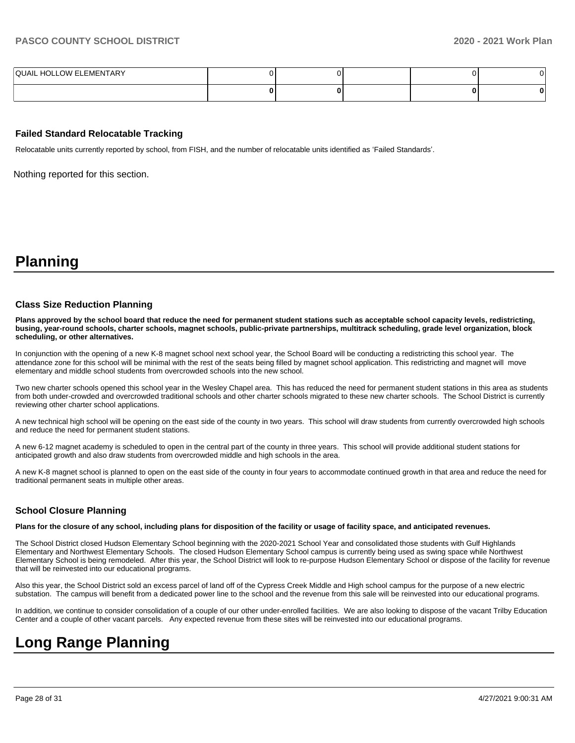| <b>QUAIL HOLLOW ELEMENTARY</b> |  |  |  |
|--------------------------------|--|--|--|
|                                |  |  |  |

#### **Failed Standard Relocatable Tracking**

Relocatable units currently reported by school, from FISH, and the number of relocatable units identified as 'Failed Standards'.

Nothing reported for this section.

## **Planning**

#### **Class Size Reduction Planning**

**Plans approved by the school board that reduce the need for permanent student stations such as acceptable school capacity levels, redistricting, busing, year-round schools, charter schools, magnet schools, public-private partnerships, multitrack scheduling, grade level organization, block scheduling, or other alternatives.**

In conjunction with the opening of a new K-8 magnet school next school year, the School Board will be conducting a redistricting this school year. The attendance zone for this school will be minimal with the rest of the seats being filled by magnet school application. This redistricting and magnet will move elementary and middle school students from overcrowded schools into the new school.

Two new charter schools opened this school year in the Wesley Chapel area. This has reduced the need for permanent student stations in this area as students from both under-crowded and overcrowded traditional schools and other charter schools migrated to these new charter schools. The School District is currently reviewing other charter school applications.

A new technical high school will be opening on the east side of the county in two years. This school will draw students from currently overcrowded high schools and reduce the need for permanent student stations.

A new 6-12 magnet academy is scheduled to open in the central part of the county in three years. This school will provide additional student stations for anticipated growth and also draw students from overcrowded middle and high schools in the area.

A new K-8 magnet school is planned to open on the east side of the county in four years to accommodate continued growth in that area and reduce the need for traditional permanent seats in multiple other areas.

### **School Closure Planning**

**Plans for the closure of any school, including plans for disposition of the facility or usage of facility space, and anticipated revenues.** 

The School District closed Hudson Elementary School beginning with the 2020-2021 School Year and consolidated those students with Gulf Highlands Elementary and Northwest Elementary Schools. The closed Hudson Elementary School campus is currently being used as swing space while Northwest Elementary School is being remodeled. After this year, the School District will look to re-purpose Hudson Elementary School or dispose of the facility for revenue that will be reinvested into our educational programs.

Also this year, the School District sold an excess parcel of land off of the Cypress Creek Middle and High school campus for the purpose of a new electric substation. The campus will benefit from a dedicated power line to the school and the revenue from this sale will be reinvested into our educational programs.

In addition, we continue to consider consolidation of a couple of our other under-enrolled facilities. We are also looking to dispose of the vacant Trilby Education Center and a couple of other vacant parcels. Any expected revenue from these sites will be reinvested into our educational programs.

## **Long Range Planning**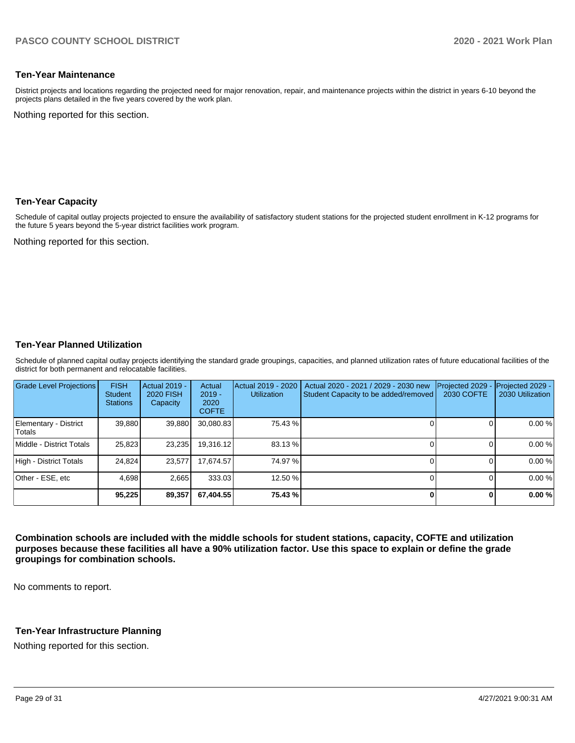### **Ten-Year Maintenance**

District projects and locations regarding the projected need for major renovation, repair, and maintenance projects within the district in years 6-10 beyond the projects plans detailed in the five years covered by the work plan.

Nothing reported for this section.

### **Ten-Year Capacity**

Schedule of capital outlay projects projected to ensure the availability of satisfactory student stations for the projected student enrollment in K-12 programs for the future 5 years beyond the 5-year district facilities work program.

Nothing reported for this section.

## **Ten-Year Planned Utilization**

Schedule of planned capital outlay projects identifying the standard grade groupings, capacities, and planned utilization rates of future educational facilities of the district for both permanent and relocatable facilities.

| <b>Grade Level Projections</b>  | <b>FISH</b><br>Student<br><b>Stations</b> | Actual 2019 -<br><b>2020 FISH</b><br>Capacity | Actual<br>$2019 -$<br>2020<br><b>COFTE</b> | Actual 2019 - 2020<br><b>Utilization</b> | Actual 2020 - 2021 / 2029 - 2030 new<br>Student Capacity to be added/removed | Projected 2029<br>2030 COFTE | Projected 2029 -<br>2030 Utilization |
|---------------------------------|-------------------------------------------|-----------------------------------------------|--------------------------------------------|------------------------------------------|------------------------------------------------------------------------------|------------------------------|--------------------------------------|
| Elementary - District<br>Totals | 39,880                                    | 39,880                                        | 30,080.83                                  | 75.43 %                                  |                                                                              |                              | 0.00%                                |
| Middle - District Totals        | 25.823                                    | 23.235                                        | 19.316.12                                  | 83.13 %                                  |                                                                              |                              | 0.00%                                |
| High - District Totals          | 24.824                                    | 23.577                                        | 17.674.57                                  | 74.97 %                                  |                                                                              |                              | 0.00%                                |
| Other - ESE, etc                | 4.698                                     | 2.665                                         | 333.03                                     | 12.50 %                                  |                                                                              |                              | 0.00%                                |
|                                 | 95.225                                    | 89,357                                        | 67.404.55                                  | 75.43 %                                  |                                                                              |                              | 0.00%                                |

**Combination schools are included with the middle schools for student stations, capacity, COFTE and utilization purposes because these facilities all have a 90% utilization factor. Use this space to explain or define the grade groupings for combination schools.** 

No comments to report.

## **Ten-Year Infrastructure Planning**

Nothing reported for this section.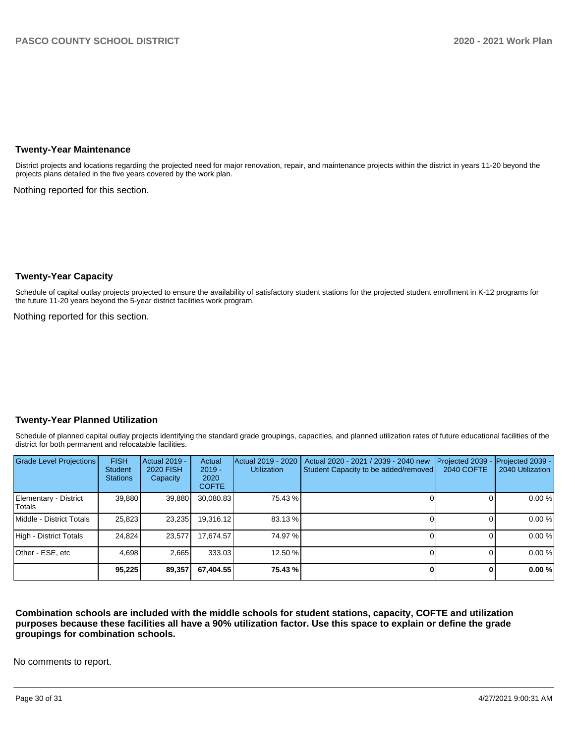## **Twenty-Year Maintenance**

District projects and locations regarding the projected need for major renovation, repair, and maintenance projects within the district in years 11-20 beyond the projects plans detailed in the five years covered by the work plan.

Nothing reported for this section.

## **Twenty-Year Capacity**

Schedule of capital outlay projects projected to ensure the availability of satisfactory student stations for the projected student enrollment in K-12 programs for the future 11-20 years beyond the 5-year district facilities work program.

Nothing reported for this section.

### **Twenty-Year Planned Utilization**

Schedule of planned capital outlay projects identifying the standard grade groupings, capacities, and planned utilization rates of future educational facilities of the district for both permanent and relocatable facilities.

| <b>Grade Level Projections</b>  | <b>FISH</b><br><b>Student</b><br><b>Stations</b> | <b>Actual 2019 -</b><br><b>2020 FISH</b><br>Capacity | Actual<br>$2019 -$<br>2020<br><b>COFTE</b> | Actual 2019 - 2020<br><b>Utilization</b> | Actual 2020 - 2021 / 2039 - 2040 new<br>Student Capacity to be added/removed | Projected 2039<br>2040 COFTE | Projected 2039 -<br>2040 Utilization |
|---------------------------------|--------------------------------------------------|------------------------------------------------------|--------------------------------------------|------------------------------------------|------------------------------------------------------------------------------|------------------------------|--------------------------------------|
| Elementary - District<br>Totals | 39,880                                           | 39,880                                               | 30,080.83                                  | 75.43 %                                  |                                                                              |                              | 0.00 %                               |
| Middle - District Totals        | 25,823                                           | 23,235                                               | 19,316.12                                  | 83.13 %                                  |                                                                              |                              | 0.00 %                               |
| High - District Totals          | 24.824                                           | 23,577                                               | 17.674.57                                  | 74.97 %                                  |                                                                              |                              | 0.00 %                               |
| Other - ESE, etc                | 4,698                                            | 2,665                                                | 333.03                                     | 12.50 %                                  |                                                                              |                              | 0.00 %                               |
|                                 | 95,225                                           | 89,357                                               | 67,404.55                                  | 75.43 %                                  |                                                                              | n.                           | 0.00 %                               |

**Combination schools are included with the middle schools for student stations, capacity, COFTE and utilization purposes because these facilities all have a 90% utilization factor. Use this space to explain or define the grade groupings for combination schools.** 

No comments to report.